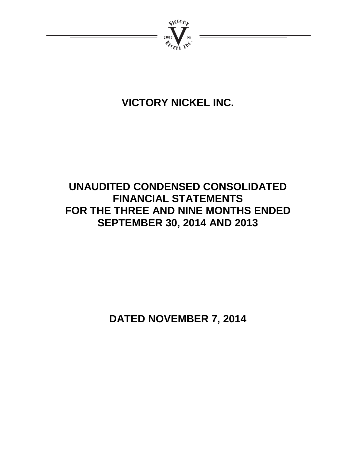

# **VICTORY NICKEL INC.**

# **UNAUDITED CONDENSED CONSOLIDATED FINANCIAL STATEMENTS FOR THE THREE AND NINE MONTHS ENDED SEPTEMBER 30, 2014 AND 2013**

**DATED NOVEMBER 7, 2014**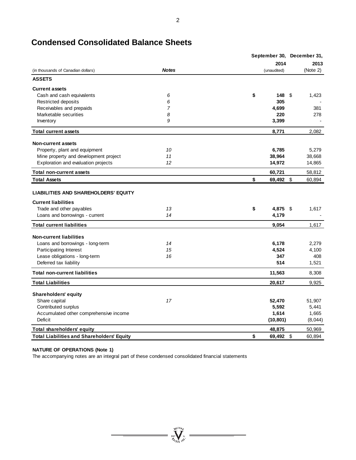|                                                                                                                                         |                | September 30, December 31, |              |  |  |
|-----------------------------------------------------------------------------------------------------------------------------------------|----------------|----------------------------|--------------|--|--|
|                                                                                                                                         |                | 2014                       | 2013         |  |  |
| (in thousands of Canadian dollars)                                                                                                      | <b>Notes</b>   | (unaudited)                | (Note 2)     |  |  |
| <b>ASSETS</b>                                                                                                                           |                |                            |              |  |  |
| <b>Current assets</b>                                                                                                                   |                |                            |              |  |  |
| Cash and cash equivalents                                                                                                               | 6              | \$<br>148                  | \$<br>1,423  |  |  |
| <b>Restricted deposits</b>                                                                                                              | 6              | 305                        |              |  |  |
| Receivables and prepaids                                                                                                                | $\overline{7}$ | 4,699                      | 381          |  |  |
| Marketable securities                                                                                                                   | 8              | 220                        | 278          |  |  |
| Inventory                                                                                                                               | 9              | 3,399                      |              |  |  |
| <b>Total current assets</b>                                                                                                             |                | 8,771                      | 2,082        |  |  |
| <b>Non-current assets</b>                                                                                                               |                |                            |              |  |  |
| Property, plant and equipment                                                                                                           | 10             | 6,785                      | 5,279        |  |  |
| Mine property and development project                                                                                                   | 11             | 38,964                     | 38,668       |  |  |
| Exploration and evaluation projects                                                                                                     | 12             | 14,972                     | 14,865       |  |  |
| <b>Total non-current assets</b>                                                                                                         |                | 60,721                     | 58,812       |  |  |
| <b>Total Assets</b>                                                                                                                     |                | \$<br>69,492               | \$<br>60,894 |  |  |
| <b>LIABILITIES AND SHAREHOLDERS' EQUITY</b><br><b>Current liabilities</b><br>Trade and other payables<br>Loans and borrowings - current | 13<br>14       | \$<br>4,875<br>4,179       | \$<br>1,617  |  |  |
| <b>Total current liabilities</b>                                                                                                        |                | 9.054                      | 1,617        |  |  |
|                                                                                                                                         |                |                            |              |  |  |
| <b>Non-current liabilities</b><br>Loans and borrowings - long-term                                                                      | 14             | 6,178                      | 2,279        |  |  |
| Participating Interest                                                                                                                  | 15             | 4,524                      | 4,100        |  |  |
| Lease obligations - long-term                                                                                                           | 16             | 347                        | 408          |  |  |
| Deferred tax liability                                                                                                                  |                | 514                        | 1,521        |  |  |
| <b>Total non-current liabilities</b>                                                                                                    |                | 11,563                     | 8,308        |  |  |
| <b>Total Liabilities</b>                                                                                                                |                | 20,617                     | 9,925        |  |  |
| <b>Shareholders' equity</b>                                                                                                             |                |                            |              |  |  |
| Share capital                                                                                                                           | 17             | 52,470                     | 51,907       |  |  |
| Contributed surplus                                                                                                                     |                | 5,592                      | 5,441        |  |  |
| Accumulated other comprehensive income                                                                                                  |                | 1,614                      | 1,665        |  |  |
| Deficit                                                                                                                                 |                | (10, 801)                  | (8,044)      |  |  |
| <b>Total shareholders' equity</b>                                                                                                       |                | 48,875                     | 50,969       |  |  |
| <b>Total Liabilities and Shareholders' Equity</b>                                                                                       |                | \$<br>69,492               | \$<br>60,894 |  |  |

 $\sum_{\mathcal{U}_{\ell}}\sum_{\mathbf{N}^{(k)}}$ 

# **Condensed Consolidated Balance Sheets**

#### **NATURE OF OPERATIONS (Note 1)**

The accompanying notes are an integral part of these condensed consolidated financial statements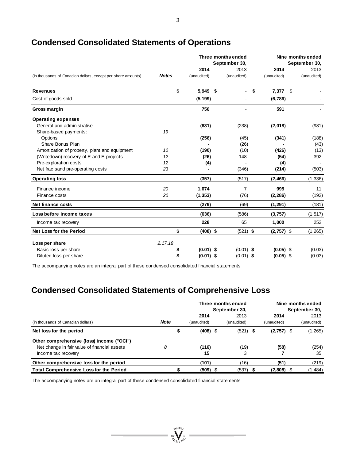|                                                              |              |              |  | Three months ended<br>September 30, |    |              |     | Nine months ended<br>September 30, |
|--------------------------------------------------------------|--------------|--------------|--|-------------------------------------|----|--------------|-----|------------------------------------|
|                                                              |              | 2014<br>2013 |  | 2014                                |    | 2013         |     |                                    |
| (in thousands of Canadian dollars, except per share amounts) | <b>Notes</b> | (unaudited)  |  | (unaudited)                         |    | (unaudited)  |     | (unaudited)                        |
| <b>Revenues</b>                                              | \$           | 5,949 \$     |  |                                     | \$ | 7,377        | -\$ |                                    |
| Cost of goods sold                                           |              | (5, 199)     |  |                                     |    | (6,786)      |     |                                    |
| Gross margin                                                 |              | 750          |  | $\blacksquare$                      |    | 591          |     |                                    |
| <b>Operating expenses</b>                                    |              |              |  |                                     |    |              |     |                                    |
| General and administrative                                   |              | (631)        |  | (238)                               |    | (2,018)      |     | (981)                              |
| Share-based payments:                                        | 19           |              |  |                                     |    |              |     |                                    |
| Options                                                      |              | (256)        |  | (45)                                |    | (341)        |     | (188)                              |
| Share Bonus Plan                                             |              |              |  | (26)                                |    |              |     | (43)                               |
| Amortization of property, plant and equipment                | 10           | (190)        |  | (10)                                |    | (426)        |     | (13)                               |
| (Writedown) recovery of E and E projects                     | 12           | (26)         |  | 148                                 |    | (54)         |     | 392                                |
| Pre-exploration costs                                        | 12           | (4)          |  |                                     |    | (4)          |     |                                    |
| Net frac sand pre-operating costs                            | 23           |              |  | (346)                               |    | (214)        |     | (503)                              |
| <b>Operating loss</b>                                        |              | (357)        |  | (517)                               |    | (2, 466)     |     | (1, 336)                           |
| Finance income                                               | 20           | 1,074        |  | $\overline{7}$                      |    | 995          |     | 11                                 |
| Finance costs                                                | 20           | (1, 353)     |  | (76)                                |    | (2, 286)     |     | (192)                              |
| Net finance costs                                            |              | (279)        |  | (69)                                |    | (1, 291)     |     | (181)                              |
| Loss before income taxes                                     |              | (636)        |  | (586)                               |    | (3,757)      |     | (1, 517)                           |
| Income tax recovery                                          |              | 228          |  | 65                                  |    | 1,000        |     | 252                                |
| Net Loss for the Period                                      | \$           | $(408)$ \$   |  | $(521)$ \$                          |    | $(2,757)$ \$ |     | (1, 265)                           |
| Loss per share                                               | 2, 17, 18    |              |  |                                     |    |              |     |                                    |
| Basic loss per share                                         | \$           | $(0.01)$ \$  |  | $(0.01)$ \$                         |    | $(0.05)$ \$  |     | (0.03)                             |
| Diluted loss per share                                       | \$           | $(0.01)$ \$  |  | $(0.01)$ \$                         |    | $(0.05)$ \$  |     | (0.03)                             |

# **Condensed Consolidated Statements of Operations**

The accompanying notes are an integral part of these condensed consolidated financial statements

# **Condensed Consolidated Statements of Comprehensive Loss**

|                                                |             | Three months ended<br>September 30, |     |             |  | Nine months ended<br>September 30, |  |             |  |
|------------------------------------------------|-------------|-------------------------------------|-----|-------------|--|------------------------------------|--|-------------|--|
|                                                |             | 2014                                |     | 2013        |  | 2014                               |  | 2013        |  |
| (in thousands of Canadian dollars)             | <b>Note</b> | (unaudited)                         |     | (unaudited) |  | (unaudited)                        |  | (unaudited) |  |
| Net loss for the period                        |             | \$<br>$(408)$ \$                    |     | $(521)$ \$  |  | $(2,757)$ \$                       |  | (1,265)     |  |
| Other comprehensive (loss) income ("OCI")      |             |                                     |     |             |  |                                    |  |             |  |
| Net change in fair value of financial assets   | 8           | (116)                               |     | (19)        |  | (58)                               |  | (254)       |  |
| Income tax recovery                            |             | 15                                  |     | 3           |  |                                    |  | 35          |  |
| Other comprehensive loss for the period        |             | (101)                               |     | (16)        |  | (51)                               |  | (219)       |  |
| <b>Total Comprehensive Loss for the Period</b> |             | (509)                               | - 5 | (537)       |  | $(2,808)$ \$                       |  | (1,484)     |  |

 $\sum_{\substack{\mathfrak{N}\in \mathcal{N} \\ \mathfrak{N}\in \mathcal{N} \\ \mathfrak{N}\in \mathcal{N}}} \mathfrak{N}^{\mathfrak{N}}$ 

The accompanying notes are an integral part of these condensed consolidated financial statements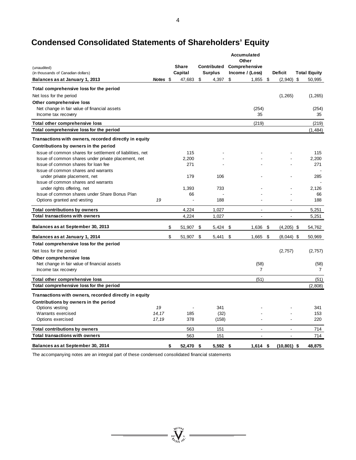# **Condensed Consolidated Statements of Shareholders' Equity**

|                                                                   |          |                 |                | <b>Accumulated</b>                        |                          |                     |
|-------------------------------------------------------------------|----------|-----------------|----------------|-------------------------------------------|--------------------------|---------------------|
|                                                                   |          | <b>Share</b>    |                | Other<br><b>Contributed Comprehensive</b> |                          |                     |
| (unaudited)<br>(in thousands of Canadian dollars)                 |          | Capital         | <b>Surplus</b> | Income / (Loss)                           | <b>Deficit</b>           | <b>Total Equity</b> |
| Balances as at January 1, 2013                                    | Notes \$ | 47,683          | \$<br>4,397    | \$<br>1,855                               | \$<br>$(2,940)$ \$       | 50,995              |
| Total comprehensive loss for the period                           |          |                 |                |                                           |                          |                     |
| Net loss for the period                                           |          |                 |                |                                           | (1,265)                  | (1,265)             |
| Other comprehensive loss                                          |          |                 |                |                                           |                          |                     |
| Net change in fair value of financial assets                      |          |                 |                | (254)                                     |                          | (254)               |
| Income tax recovery                                               |          |                 |                | 35                                        |                          | 35                  |
| Total other comprehensive loss                                    |          |                 |                | (219)                                     |                          | (219)               |
| Total comprehensive loss for the period                           |          |                 |                |                                           |                          | (1, 484)            |
| Transactions with owners, recorded directly in equity             |          |                 |                |                                           |                          |                     |
| Contributions by owners in the period                             |          |                 |                |                                           |                          |                     |
| Issue of common shares for settlement of liabilities, net         |          | 115             |                |                                           |                          | 115                 |
| Issue of common shares under private placement, net               |          | 2,200           |                |                                           |                          | 2,200               |
| Issue of common shares for loan fee                               |          | 271             |                |                                           |                          | 271                 |
| Issue of common shares and warrants                               |          |                 |                |                                           |                          |                     |
| under private placement, net                                      |          | 179             | 106            |                                           |                          | 285                 |
| Issue of common shares and warrants<br>under rights offering, net |          | 1,393           | 733            |                                           |                          | 2,126               |
| Issue of common shares under Share Bonus Plan                     |          | 66              |                |                                           |                          | 66                  |
| Options granted and vesting                                       | 19       | ÷               | 188            |                                           |                          | 188                 |
| <b>Total contributions by owners</b>                              |          | 4,224           | 1,027          | $\sim$                                    | $\overline{\phantom{a}}$ | 5,251               |
| <b>Total transactions with owners</b>                             |          | 4,224           | 1,027          |                                           |                          | 5,251               |
|                                                                   |          |                 |                |                                           |                          |                     |
| Balances as at September 30, 2013                                 |          | \$<br>51,907    | \$<br>5,424    | \$<br>1,636                               | \$<br>$(4,205)$ \$       | 54,762              |
| Balances as at January 1, 2014                                    |          | \$<br>51,907    | \$<br>5,441    | \$<br>1,665                               | \$<br>$(8,044)$ \$       | 50,969              |
| Total comprehensive loss for the period                           |          |                 |                |                                           |                          |                     |
| Net loss for the period                                           |          |                 |                |                                           | (2,757)                  | (2,757)             |
| Other comprehensive loss                                          |          |                 |                |                                           |                          |                     |
| Net change in fair value of financial assets                      |          |                 |                | (58)                                      |                          | (58)                |
| Income tax recovery                                               |          |                 |                | $\overline{7}$                            |                          | 7                   |
| Total other comprehensive loss                                    |          |                 |                | (51)                                      |                          | (51)                |
| Total comprehensive loss for the period                           |          |                 |                |                                           |                          | (2,808)             |
| Transactions with owners, recorded directly in equity             |          |                 |                |                                           |                          |                     |
| Contributions by owners in the period                             |          |                 |                |                                           |                          |                     |
| Options vesting                                                   | 19       | $\blacksquare$  | 341            |                                           |                          | 341                 |
| Warrants exercised                                                | 14,17    | 185             | (32)           |                                           |                          | 153                 |
| Options exercised                                                 | 17,19    | 378             | (158)          |                                           |                          | 220                 |
| <b>Total contributions by owners</b>                              |          | 563             | 151            | $\blacksquare$                            | $\overline{a}$           | 714                 |
| <b>Total transactions with owners</b>                             |          | 563             | 151            | ÷.                                        | ÷.                       | 714                 |
| Balances as at September 30, 2014                                 |          | \$<br>52,470 \$ | $5,592$ \$     | $1,614$ \$                                | $(10, 801)$ \$           | 48,875              |

 $= \sqrt[n]{\frac{1}{N^{(10)}}\sum_{i=1}^{N^{(10)}}\frac{1}{N^{(10)}}}$ 

The accompanying notes are an integral part of these condensed consolidated financial statements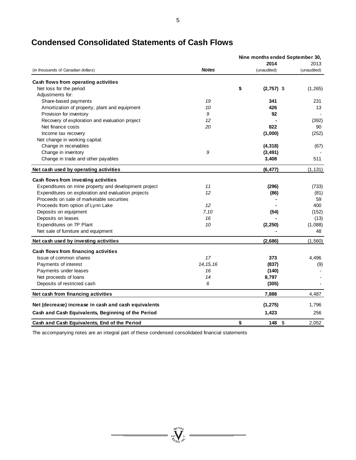|                                                       |              | Nine months ended September 30, |              |             |  |
|-------------------------------------------------------|--------------|---------------------------------|--------------|-------------|--|
|                                                       |              |                                 | 2014         | 2013        |  |
| (in thousands of Canadian dollars)                    | <b>Notes</b> |                                 | (unaudited)  | (unaudited) |  |
| Cash flows from operating activities                  |              |                                 |              |             |  |
| Net loss for the period                               |              | \$                              | $(2,757)$ \$ | (1, 265)    |  |
| Adjustments for:                                      |              |                                 |              |             |  |
| Share-based payments                                  | 19           |                                 | 341          | 231         |  |
| Amortization of property, plant and equipment         | 10           |                                 | 426          | 13          |  |
| Provision for inventory                               | 9            |                                 | 92           |             |  |
| Recovery of exploration and evaluation project        | 12           |                                 |              | (392)       |  |
| Net finance costs                                     | 20           |                                 | 822          | 90          |  |
| Income tax recovery                                   |              |                                 | (1,000)      | (252)       |  |
| Net change in working capital:                        |              |                                 |              |             |  |
| Change in receivables                                 |              |                                 | (4,318)      | (67)        |  |
| Change in inventory                                   | 9            |                                 | (3, 491)     |             |  |
| Change in trade and other payables                    |              |                                 | 3,408        | 511         |  |
| Net cash used by operating activities                 |              |                                 | (6, 477)     | (1, 131)    |  |
| Cash flows from investing activities                  |              |                                 |              |             |  |
| Expenditures on mine property and development project | 11           |                                 | (296)        | (733)       |  |
| Expenditures on exploration and evaluation projects   | 12           |                                 | (86)         | (81)        |  |
| Proceeds on sale of marketable securities             |              |                                 |              | 59          |  |
| Proceeds from option of Lynn Lake                     | 12           |                                 |              | 400         |  |
| Deposits on equipment                                 | 7,10         |                                 | (54)         | (152)       |  |
| Deposits on leases                                    | 16           |                                 |              | (13)        |  |
| Expenditures on 7P Plant                              | 10           |                                 | (2, 250)     | (1,088)     |  |
| Net sale of furniture and equipment                   |              |                                 |              | 48          |  |
| Net cash used by investing activities                 |              |                                 | (2,686)      | (1, 560)    |  |
| Cash flows from financing activities                  |              |                                 |              |             |  |
| Issue of common shares                                | 17           |                                 | 373          | 4,496       |  |
| Payments of interest                                  | 14, 15, 16   |                                 | (837)        | (9)         |  |
| Payments under leases                                 | 16           |                                 | (140)        |             |  |
| Net proceeds of loans                                 | 14           |                                 | 8,797        |             |  |
| Deposits of restricted cash                           | 6            |                                 | (305)        |             |  |
| Net cash from financing activities                    |              |                                 | 7.888        | 4,487       |  |
| Net (decrease) increase in cash and cash equivalents  |              |                                 | (1, 275)     | 1,796       |  |
| Cash and Cash Equivalents, Beginning of the Period    |              |                                 | 1,423        | 256         |  |
| Cash and Cash Equivalents, End of the Period          |              | \$                              | 148<br>\$    | 2.052       |  |

# **Condensed Consolidated Statements of Cash Flows**

The accompanying notes are an integral part of these condensed consolidated financial statements

 $\sum_{j_{l}\in I_{\ell}}^{j_{l}\in I_{\ell}}\sum_{j_{l}\in I_{\ell}}^{j_{l}\in I_{\ell}}$  $\overline{a}$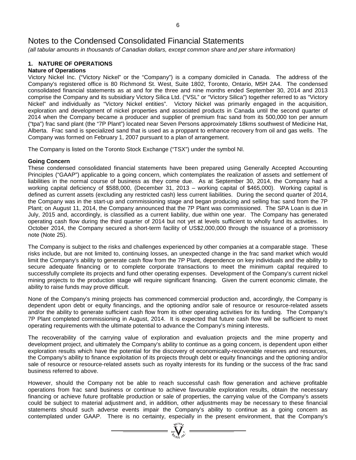*(all tabular amounts in thousands of Canadian dollars, except common share and per share information)*

# **1. NATURE OF OPERATIONS**

# **Nature of Operations**

Victory Nickel Inc. ("Victory Nickel" or the "Company") is a company domiciled in Canada. The address of the Company's registered office is 80 Richmond St. West, Suite 1802, Toronto, Ontario, M5H 2A4. The condensed consolidated financial statements as at and for the three and nine months ended September 30, 2014 and 2013 comprise the Company and its subsidiary Victory Silica Ltd. ("VSL" or "Victory Silica") together referred to as "Victory Nickel" and individually as "Victory Nickel entities". Victory Nickel was primarily engaged in the acquisition, exploration and development of nickel properties and associated products in Canada until the second quarter of 2014 when the Company became a producer and supplier of premium frac sand from its 500,000 ton per annum ("tpa") frac sand plant (the "7P Plant") located near Seven Persons approximately 18kms southwest of Medicine Hat, Alberta. Frac sand is specialized sand that is used as a proppant to enhance recovery from oil and gas wells. The Company was formed on February 1, 2007 pursuant to a plan of arrangement.

The Company is listed on the Toronto Stock Exchange ("TSX") under the symbol NI.

# **Going Concern**

These condensed consolidated financial statements have been prepared using Generally Accepted Accounting Principles ("GAAP") applicable to a going concern, which contemplates the realization of assets and settlement of liabilities in the normal course of business as they come due. As at September 30, 2014, the Company had a working capital deficiency of \$588,000, (December 31, 2013 – working capital of \$465,000). Working capital is defined as current assets (excluding any restricted cash) less current liabilities. During the second quarter of 2014, the Company was in the start-up and commissioning stage and began producing and selling frac sand from the 7P Plant; on August 11, 2014, the Company announced that the 7P Plant was commissioned. The SPA Loan is due in July, 2015 and, accordingly, is classified as a current liability, due within one year. The Company has generated operating cash flow during the third quarter of 2014 but not yet at levels sufficient to wholly fund its activities. In October 2014, the Company secured a short-term facility of US\$2,000,000 through the issuance of a promissory note (Note 25).

The Company is subject to the risks and challenges experienced by other companies at a comparable stage. These risks include, but are not limited to, continuing losses, an unexpected change in the frac sand market which would limit the Company's ability to generate cash flow from the 7P Plant, dependence on key individuals and the ability to secure adequate financing or to complete corporate transactions to meet the minimum capital required to successfully complete its projects and fund other operating expenses. Development of the Company's current nickel mining projects to the production stage will require significant financing. Given the current economic climate, the ability to raise funds may prove difficult.

None of the Company's mining projects has commenced commercial production and, accordingly, the Company is dependent upon debt or equity financings, and the optioning and/or sale of resource or resource-related assets and/or the ability to generate sufficient cash flow from its other operating activities for its funding. The Company's 7P Plant completed commissioning in August, 2014. It is expected that future cash flow will be sufficient to meet operating requirements with the ultimate potential to advance the Company's mining interests.

The recoverability of the carrying value of exploration and evaluation projects and the mine property and development project, and ultimately the Company's ability to continue as a going concern, is dependent upon either exploration results which have the potential for the discovery of economically-recoverable reserves and resources, the Company's ability to finance exploitation of its projects through debt or equity financings and the optioning and/or sale of resource or resource-related assets such as royalty interests for its funding or the success of the frac sand business referred to above.

However, should the Company not be able to reach successful cash flow generation and achieve profitable operations from frac sand business or continue to achieve favourable exploration results, obtain the necessary financing or achieve future profitable production or sale of properties, the carrying value of the Company's assets could be subject to material adjustment and, in addition, other adjustments may be necessary to these financial statements should such adverse events impair the Company's ability to continue as a going concern as contemplated under GAAP. There is no certainty, especially in the present environment, that the Company's  $\overbrace{\bigcup_{\substack{w \in \mathbb{N}^N \\ w \sim w}}^{\mathbb{N}^N}}$   $\overbrace{\bigcup_{\substack{w \in \mathbb{N}^N \\ w \sim w}}^{\mathbb{N}^N}}$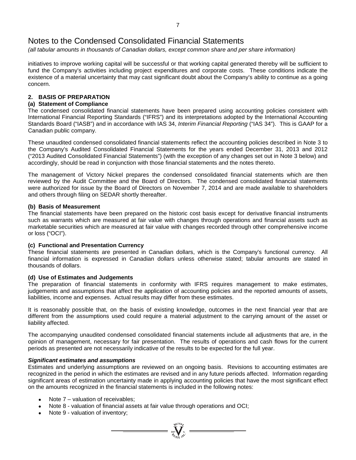*(all tabular amounts in thousands of Canadian dollars, except common share and per share information)*

initiatives to improve working capital will be successful or that working capital generated thereby will be sufficient to fund the Company's activities including project expenditures and corporate costs. These conditions indicate the existence of a material uncertainty that may cast significant doubt about the Company's ability to continue as a going concern.

# **2. BASIS OF PREPARATION**

### **(a) Statement of Compliance**

The condensed consolidated financial statements have been prepared using accounting policies consistent with International Financial Reporting Standards ("IFRS") and its interpretations adopted by the International Accounting Standards Board ("IASB") and in accordance with IAS 34, *Interim Financial Reporting* ("IAS 34"). This is GAAP for a Canadian public company.

These unaudited condensed consolidated financial statements reflect the accounting policies described in Note 3 to the Company's Audited Consolidated Financial Statements for the years ended December 31, 2013 and 2012 ("2013 Audited Consolidated Financial Statements") (with the exception of any changes set out in Note 3 below) and accordingly, should be read in conjunction with those financial statements and the notes thereto.

The management of Victory Nickel prepares the condensed consolidated financial statements which are then reviewed by the Audit Committee and the Board of Directors. The condensed consolidated financial statements were authorized for issue by the Board of Directors on November 7, 2014 and are made available to shareholders and others through filing on SEDAR shortly thereafter.

### **(b) Basis of Measurement**

The financial statements have been prepared on the historic cost basis except for derivative financial instruments such as warrants which are measured at fair value with changes through operations and financial assets such as marketable securities which are measured at fair value with changes recorded through other comprehensive income or loss ("OCI").

### **(c) Functional and Presentation Currency**

These financial statements are presented in Canadian dollars, which is the Company's functional currency. All financial information is expressed in Canadian dollars unless otherwise stated; tabular amounts are stated in thousands of dollars.

### **(d) Use of Estimates and Judgements**

The preparation of financial statements in conformity with IFRS requires management to make estimates, judgements and assumptions that affect the application of accounting policies and the reported amounts of assets, liabilities, income and expenses. Actual results may differ from these estimates.

It is reasonably possible that, on the basis of existing knowledge, outcomes in the next financial year that are different from the assumptions used could require a material adjustment to the carrying amount of the asset or liability affected.

The accompanying unaudited condensed consolidated financial statements include all adjustments that are, in the opinion of management, necessary for fair presentation. The results of operations and cash flows for the current periods as presented are not necessarily indicative of the results to be expected for the full year.

### *Significant estimates and assumptions*

Estimates and underlying assumptions are reviewed on an ongoing basis. Revisions to accounting estimates are recognized in the period in which the estimates are revised and in any future periods affected. Information regarding significant areas of estimation uncertainty made in applying accounting policies that have the most significant effect on the amounts recognized in the financial statements is included in the following notes:

 $\sum_{\substack{q \in \mathcal{N} \\ q \neq q}}$ 

- Note  $7$  valuation of receivables;
- Note 8 valuation of financial assets at fair value through operations and OCI;
- Note 9 valuation of inventory;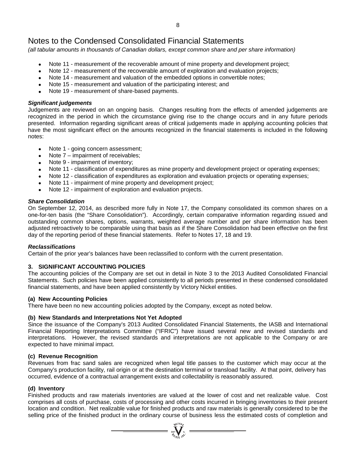*(all tabular amounts in thousands of Canadian dollars, except common share and per share information)*

- Note 11 measurement of the recoverable amount of mine property and development project;
- Note 12 measurement of the recoverable amount of exploration and evaluation projects;
- Note 14 measurement and valuation of the embedded options in convertible notes;
- Note 15 measurement and valuation of the participating interest; and
- Note 19 measurement of share-based payments.

### *Significant judgements*

Judgements are reviewed on an ongoing basis. Changes resulting from the effects of amended judgements are recognized in the period in which the circumstance giving rise to the change occurs and in any future periods presented. Information regarding significant areas of critical judgements made in applying accounting policies that have the most significant effect on the amounts recognized in the financial statements is included in the following notes:

- Note 1 going concern assessment;<br>• Note 7 impairment of receivables:
- Note 7 impairment of receivables;
- Note 9 impairment of inventory;
- Note 11 classification of expenditures as mine property and development project or operating expenses;
- Note 12 classification of expenditures as exploration and evaluation projects or operating expenses;
- Note 11 impairment of mine property and development project;
- Note 12 impairment of exploration and evaluation projects.

# *Share Consolidation*

On September 12, 2014, as described more fully in Note 17, the Company consolidated its common shares on a one-for-ten basis (the "Share Consolidation"). Accordingly, certain comparative information regarding issued and outstanding common shares, options, warrants, weighted average number and per share information has been adjusted retroactively to be comparable using that basis as if the Share Consolidation had been effective on the first day of the reporting period of these financial statements. Refer to Notes 17, 18 and 19.

### *Reclassifications*

Certain of the prior year's balances have been reclassified to conform with the current presentation.

### **3. SIGNIFICANT ACCOUNTING POLICIES**

The accounting policies of the Company are set out in detail in Note 3 to the 2013 Audited Consolidated Financial Statements. Such policies have been applied consistently to all periods presented in these condensed consolidated financial statements, and have been applied consistently by Victory Nickel entities.

### **(a) New Accounting Policies**

There have been no new accounting policies adopted by the Company, except as noted below.

### **(b) New Standards and Interpretations Not Yet Adopted**

Since the issuance of the Company's 2013 Audited Consolidated Financial Statements, the IASB and International Financial Reporting Interpretations Committee ("IFRIC") have issued several new and revised standards and interpretations. However, the revised standards and interpretations are not applicable to the Company or are expected to have minimal impact.

### **(c) Revenue Recognition**

Revenues from frac sand sales are recognized when legal title passes to the customer which may occur at the Company's production facility, rail origin or at the destination terminal or transload facility. At that point, delivery has occurred, evidence of a contractual arrangement exists and collectability is reasonably assured.

### **(d) Inventory**

Finished products and raw materials inventories are valued at the lower of cost and net realizable value. Cost comprises all costs of purchase, costs of processing and other costs incurred in bringing inventories to their present location and condition. Net realizable value for finished products and raw materials is generally considered to be the selling price of the finished product in the ordinary course of business less the estimated costs of completion and

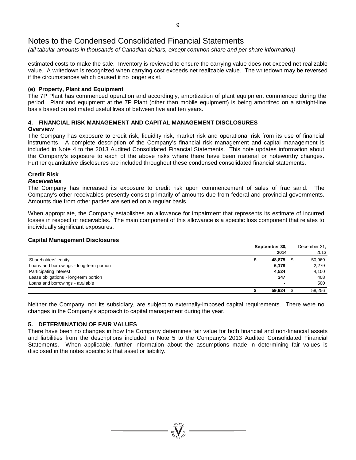*(all tabular amounts in thousands of Canadian dollars, except common share and per share information)*

estimated costs to make the sale. Inventory is reviewed to ensure the carrying value does not exceed net realizable value. A writedown is recognized when carrying cost exceeds net realizable value. The writedown may be reversed if the circumstances which caused it no longer exist.

### **(e) Property, Plant and Equipment**

The 7P Plant has commenced operation and accordingly, amortization of plant equipment commenced during the period. Plant and equipment at the 7P Plant (other than mobile equipment) is being amortized on a straight-line basis based on estimated useful lives of between five and ten years.

### **4. FINANCIAL RISK MANAGEMENT AND CAPITAL MANAGEMENT DISCLOSURES Overview**

The Company has exposure to credit risk, liquidity risk, market risk and operational risk from its use of financial instruments. A complete description of the Company's financial risk management and capital management is included in Note 4 to the 2013 Audited Consolidated Financial Statements. This note updates information about the Company's exposure to each of the above risks where there have been material or noteworthy changes. Further quantitative disclosures are included throughout these condensed consolidated financial statements.

# **Credit Risk**

### *Receivables*

The Company has increased its exposure to credit risk upon commencement of sales of frac sand. The Company's other receivables presently consist primarily of amounts due from federal and provincial governments. Amounts due from other parties are settled on a regular basis.

When appropriate, the Company establishes an allowance for impairment that represents its estimate of incurred losses in respect of receivables. The main component of this allowance is a specific loss component that relates to individually significant exposures.

### **Capital Management Disclosures**

|                                          | September 30, | December 31, |
|------------------------------------------|---------------|--------------|
|                                          | 2014          | 2013         |
| Shareholders' equity                     | 48,875 \$     | 50.969       |
| Loans and borrowings - long-term portion | 6,178         | 2,279        |
| <b>Participating Interest</b>            | 4,524         | 4,100        |
| Lease obligations - long-term portion    | 347           | 408          |
| Loans and borrowings - available         |               | 500          |
|                                          | 59,924        | 58,256       |

Neither the Company, nor its subsidiary, are subject to externally-imposed capital requirements. There were no changes in the Company's approach to capital management during the year.

### **5. DETERMINATION OF FAIR VALUES**

There have been no changes in how the Company determines fair value for both financial and non-financial assets and liabilities from the descriptions included in Note 5 to the Company's 2013 Audited Consolidated Financial Statements. When applicable, further information about the assumptions made in determining fair values is disclosed in the notes specific to that asset or liability.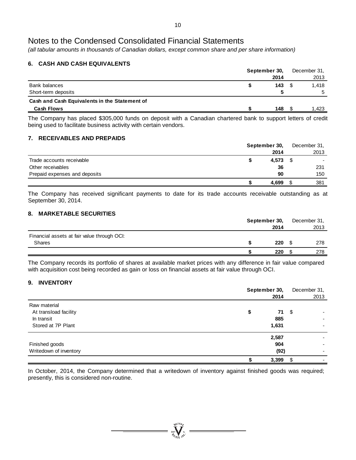*(all tabular amounts in thousands of Canadian dollars, except common share and per share information)*

# **6. CASH AND CASH EQUIVALENTS**

|                                               | September 30, | December 31, |
|-----------------------------------------------|---------------|--------------|
|                                               | 2014          | 2013         |
| Bank balances                                 | 143           | 1.418        |
| Short-term deposits                           |               | 5            |
| Cash and Cash Equivalents in the Statement of |               |              |
| Cash Flows                                    | 148           | 1.423        |

The Company has placed \$305,000 funds on deposit with a Canadian chartered bank to support letters of credit being used to facilitate business activity with certain vendors.

## **7. RECEIVABLES AND PREPAIDS**

|                               | September 30, | December 31, |  |
|-------------------------------|---------------|--------------|--|
|                               | 2014          | 2013         |  |
| Trade accounts receivable     | 4,573         | $\sim$       |  |
| Other receivables             | 36            | 231          |  |
| Prepaid expenses and deposits | 90            | 150          |  |
|                               | 4.699         | 381          |  |

The Company has received significant payments to date for its trade accounts receivable outstanding as at September 30, 2014.

# **8. MARKETABLE SECURITIES**

|                                             | September 30, | December 31, |
|---------------------------------------------|---------------|--------------|
|                                             | 2014          | 2013         |
| Financial assets at fair value through OCI: |               |              |
| <b>Shares</b>                               | 220           | 278          |
|                                             | 220           | 278          |

The Company records its portfolio of shares at available market prices with any difference in fair value compared with acquisition cost being recorded as gain or loss on financial assets at fair value through OCI.

# **9. INVENTORY**

|                        | September 30, | December 31, |
|------------------------|---------------|--------------|
|                        | 2014          | 2013         |
| Raw material           |               |              |
| At transload facility  | 71<br>\$      | - \$         |
| In transit             | 885           |              |
| Stored at 7P Plant     | 1,631         |              |
|                        | 2,587         |              |
| Finished goods         | 904           |              |
| Writedown of inventory | (92)          |              |
|                        | 3,399         | -\$          |

In October, 2014, the Company determined that a writedown of inventory against finished goods was required; presently, this is considered non-routine.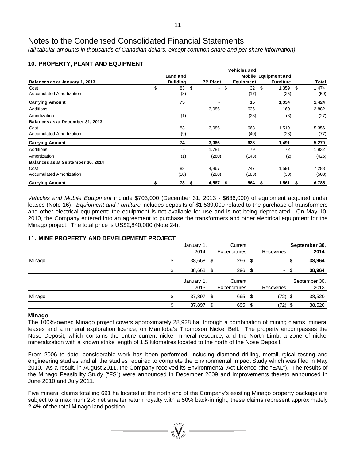*(all tabular amounts in thousands of Canadian dollars, except common share and per share information)*

# **10. PROPERTY, PLANT AND EQUIPMENT**

|                                   |                 |                      | <b>Vehicles and</b> |                      |             |
|-----------------------------------|-----------------|----------------------|---------------------|----------------------|-------------|
|                                   | Land and        |                      |                     | Mobile Equipment and |             |
| Balances as at January 1, 2013    | <b>Building</b> | <b>7P Plant</b>      | <b>Equipment</b>    | <b>Furniture</b>     | Total       |
| Cost                              | \$<br>83<br>\$  | \$<br>$\blacksquare$ | 32                  | \$<br>1,359          | \$<br>1,474 |
| Accumulated Amortization          | (8)             |                      | (17)                | (25)                 | (50)        |
| <b>Carrying Amount</b>            | 75              |                      | 15                  | 1,334                | 1,424       |
| Additions                         |                 | 3,086                | 636                 | 160                  | 3,882       |
| Amortization                      | (1)             | -                    | (23)                | (3)                  | (27)        |
| Balances as at December 31, 2013  |                 |                      |                     |                      |             |
| Cost                              | 83              | 3,086                | 668                 | 1,519                | 5,356       |
| <b>Accumulated Amortization</b>   | (9)             |                      | (40)                | (28)                 | (77)        |
| <b>Carrying Amount</b>            | 74              | 3,086                | 628                 | 1,491                | 5,279       |
| Additions                         |                 | 1,781                | 79                  | 72                   | 1,932       |
| Amortization                      | (1)             | (280)                | (143)               | (2)                  | (426)       |
| Balances as at September 30, 2014 |                 |                      |                     |                      |             |
| Cost                              | 83              | 4,867                | 747                 | 1,591                | 7,288       |
| <b>Accumulated Amortization</b>   | (10)            | (280)                | (183)               | (30)                 | (503)       |
| <b>Carrying Amount</b>            | \$<br>73<br>\$  | 4,587<br>\$          | 564                 | 1,561<br>5           | 6,785<br>S  |

*Vehicles and Mobile Equipment* include \$703,000 (December 31, 2013 - \$636,000) of equipment acquired under leases (Note 16). *Equipment and Furniture* includes deposits of \$1,539,000 related to the purchase of transformers and other electrical equipment; the equipment is not available for use and is not being depreciated. On May 10, 2010, the Company entered into an agreement to purchase the transformers and other electrical equipment for the Minago project. The total price is US\$2,840,000 (Note 24).

# **11. MINE PROPERTY AND DEVELOPMENT PROJECT**

|        | Current<br>January 1, |    |              |      |            | September 30, |               |
|--------|-----------------------|----|--------------|------|------------|---------------|---------------|
|        | 2014                  |    | Expenditures |      | Recoveries |               | 2014          |
| Minago | \$<br>38,668 \$       |    | $296$ \$     |      |            | - \$          | 38,964        |
|        | 38,668 \$             |    | $296$ \$     |      | ٠          |               | 38,964        |
|        | January 1,            |    | Current      |      |            |               | September 30, |
|        | 2013                  |    | Expenditures |      | Recoveries |               | 2013          |
| Minago | \$<br>37,897 \$       |    | 695 \$       |      | $(72)$ \$  |               | 38,520        |
|        | 37,897                | \$ | 695          | - \$ | $(72)$ \$  |               | 38,520        |

### **Minago**

The 100%-owned Minago project covers approximately 28,928 ha, through a combination of mining claims, mineral leases and a mineral exploration licence, on Manitoba's Thompson Nickel Belt. The property encompasses the Nose Deposit, which contains the entire current nickel mineral resource, and the North Limb, a zone of nickel mineralization with a known strike length of 1.5 kilometres located to the north of the Nose Deposit.

From 2006 to date, considerable work has been performed, including diamond drilling, metallurgical testing and engineering studies and all the studies required to complete the Environmental Impact Study which was filed in May 2010. As a result, in August 2011, the Company received its Environmental Act Licence (the "EAL"). The results of the Minago Feasibility Study ("FS") were announced in December 2009 and improvements thereto announced in June 2010 and July 2011.

Five mineral claims totalling 691 ha located at the north end of the Company's existing Minago property package are subject to a maximum 2% net smelter return royalty with a 50% back-in right; these claims represent approximately 2.4% of the total Minago land position.

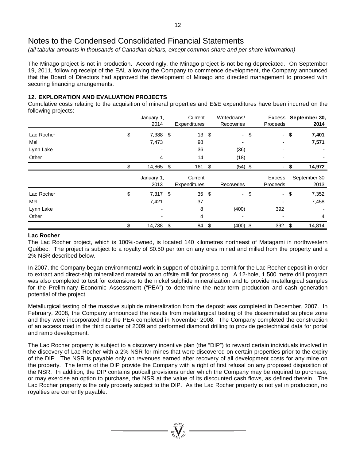*(all tabular amounts in thousands of Canadian dollars, except common share and per share information)*

The Minago project is not in production. Accordingly, the Minago project is not being depreciated. On September 19, 2011, following receipt of the EAL allowing the Company to commence development, the Company announced that the Board of Directors had approved the development of Minago and directed management to proceed with securing financing arrangements.

### **12. EXPLORATION AND EVALUATION PROJECTS**

Cumulative costs relating to the acquisition of mineral properties and E&E expenditures have been incurred on the following projects:

|            | January 1,<br>2014 |     | Current<br>Expenditures |                         | Writedowns/<br>Recoveries | Proceeds                       |      | Excess September 30,<br>2014 |
|------------|--------------------|-----|-------------------------|-------------------------|---------------------------|--------------------------------|------|------------------------------|
| Lac Rocher | \$<br>7,388        | -\$ | 13                      | $\sqrt[6]{\frac{1}{2}}$ | $\overline{\phantom{0}}$  | \$                             | - \$ | 7,401                        |
| Mel        | 7,473              |     | 98                      |                         |                           |                                |      | 7,571                        |
| Lynn Lake  |                    |     | 36                      |                         | (36)                      |                                |      |                              |
| Other      | 4                  |     | 14                      |                         | (18)                      |                                |      |                              |
|            | 14,865             | -\$ | 161 \$                  |                         | $(54)$ \$                 |                                |      | 14,972                       |
|            | January 1,<br>2013 |     | Current<br>Expenditures |                         | Recoveries                | <b>Excess</b><br>Proceeds      |      | September 30,<br>2013        |
| Lac Rocher | \$<br>7,317 \$     |     | 35                      | \$                      | $\overline{\phantom{a}}$  | \$<br>$\overline{\phantom{a}}$ | \$   | 7,352                        |
| Mel        | 7,421              |     | 37                      |                         |                           |                                |      | 7,458                        |
| Lynn Lake  |                    |     | 8                       |                         | (400)                     | 392                            |      |                              |
| Other      |                    |     | 4                       |                         |                           |                                |      | 4                            |
|            | \$<br>14,738 \$    |     | 84                      | \$                      | $(400)$ \$                | 392                            | \$   | 14,814                       |

### **Lac Rocher**

The Lac Rocher project, which is 100%-owned, is located 140 kilometres northeast of Matagami in northwestern Québec. The project is subject to a royalty of \$0.50 per ton on any ores mined and milled from the property and a 2% NSR described below.

In 2007, the Company began environmental work in support of obtaining a permit for the Lac Rocher deposit in order to extract and direct-ship mineralized material to an offsite mill for processing. A 12-hole, 1,500 metre drill program was also completed to test for extensions to the nickel sulphide mineralization and to provide metallurgical samples for the Preliminary Economic Assessment ("PEA") to determine the near-term production and cash generation potential of the project.

Metallurgical testing of the massive sulphide mineralization from the deposit was completed in December, 2007. In February, 2008, the Company announced the results from metallurgical testing of the disseminated sulphide zone and they were incorporated into the PEA completed in November 2008. The Company completed the construction of an access road in the third quarter of 2009 and performed diamond drilling to provide geotechnical data for portal and ramp development.

The Lac Rocher property is subject to a discovery incentive plan (the "DIP") to reward certain individuals involved in the discovery of Lac Rocher with a 2% NSR for mines that were discovered on certain properties prior to the expiry of the DIP. The NSR is payable only on revenues earned after recovery of all development costs for any mine on the property. The terms of the DIP provide the Company with a right of first refusal on any proposed disposition of the NSR. In addition, the DIP contains put/call provisions under which the Company may be required to purchase, or may exercise an option to purchase, the NSR at the value of its discounted cash flows, as defined therein. The Lac Rocher property is the only property subject to the DIP. As the Lac Rocher property is not yet in production, no royalties are currently payable.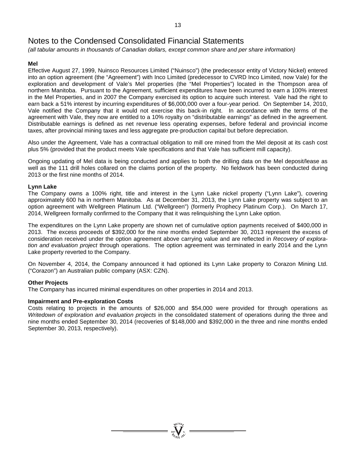*(all tabular amounts in thousands of Canadian dollars, except common share and per share information)*

# **Mel**

Effective August 27, 1999, Nuinsco Resources Limited ("Nuinsco") (the predecessor entity of Victory Nickel) entered into an option agreement (the "Agreement") with Inco Limited (predecessor to CVRD Inco Limited, now Vale) for the exploration and development of Vale's Mel properties (the "Mel Properties") located in the Thompson area of northern Manitoba. Pursuant to the Agreement, sufficient expenditures have been incurred to earn a 100% interest in the Mel Properties, and in 2007 the Company exercised its option to acquire such interest. Vale had the right to earn back a 51% interest by incurring expenditures of \$6,000,000 over a four-year period. On September 14, 2010, Vale notified the Company that it would not exercise this back-in right. In accordance with the terms of the agreement with Vale, they now are entitled to a 10% royalty on "distributable earnings" as defined in the agreement. Distributable earnings is defined as net revenue less operating expenses, before federal and provincial income taxes, after provincial mining taxes and less aggregate pre-production capital but before depreciation.

Also under the Agreement, Vale has a contractual obligation to mill ore mined from the Mel deposit at its cash cost plus 5% (provided that the product meets Vale specifications and that Vale has sufficient mill capacity).

Ongoing updating of Mel data is being conducted and applies to both the drilling data on the Mel deposit/lease as well as the 111 drill holes collared on the claims portion of the property. No fieldwork has been conducted during 2013 or the first nine months of 2014.

## **Lynn Lake**

The Company owns a 100% right, title and interest in the Lynn Lake nickel property ("Lynn Lake"), covering approximately 600 ha in northern Manitoba. As at December 31, 2013, the Lynn Lake property was subject to an option agreement with Wellgreen Platinum Ltd. ("Wellgreen") (formerly Prophecy Platinum Corp.). On March 17, 2014, Wellgreen formally confirmed to the Company that it was relinquishing the Lynn Lake option.

The expenditures on the Lynn Lake property are shown net of cumulative option payments received of \$400,000 in 2013. The excess proceeds of \$392,000 for the nine months ended September 30, 2013 represent the excess of consideration received under the option agreement above carrying value and are reflected in *Recovery of exploration and evaluation project* through operations. The option agreement was terminated in early 2014 and the Lynn Lake property reverted to the Company.

On November 4, 2014, the Company announced it had optioned its Lynn Lake property to Corazon Mining Ltd. ("Corazon") an Australian public company (ASX: CZN).

# **Other Projects**

The Company has incurred minimal expenditures on other properties in 2014 and 2013.

# **Impairment and Pre-exploration Costs**

Costs relating to projects in the amounts of \$26,000 and \$54,000 were provided for through operations as *Writedown of exploration and evaluation projects* in the consolidated statement of operations during the three and nine months ended September 30, 2014 (recoveries of \$148,000 and \$392,000 in the three and nine months ended September 30, 2013, respectively).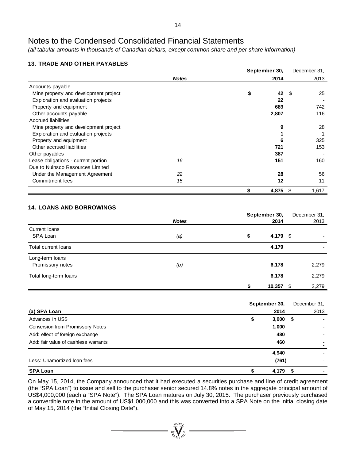*(all tabular amounts in thousands of Canadian dollars, except common share and per share information)*

# **13. TRADE AND OTHER PAYABLES**

|                                       |              | September 30, |       | December 31. |  |  |
|---------------------------------------|--------------|---------------|-------|--------------|--|--|
|                                       | <b>Notes</b> |               | 2014  | 2013         |  |  |
| Accounts payable                      |              |               |       |              |  |  |
| Mine property and development project |              | \$            | 42    | 25<br>- \$   |  |  |
| Exploration and evaluation projects   |              |               | 22    |              |  |  |
| Property and equipment                |              |               | 689   | 742          |  |  |
| Other accounts payable                |              |               | 2,807 | 116          |  |  |
| <b>Accrued liabilities</b>            |              |               |       |              |  |  |
| Mine property and development project |              |               | 9     | 28           |  |  |
| Exploration and evaluation projects   |              |               |       |              |  |  |
| Property and equipment                |              |               | 6     | 325          |  |  |
| Other accrued liabilities             |              |               | 721   | 153          |  |  |
| Other payables                        |              |               | 387   |              |  |  |
| Lease obligations - current portion   | 16           |               | 151   | 160          |  |  |
| Due to Nuinsco Resources Limited      |              |               |       |              |  |  |
| Under the Management Agreement        | 22           |               | 28    | 56           |  |  |
| Commitment fees                       | 15           |               | 12    | 11           |  |  |
|                                       |              | \$            | 4,875 | \$<br>1,617  |  |  |

# **14. LOANS AND BORROWINGS**

|                       |              | September 30,  |              |  |  |  |  |
|-----------------------|--------------|----------------|--------------|--|--|--|--|
|                       | <b>Notes</b> | 2014           | 2013         |  |  |  |  |
| Current Ioans         |              |                |              |  |  |  |  |
| SPA Loan              | (a)          | \$<br>4,179 \$ | ۰            |  |  |  |  |
| Total current loans   |              | 4,179          |              |  |  |  |  |
| Long-term loans       |              |                |              |  |  |  |  |
| Promissory notes      | (b)          | 6,178          | 2,279        |  |  |  |  |
| Total long-term loans |              | 6,178          | 2,279        |  |  |  |  |
|                       |              | 10,357         | 2,279<br>-\$ |  |  |  |  |

|                                         | September 30, |       | December 31, |      |
|-----------------------------------------|---------------|-------|--------------|------|
| (a) SPA Loan                            |               | 2014  |              | 2013 |
| Advances in US\$                        | \$            | 3,000 | - \$         |      |
| <b>Conversion from Promissory Notes</b> |               | 1,000 |              |      |
| Add: effect of foreign exchange         |               | 480   |              |      |
| Add: fair value of cashless warrants    |               | 460   |              |      |
|                                         |               | 4,940 |              |      |
| Less: Unamortized Ioan fees             |               | (761) |              |      |
| <b>SPA Loan</b>                         |               | 4,179 | - \$         |      |

On May 15, 2014, the Company announced that it had executed a securities purchase and line of credit agreement (the "SPA Loan") to issue and sell to the purchaser senior secured 14.8% notes in the aggregate principal amount of US\$4,000,000 (each a "SPA Note"). The SPA Loan matures on July 30, 2015. The purchaser previously purchased a convertible note in the amount of US\$1,000,000 and this was converted into a SPA Note on the initial closing date of May 15, 2014 (the "Initial Closing Date").

 $\sum_{n=1}^{N^{(10)}_{N}}$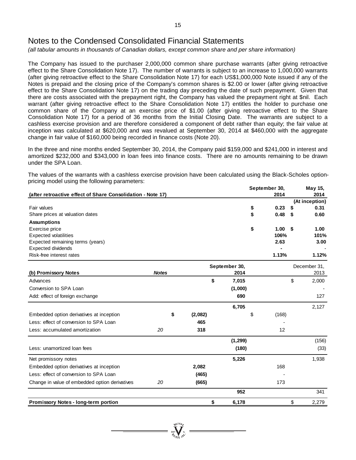*(all tabular amounts in thousands of Canadian dollars, except common share and per share information)*

The Company has issued to the purchaser 2,000,000 common share purchase warrants (after giving retroactive effect to the Share Consolidation Note 17). The number of warrants is subject to an increase to 1,000,000 warrants (after giving retroactive effect to the Share Consolidation Note 17) for each US\$1,000,000 Note issued if any of the Notes is prepaid and the closing price of the Company's common shares is \$2.00 or lower (after giving retroactive effect to the Share Consolidation Note 17) on the trading day preceding the date of such prepayment. Given that there are costs associated with the prepayment right, the Company has valued the prepayment right at \$nil. Each warrant (after giving retroactive effect to the Share Consolidation Note 17) entitles the holder to purchase one common share of the Company at an exercise price of \$1.00 (after giving retroactive effect to the Share Consolidation Note 17) for a period of 36 months from the Initial Closing Date. The warrants are subject to a cashless exercise provision and are therefore considered a component of debt rather than equity; the fair value at inception was calculated at \$620,000 and was revalued at September 30, 2014 at \$460,000 with the aggregate change in fair value of \$160,000 being recorded in finance costs (Note 20).

In the three and nine months ended September 30, 2014, the Company paid \$159,000 and \$241,000 in interest and amortized \$232,000 and \$343,000 in loan fees into finance costs. There are no amounts remaining to be drawn under the SPA Loan.

The values of the warrants with a cashless exercise provision have been calculated using the Black-Scholes optionpricing model using the following parameters:

|                                                             |               |    |         |    |          | September 30, |       | May 15,      |                |
|-------------------------------------------------------------|---------------|----|---------|----|----------|---------------|-------|--------------|----------------|
| (after retroactive effect of Share Consolidation - Note 17) |               |    |         |    |          |               | 2014  |              | 2014           |
|                                                             |               |    |         |    |          |               |       |              | (At inception) |
| Fair values                                                 |               |    |         |    |          | \$            | 0.23  |              | 0.31           |
| Share prices at valuation dates                             |               |    |         |    |          | \$            | 0.48  | S            | 0.60           |
| <b>Assumptions</b>                                          |               |    |         |    |          |               |       |              |                |
| Exercise price                                              |               |    |         |    |          | \$            | 1.00  | \$           | 1.00           |
| <b>Expected volatilities</b>                                |               |    |         |    |          |               | 106%  |              | 101%           |
| Expected remaining terms (years)                            |               |    |         |    |          |               | 2.63  |              | 3.00           |
| <b>Expected dividends</b>                                   |               |    |         |    |          |               |       |              |                |
| Risk-free interest rates                                    |               |    |         |    |          |               | 1.13% |              | 1.12%          |
|                                                             | September 30, |    |         |    |          |               |       | December 31, |                |
| (b) Promissory Notes                                        | <b>Notes</b>  |    |         |    | 2014     |               |       |              | 2013           |
| Advances                                                    |               |    |         | \$ | 7,015    |               |       | \$           | 2,000          |
| Conversion to SPA Loan                                      |               |    |         |    | (1,000)  |               |       |              |                |
| Add: effect of foreign exchange                             |               |    |         |    | 690      |               |       |              | 127            |
|                                                             |               |    |         |    | 6,705    |               |       |              | 2,127          |
| Embedded option derivatives at inception                    |               | \$ | (2,082) |    |          | \$            | (168) |              |                |
| Less: effect of conversion to SPA Loan                      |               |    | 465     |    |          |               |       |              |                |
| Less: accumulated amortization                              | 20            |    | 318     |    |          |               | 12    |              |                |
|                                                             |               |    |         |    | (1, 299) |               |       |              | (156)          |
| Less: unamortized loan fees                                 |               |    |         |    | (180)    |               |       |              | (33)           |
| Net promissory notes                                        |               |    |         |    | 5,226    |               |       |              | 1,938          |
| Embedded option derivatives at inception                    |               |    | 2,082   |    |          |               | 168   |              |                |
| Less: effect of conversion to SPA Loan                      |               |    | (465)   |    |          |               |       |              |                |
| Change in value of embedded option derivatives              | 20            |    | (665)   |    |          |               | 173   |              |                |
|                                                             |               |    |         |    | 952      |               |       |              | 341            |
| Promissory Notes - long-term portion                        |               |    |         | \$ | 6.178    |               |       | \$           | 2,279          |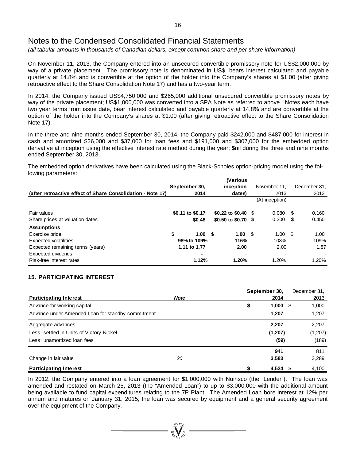*(all tabular amounts in thousands of Canadian dollars, except common share and per share information)*

On November 11, 2013, the Company entered into an unsecured convertible promissory note for US\$2,000,000 by way of a private placement. The promissory note is denominated in US\$, bears interest calculated and payable quarterly at 14.8% and is convertible at the option of the holder into the Company's shares at \$1.00 (after giving retroactive effect to the Share Consolidation Note 17) and has a two-year term.

In 2014, the Company issued US\$4,750,000 and \$265,000 additional unsecured convertible promissory notes by way of the private placement; US\$1,000,000 was converted into a SPA Note as referred to above. Notes each have two year terms from issue date, bear interest calculated and payable quarterly at 14.8% and are convertible at the option of the holder into the Company's shares at \$1.00 (after giving retroactive effect to the Share Consolidation Note 17).

In the three and nine months ended September 30, 2014, the Company paid \$242,000 and \$487,000 for interest in cash and amortized \$26,000 and \$37,000 for loan fees and \$191,000 and \$307,000 for the embedded option derivative at inception using the effective interest rate method during the year; \$nil during the three and nine months ended September 30, 2013.

The embedded option derivatives have been calculated using the Black-Scholes option-pricing model using the following parameters:

|                                                             |                  |        | <i><b>Narious</b></i> |                 |      |              |
|-------------------------------------------------------------|------------------|--------|-----------------------|-----------------|------|--------------|
|                                                             | September 30,    |        | inception             | November 11.    |      | December 31, |
| (after retroactive effect of Share Consolidation - Note 17) |                  | 2014   | dates)                | 2013            |      | 2013         |
|                                                             |                  |        |                       | (At inception)  |      |              |
| Fair values                                                 | \$0.11 to \$0.17 |        | \$0.22 to \$0.40 \$   | 0.080           | - \$ | 0.160        |
| Share prices at valuation dates                             |                  | \$0.48 | \$0.50 to \$0.70 \$   | 0.300           | S    | 0.450        |
| <b>Assumptions</b>                                          |                  |        |                       |                 |      |              |
| Exercise price                                              | \$               | 1.00 S | 1.00 S                | $1.00 \quad$ \$ |      | 1.00         |
| <b>Expected volatilities</b>                                | 98% to 109%      |        | 116%                  | 103%            |      | 109%         |
| Expected remaining terms (years)                            | 1.11 to 1.77     |        | 2.00                  | 2.00            |      | 1.87         |
| Expected dividends                                          |                  |        | ۰                     |                 |      |              |
| Risk-free interest rates                                    |                  | 1.12%  | 1.20%                 | 1.20%           |      | 1.20%        |

# **15. PARTICIPATING INTEREST**

|                                                   |             | September 30, |            | December 31. |
|---------------------------------------------------|-------------|---------------|------------|--------------|
| <b>Participating Interest</b>                     | <b>Note</b> | 2014          |            | 2013         |
| Advance for working capital                       |             | 1,000<br>\$   | - \$       | 1,000        |
| Advance under Amended Loan for standby commitment |             | 1,207         |            | 1,207        |
| Aggregate advances                                |             | 2,207         |            | 2,207        |
| Less: settled in Units of Victory Nickel          |             | (1, 207)      |            | (1, 207)     |
| Less: unamortized loan fees                       |             |               | (59)       | (189)        |
|                                                   |             | 941           |            | 811          |
| Change in fair value                              | 20          | 3,583         |            | 3,289        |
| <b>Participating Interest</b>                     |             |               | $4,524$ \$ | 4,100        |

In 2012, the Company entered into a loan agreement for \$1,000,000 with Nuinsco (the "Lender"). The loan was amended and restated on March 25, 2013 (the "Amended Loan") to up to \$3,000,000 with the additional amount being available to fund capital expenditures relating to the 7P Plant. The Amended Loan bore interest at 12% per annum and matures on January 31, 2015; the loan was secured by equipment and a general security agreement over the equipment of the Company.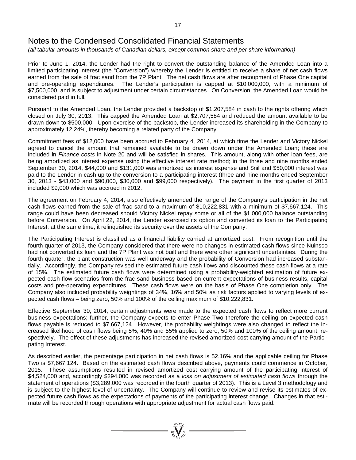*(all tabular amounts in thousands of Canadian dollars, except common share and per share information)*

Prior to June 1, 2014, the Lender had the right to convert the outstanding balance of the Amended Loan into a limited participating interest (the "Conversion") whereby the Lender is entitled to receive a share of net cash flows earned from the sale of frac sand from the 7P Plant. The net cash flows are after recoupment of Phase One capital and pre-operating expenditures. The Lender's participation is capped at \$10,000,000, with a minimum of \$7,500,000, and is subject to adjustment under certain circumstances. On Conversion, the Amended Loan would be considered paid in full.

Pursuant to the Amended Loan, the Lender provided a backstop of \$1,207,584 in cash to the rights offering which closed on July 30, 2013. This capped the Amended Loan at \$2,707,584 and reduced the amount available to be drawn down to \$500,000. Upon exercise of the backstop, the Lender increased its shareholding in the Company to approximately 12.24%, thereby becoming a related party of the Company.

Commitment fees of \$12,000 have been accrued to February 4, 2014, at which time the Lender and Victory Nickel agreed to cancel the amount that remained available to be drawn down under the Amended Loan; these are included in *Finance costs* in Note 20 and will be satisfied in shares. This amount, along with other loan fees, are being amortized as interest expense using the effective interest rate method; in the three and nine months ended September 30, 2014, \$44,000 and \$131,000 was amortized as interest expense and \$nil and \$50,000 interest was paid to the Lender in cash up to the conversion to a participating interest (three and nine months ended September 30, 2013 - \$43,000 and \$90,000, \$30,000 and \$99,000 respectively). The payment in the first quarter of 2013 included \$9,000 which was accrued in 2012.

The agreement on February 4, 2014, also effectively amended the range of the Company's participation in the net cash flows earned from the sale of frac sand to a maximum of \$10,222,831 with a minimum of \$7,667,124. This range could have been decreased should Victory Nickel repay some or all of the \$1,000,000 balance outstanding before Conversion. On April 22, 2014, the Lender exercised its option and converted its loan to the Participating Interest; at the same time, it relinquished its security over the assets of the Company.

The Participating Interest is classified as a financial liability carried at amortized cost. From recognition until the fourth quarter of 2013, the Company considered that there were no changes in estimated cash flows since Nuinsco had not converted its loan and the 7P Plant was not built and there were other significant uncertainties. During the fourth quarter, the plant construction was well underway and the probability of Conversion had increased substantially. Accordingly, the Company revised the estimated future cash flows and discounted these cash flows at a rate of 15%. The estimated future cash flows were determined using a probability-weighted estimation of future expected cash flow scenarios from the frac sand business based on current expectations of business results, capital costs and pre-operating expenditures. These cash flows were on the basis of Phase One completion only. The Company also included probability weightings of 34%, 16% and 50% as risk factors applied to varying levels of expected cash flows – being zero, 50% and 100% of the ceiling maximum of \$10,222,831.

Effective September 30, 2014, certain adjustments were made to the expected cash flows to reflect more current business expectations; further, the Company expects to enter Phase Two therefore the ceiling on expected cash flows payable is reduced to \$7,667,124. However, the probability weightings were also changed to reflect the increased likelihood of cash flows being 5%, 40% and 55% applied to zero, 50% and 100% of the ceiling amount, respectively. The effect of these adjustments has increased the revised amortized cost carrying amount of the Participating Interest.

As described earlier, the percentage participation in net cash flows is 52.16% and the applicable ceiling for Phase Two is \$7,667,124. Based on the estimated cash flows described above, payments could commence in October, 2015. These assumptions resulted in revised amortized cost carrying amount of the participating interest of \$4,524,000 and, accordingly \$294,000 was recorded as a *loss on adjustment of estimated cash flows* through the statement of operations (\$3,289,000 was recorded in the fourth quarter of 2013). This is a Level 3 methodology and is subject to the highest level of uncertainty. The Company will continue to review and revise its estimates of expected future cash flows as the expectations of payments of the participating interest change. Changes in that estimate will be recorded through operations with appropriate adjustment for actual cash flows paid.

 $\sum_{200\text{V}}^{30\text{O}n_p} =$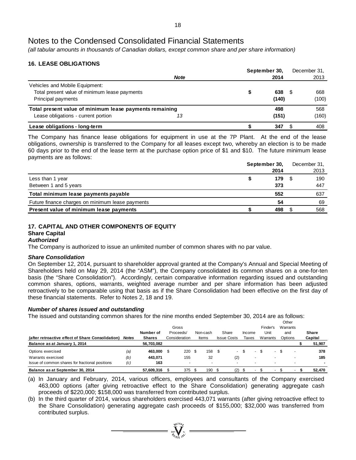*(all tabular amounts in thousands of Canadian dollars, except common share and per share information)*

# **16. LEASE OBLIGATIONS**

|                                                         | September 30, |  | December 31. |      |       |
|---------------------------------------------------------|---------------|--|--------------|------|-------|
|                                                         | <b>Note</b>   |  | 2014         |      | 2013  |
| Vehicles and Mobile Equipment:                          |               |  |              |      |       |
| Total present value of minimum lease payments           |               |  | 638          | - 35 | 668   |
| Principal payments                                      |               |  | (140)        |      | (100) |
| Total present value of minimum lease payments remaining |               |  | 498          |      | 568   |
| Lease obligations - current portion                     | 13            |  | (151)        |      | (160) |
| Lease obligations - long-term                           |               |  | 347          |      | 408   |

The Company has finance lease obligations for equipment in use at the 7P Plant. At the end of the lease obligations, ownership is transferred to the Company for all leases except two, whereby an election is to be made 60 days prior to the end of the lease term at the purchase option price of \$1 and \$10. The future minimum lease payments are as follows:

|  |      |               | December 31, |
|--|------|---------------|--------------|
|  | 2014 |               | 2013         |
|  | 179  |               | 190          |
|  | 373  |               | 447          |
|  | 552  |               | 637          |
|  | 54   |               | 69           |
|  | 498  |               | 568          |
|  |      | September 30, |              |

# **17. CAPITAL AND OTHER COMPONENTS OF EQUITY**

#### **Share Capital** *Authorized*

The Company is authorized to issue an unlimited number of common shares with no par value.

### *Share Consolidation*

On September 12, 2014, pursuant to shareholder approval granted at the Company's Annual and Special Meeting of Shareholders held on May 29, 2014 (the "ASM"), the Company consolidated its common shares on a one-for-ten basis (the "Share Consolidation"). Accordingly, certain comparative information regarding issued and outstanding common shares, options, warrants, weighted average number and per share information has been adjusted retroactively to be comparable using that basis as if the Share Consolidation had been effective on the first day of these financial statements. Refer to Notes 2, 18 and 19.

# *Number of shares issued and outstanding*

The issued and outstanding common shares for the nine months ended September 30, 2014 are as follows:

|                                                                                    |              |                             |                    |          |                    |        |                          | Other<br>Warrants        |                          |
|------------------------------------------------------------------------------------|--------------|-----------------------------|--------------------|----------|--------------------|--------|--------------------------|--------------------------|--------------------------|
|                                                                                    |              | Number of                   | Gross<br>Proceeds/ | Non-cash | Share              | Income | Finder's<br>Unit         | and                      | <b>Share</b>             |
| (after retroactive effect of Share Consolidation)<br>Balance as at January 1, 2014 | <b>Notes</b> | <b>Shares</b><br>56,703,082 | Consideration      | Items    | <b>Issue Costs</b> | Taxes  | Warrants                 | Options                  | Capital<br>51,907        |
| Options exercised                                                                  | (a)          | 463.000                     | 220S               | 158      | $\sim$             |        | ۰                        |                          | 378                      |
| Warrants exercised                                                                 | (b)          | 443.071                     | 155                | 32       | (2)                |        | -                        | $\overline{\phantom{a}}$ | 185                      |
| Issue of common shares for fractional positions                                    | (c)          | 163                         | ٠                  |          | ۰                  |        |                          |                          | $\overline{\phantom{a}}$ |
| Balance as at September 30, 2014                                                   |              | 57.609.316                  | 375                | 190      | (2)                |        | $\overline{\phantom{a}}$ |                          | 52.470                   |

(a) In January and February, 2014, various officers, employees and consultants of the Company exercised 463,000 options (after giving retroactive effect to the Share Consolidation) generating aggregate cash proceeds of \$220,000; \$158,000 was transferred from contributed surplus.

(b) In the third quarter of 2014, various shareholders exercised 443,071 warrants (after giving retroactive effect to the Share Consolidation) generating aggregate cash proceeds of \$155,000; \$32,000 was transferred from contributed surplus.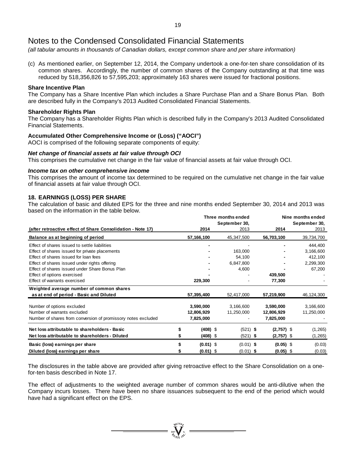*(all tabular amounts in thousands of Canadian dollars, except common share and per share information)*

(c) As mentioned earlier, on September 12, 2014, the Company undertook a one-for-ten share consolidation of its common shares. Accordingly, the number of common shares of the Company outstanding at that time was reduced by 518,356,826 to 57,595,203; approximately 163 shares were issued for fractional positions.

#### **Share Incentive Plan**

The Company has a Share Incentive Plan which includes a Share Purchase Plan and a Share Bonus Plan. Both are described fully in the Company's 2013 Audited Consolidated Financial Statements.

#### **Shareholder Rights Plan**

The Company has a Shareholder Rights Plan which is described fully in the Company's 2013 Audited Consolidated Financial Statements.

### **Accumulated Other Comprehensive Income or (Loss) ("AOCI")**

AOCI is comprised of the following separate components of equity:

#### *Net change of financial assets at fair value through OCI*

This comprises the cumulative net change in the fair value of financial assets at fair value through OCI.

#### *Income tax on other comprehensive income*

This comprises the amount of income tax determined to be required on the cumulative net change in the fair value of financial assets at fair value through OCI.

### **18. EARNINGS (LOSS) PER SHARE**

The calculation of basic and diluted EPS for the three and nine months ended September 30, 2014 and 2013 was based on the information in the table below.

|                                                               |             | Three months ended | Nine months ended |               |  |  |  |
|---------------------------------------------------------------|-------------|--------------------|-------------------|---------------|--|--|--|
|                                                               |             | September 30,      |                   | September 30, |  |  |  |
| (after retroactive effect of Share Consolidation - Note 17)   | 2014        | 2013               | 2014              | 2013          |  |  |  |
| Balance as at beginning of period                             | 57,166,100  | 45,347,500         | 56,703,100        | 39,734,700    |  |  |  |
| Effect of shares issued to settle liabilities                 |             |                    |                   | 444,400       |  |  |  |
| Effect of shares issued for private placements                |             | 163,000            |                   | 3,166,600     |  |  |  |
| Effect of shares issued for loan fees                         |             | 54,100             |                   | 412,100       |  |  |  |
| Effect of shares issued under rights offering                 |             | 6,847,800          |                   | 2,299,300     |  |  |  |
| Effect of shares issued under Share Bonus Plan                |             | 4,600              |                   | 67,200        |  |  |  |
| Effect of options exercised                                   |             |                    | 439,500           |               |  |  |  |
| Effect of warrants exercised                                  | 229,300     |                    | 77,300            |               |  |  |  |
| Weighted average number of common shares                      |             |                    |                   |               |  |  |  |
| as at end of period - Basic and Diluted                       | 57,395,400  | 52,417,000         | 57,219,900        | 46,124,300    |  |  |  |
| Number of options excluded                                    | 3,590,000   | 3,166,600          | 3,590,000         | 3,166,600     |  |  |  |
| Number of warrants excluded                                   | 12,806,929  | 11,250,000         | 12,806,929        | 11,250,000    |  |  |  |
| Number of shares from conversion of promissory notes excluded | 7,825,000   |                    | 7,825,000         |               |  |  |  |
| Net loss attributable to shareholders - Basic                 | $(408)$ \$  | $(521)$ \$         | $(2,757)$ \$      | (1,265)       |  |  |  |
| Net loss attributable to shareholders - Diluted               | (408) \$    | $(521)$ \$         | $(2,757)$ \$      | (1, 265)      |  |  |  |
| Basic (loss) earnings per share                               | $(0.01)$ \$ | $(0.01)$ \$        | $(0.05)$ \$       | (0.03)        |  |  |  |
| Diluted (loss) earnings per share                             | $(0.01)$ \$ | $(0.01)$ \$        | $(0.05)$ \$       | (0.03)        |  |  |  |

The disclosures in the table above are provided after giving retroactive effect to the Share Consolidation on a onefor-ten basis described in Note 17.

The effect of adjustments to the weighted average number of common shares would be anti-dilutive when the Company incurs losses. There have been no share issuances subsequent to the end of the period which would have had a significant effect on the EPS.

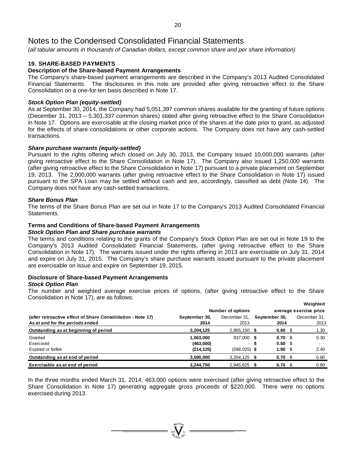*(all tabular amounts in thousands of Canadian dollars, except common share and per share information)*

# **19. SHARE-BASED PAYMENTS**

## **Description of the Share-based Payment Arrangements**

The Company's share-based payment arrangements are described in the Company's 2013 Audited Consolidated Financial Statements. The disclosures in this note are provided after giving retroactive effect to the Share Consolidation on a one-for-ten basis described in Note 17.

#### *Stock Option Plan (equity-settled)*

As at September 30, 2014, the Company had 5,051,397 common shares available for the granting of future options (December 31, 2013 – 5,301,337 common shares) stated after giving retroactive effect to the Share Consolidation in Note 17. Options are exercisable at the closing market price of the shares at the date prior to grant, as adjusted for the effects of share consolidations or other corporate actions. The Company does not have any cash-settled transactions.

#### *Share purchase warrants (equity-settled)*

Pursuant to the rights offering which closed on July 30, 2013, the Company issued 10,000,000 warrants (after giving retroactive effect to the Share Consolidation in Note 17). The Company also issued 1,250,000 warrants (after giving retroactive effect to the Share Consolidation in Note 17) pursuant to a private placement on September 19, 2013. The 2,000,000 warrants (after giving retroactive effect to the Share Consolidation in Note 17) issued pursuant to the SPA Loan may be settled without cash and are, accordingly, classified as debt (Note 14). The Company does not have any cash-settled transactions.

#### *Share Bonus Plan*

The terms of the Share Bonus Plan are set out in Note 17 to the Company's 2013 Audited Consolidated Financial Statements.

### **Terms and Conditions of Share-based Payment Arrangements**

#### *Stock Option Plan and Share purchase warrants*

The terms and conditions relating to the grants of the Company's Stock Option Plan are set out in Note 19 to the Company's 2013 Audited Consolidated Financial Statements, (after giving retroactive effect to the Share Consolidation in Note 17). The warrants issued under the rights offering in 2013 are exercisable on July 31, 2014 and expire on July 31, 2015. The Company's share purchase warrants issued pursuant to the private placement are exercisable on issue and expire on September 19, 2015.

#### **Disclosure of Share-based Payment Arrangements** *Stock Option Plan*

The number and weighted average exercise prices of options, (after giving retroactive effect to the Share Consolidation in Note 17), are as follows:

|                                                             |               |                          |                         |                        | Weighted                 |
|-------------------------------------------------------------|---------------|--------------------------|-------------------------|------------------------|--------------------------|
|                                                             |               | Number of options        |                         | average exercise price |                          |
| (after retroactive effect of Share Consolidation - Note 17) | September 30, | December 31,             | September 30,           |                        | December 31,             |
| As at and for the periods ended                             | 2014          | 2013                     | 2014                    |                        | 2013                     |
| Outstanding as at beginning of period                       | 3,204,125     | $2,865,150$ \$           | 0.80 <sup>5</sup>       |                        | 1.30                     |
| Granted                                                     | 1,063,000     | 937,000 \$               | 0.70 <sub>5</sub>       |                        | 0.30                     |
| Exercised                                                   | (463,000)     | $\overline{\phantom{a}}$ | \$<br>0.50 <sup>5</sup> |                        | $\overline{\phantom{a}}$ |
| Expired or forfeit                                          | (214, 125)    | $(598, 025)$ \$          | 1.90                    | - \$                   | 2.40                     |
| Outstanding as at end of period                             | 3,590,000     | $3,204,125$ \$           | 0.70 <sub>5</sub>       |                        | 0.80                     |
| Exercisable as at end of period                             | 3,244,750     | 2,945,625 \$             | 0.70 S                  |                        | 0.80                     |

In the three months ended March 31, 2014, 463,000 options were exercised (after giving retroactive effect to the Share Consolidation in Note 17) generating aggregate gross proceeds of \$220,000. There were no options exercised during 2013.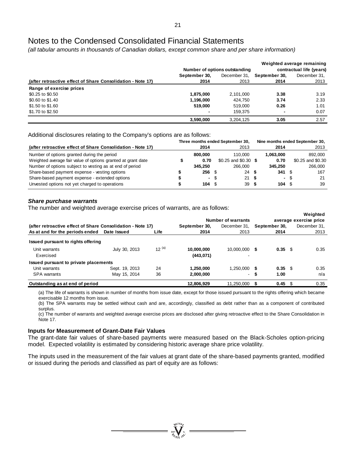*(all tabular amounts in thousands of Canadian dollars, except common share and per share information)*

|                                                             |               | Number of options outstanding | Weighted average remaining<br>contractual life (years) |              |  |  |
|-------------------------------------------------------------|---------------|-------------------------------|--------------------------------------------------------|--------------|--|--|
|                                                             | September 30, | December 31.                  | September 30,                                          | December 31. |  |  |
| (after retroactive effect of Share Consolidation - Note 17) | 2014          | 2013                          | 2014                                                   | 2013         |  |  |
| Range of exercise prices                                    |               |                               |                                                        |              |  |  |
| \$0.25 to \$0.50                                            | 1,875,000     | 2,101,000                     | 3.38                                                   | 3.19         |  |  |
| \$0.60 to \$1.40                                            | 1.196.000     | 424.750                       | 3.74                                                   | 2.33         |  |  |
| \$1.50 to \$1.60                                            | 519,000       | 519.000                       | 0.26                                                   | 1.01         |  |  |
| \$1.70 to \$2.50                                            |               | 159.375                       |                                                        | 0.07         |  |  |
|                                                             | 3,590,000     | 3.204.125                     | 3.05                                                   | 2.57         |  |  |

Additional disclosures relating to the Company's options are as follows:

|                                                              | Three months ended September 30, |                   |                        |  | Nine months ended September 30, |      |                   |  |
|--------------------------------------------------------------|----------------------------------|-------------------|------------------------|--|---------------------------------|------|-------------------|--|
| (after retroactive effect of Share Consolidation - Note 17)  |                                  | 2014              | 2013                   |  | 2014                            |      | 2013              |  |
| Number of options granted during the period                  |                                  | 800,000           | 110.000                |  | 1.063.000                       |      | 892.000           |  |
| Weighted average fair value of options granted at grant date |                                  | 0.70              | $$0.25$ and $$0.30$ \$ |  | 0.70                            |      | \$0.25 and \$0.30 |  |
| Number of options subject to vesting as at end of period     |                                  | 345.250           | 266,000                |  | 345.250                         |      | 266,000           |  |
| Share-based payment expense - vesting options                |                                  | 256 <sup>5</sup>  | 24S                    |  | 341                             | - \$ | 167               |  |
| Share-based payment expense - extended options               |                                  | - \$              | 21 S                   |  | $\sim$                          | \$.  | 21                |  |
| Unvested options not yet charged to operations               |                                  | $104 \text{ }$ \$ | 39S                    |  | $104 \text{ } $$                |      | 39                |  |

## *Share purchase warrants*

The number and weighted average exercise prices of warrants, are as follows:

|                                                             |                |            |               |                           |   |               | Weighted               |
|-------------------------------------------------------------|----------------|------------|---------------|---------------------------|---|---------------|------------------------|
|                                                             |                |            |               | <b>Number of warrants</b> |   |               | average exercise price |
| (after retroactive effect of Share Consolidation - Note 17) |                |            | September 30. | December 31.              |   | September 30. | December 31.           |
| As at and for the periods ended                             | Date Issued    | Life       | 2014          | 2013                      |   | 2014          | 2013                   |
| Issued pursuant to rights offering                          |                |            |               |                           |   |               |                        |
| Unit warrants                                               | July 30, 2013  | $12^{(a)}$ | 10.000.000    | 10.000.000 \$             |   | 0.35 S        | 0.35                   |
| Exercised                                                   |                |            | (443, 071)    |                           |   |               |                        |
| Issued pursuant to private placements                       |                |            |               |                           |   |               |                        |
| Unit warrants                                               | Sept. 19, 2013 | 24         | 1.250.000     | $1.250.000$ \$            |   | $0.35$ \$     | 0.35                   |
| <b>SPA</b> warrants                                         | May 15, 2014   | 36         | 2,000,000     | $\overline{\phantom{a}}$  | S | 1.00          | n/a                    |
| Outstanding as at end of period                             |                |            | 12,806,929    | 11,250,000                |   | 0.45          | 0.35                   |

(a) The life of warrants is shown in number of months from issue date, except for those issued pursuant to the rights offering which became exercisable 12 months from issue.

(b) The SPA warrants may be settled without cash and are, accordingly, classified as debt rather than as a component of contributed surplus.

(c) The number of warrants and weighted average exercise prices are disclosed after giving retroactive effect to the Share Consolidation in Note 17.

### **Inputs for Measurement of Grant-Date Fair Values**

The grant-date fair values of share-based payments were measured based on the Black-Scholes option-pricing model. Expected volatility is estimated by considering historic average share price volatility.

The inputs used in the measurement of the fair values at grant date of the share-based payments granted, modified or issued during the periods and classified as part of equity are as follows: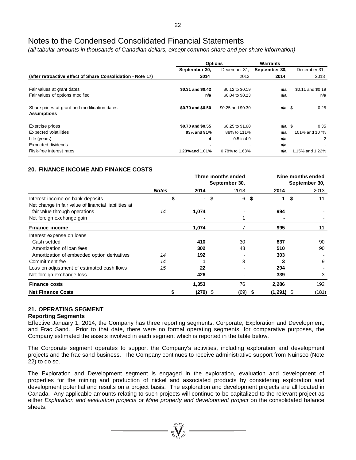*(all tabular amounts in thousands of Canadian dollars, except common share and per share information)*

|                                                                    | <b>Options</b>    |                   | Warrants       |                   |
|--------------------------------------------------------------------|-------------------|-------------------|----------------|-------------------|
|                                                                    | September 30,     | December 31,      | September 30,  | December 31,      |
| (after retroactive effect of Share Consolidation - Note 17)        | 2014              | 2013              | 2014           | 2013              |
|                                                                    |                   |                   |                |                   |
| Fair values at grant dates                                         | \$0.31 and \$0.42 | \$0.12 to \$0.19  | n/a            | \$0.11 and \$0.19 |
| Fair values of options modified                                    | n/a               | \$0.04 to \$0.23  | n/a            | n/a               |
| Share prices at grant and modification dates<br><b>Assumptions</b> | \$0.70 and \$0.50 | \$0.25 and \$0.30 | $n/a$ \$       | 0.25              |
| Exercise prices                                                    | \$0.70 and \$0.55 | \$0.25 to \$1.60  | $n/a \text{ }$ | 0.35              |
| <b>Expected volatilities</b>                                       | 93% and 91%       | 88% to 111%       | n/a            | 101% and 107%     |
| Life (years)                                                       | 4                 | $0.5$ to 4.9      | n/a            | 2                 |
| Expected dividends                                                 |                   |                   | n/a            |                   |
| Risk-free interest rates                                           | 1.23% and 1.01%   | 0.78% to 1.63%    | n/a            | 1.15% and 1.22%   |

# **20. FINANCE INCOME AND FINANCE COSTS**

|                                                      |              |            | Three months ended |              | Nine months ended |  |  |  |
|------------------------------------------------------|--------------|------------|--------------------|--------------|-------------------|--|--|--|
|                                                      |              |            | September 30,      |              | September 30,     |  |  |  |
|                                                      | <b>Notes</b> | 2014       | 2013               | 2014         | 2013              |  |  |  |
| Interest income on bank deposits                     | S            | ٠          | \$<br>6            | \$<br>1      | \$<br>11          |  |  |  |
| Net change in fair value of financial liabilities at |              |            |                    |              |                   |  |  |  |
| fair value through operations                        | 14           | 1,074      |                    | 994          |                   |  |  |  |
| Net foreign exchange gain                            |              |            |                    |              |                   |  |  |  |
| <b>Finance income</b>                                |              | 1,074      |                    | 995          | 11                |  |  |  |
| Interest expense on loans                            |              |            |                    |              |                   |  |  |  |
| Cash settled                                         |              | 410        | 30                 | 837          | 90                |  |  |  |
| Amortization of loan fees                            |              | 302        | 43                 | 510          | 90                |  |  |  |
| Amortization of embedded option derivatives          | 14           | 192        |                    | 303          |                   |  |  |  |
| Commitment fee                                       | 14           |            | 3                  |              | 9                 |  |  |  |
| Loss on adjustment of estimated cash flows           | 15           | 22         |                    | 294          |                   |  |  |  |
| Net foreign exchange loss                            |              | 426        |                    | 339          | 3                 |  |  |  |
| <b>Finance costs</b>                                 |              | 1,353      | 76                 | 2,286        | 192               |  |  |  |
| <b>Net Finance Costs</b>                             | \$           | $(279)$ \$ | (69) \$            | $(1,291)$ \$ | (181)             |  |  |  |

# **21. OPERATING SEGMENT**

### **Reporting Segments**

Effective January 1, 2014, the Company has three reporting segments: Corporate, Exploration and Development, and Frac Sand. Prior to that date, there were no formal operating segments; for comparative purposes, the Company estimated the assets involved in each segment which is reported in the table below.

The Corporate segment operates to support the Company's activities, including exploration and development projects and the frac sand business. The Company continues to receive administrative support from Nuinsco (Note 22) to do so.

The Exploration and Development segment is engaged in the exploration, evaluation and development of properties for the mining and production of nickel and associated products by considering exploration and development potential and results on a project basis. The exploration and development projects are all located in Canada. Any applicable amounts relating to such projects will continue to be capitalized to the relevant project as either *Exploration and evaluation projects* or *Mine property and development project* on the consolidated balance sheets.

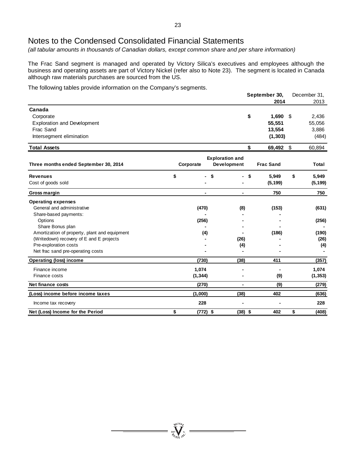*(all tabular amounts in thousands of Canadian dollars, except common share and per share information)*

The Frac Sand segment is managed and operated by Victory Silica's executives and employees although the business and operating assets are part of Victory Nickel (refer also to Note 23). The segment is located in Canada although raw materials purchases are sourced from the US.

The following tables provide information on the Company's segments.

|                                               |           |                |                        | September 30, |                  |    | December 31, |
|-----------------------------------------------|-----------|----------------|------------------------|---------------|------------------|----|--------------|
|                                               |           |                |                        |               | 2014             |    | 2013         |
| Canada                                        |           |                |                        |               |                  |    |              |
| Corporate                                     |           |                |                        | \$            | 1,690            | \$ | 2,436        |
| <b>Exploration and Development</b>            |           |                |                        |               | 55,551           |    | 55,056       |
| Frac Sand                                     |           |                |                        |               | 13,554           |    | 3,886        |
| Intersegment elimination                      |           |                |                        |               | (1, 303)         |    | (484)        |
| <b>Total Assets</b>                           |           |                |                        | \$            | 69,492           | \$ | 60,894       |
|                                               |           |                | <b>Exploration and</b> |               |                  |    |              |
| Three months ended September 30, 2014         | Corporate |                | Development            |               | <b>Frac Sand</b> |    | Total        |
| <b>Revenues</b>                               | \$        |                | \$                     | \$            | 5,949            | \$ | 5,949        |
| Cost of goods sold                            |           |                |                        |               | (5, 199)         |    | (5, 199)     |
| Gross margin                                  |           | $\blacksquare$ | $\blacksquare$         |               | 750              |    | 750          |
| <b>Operating expenses</b>                     |           |                |                        |               |                  |    |              |
| General and administrative                    |           | (470)          | (8)                    |               | (153)            |    | (631)        |
| Share-based payments:                         |           |                |                        |               |                  |    |              |
| Options                                       |           | (256)          |                        |               |                  |    | (256)        |
| Share Bonus plan                              |           |                |                        |               |                  |    |              |
| Amortization of property, plant and equipment |           | (4)            |                        |               | (186)            |    | (190)        |
| (Writedown) recovery of E and E projects      |           |                | (26)                   |               |                  |    | (26)         |
| Pre-exploration costs                         |           |                | (4)                    |               |                  |    | (4)          |
| Net frac sand pre-operating costs             |           |                |                        |               |                  |    |              |
| <b>Operating (loss) income</b>                |           | (730)          | (38)                   |               | 411              |    | (357)        |
| Finance income                                |           | 1,074          |                        |               |                  |    | 1,074        |
| Finance costs                                 |           | (1, 344)       |                        |               | (9)              |    | (1, 353)     |
| Net finance costs                             |           | (270)          | $\blacksquare$         |               | (9)              |    | (279)        |
| (Loss) income before income taxes             |           | (1,000)        | (38)                   |               | 402              |    | (636)        |
| Income tax recovery                           |           | 228            |                        |               |                  |    | 228          |
| Net (Loss) Income for the Period              | \$        | $(772)$ \$     | $(38)$ \$              |               | 402              | \$ | (408)        |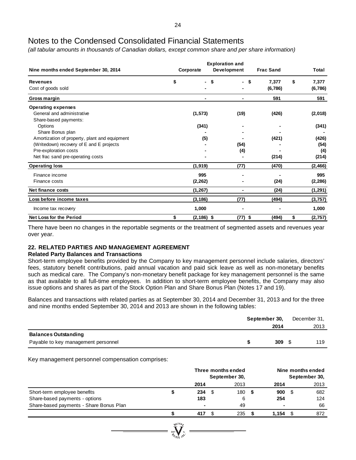*(all tabular amounts in thousands of Canadian dollars, except common share and per share information)*

| Nine months ended September 30, 2014          | <b>Exploration and</b><br>Development<br>Corporate |                |         | Total         |
|-----------------------------------------------|----------------------------------------------------|----------------|---------|---------------|
| <b>Revenues</b>                               | \$<br>\$<br>$\overline{\phantom{0}}$               | \$.            | 7,377   | \$<br>7,377   |
| Cost of goods sold                            |                                                    |                | (6,786) | (6,786)       |
| Gross margin                                  |                                                    |                | 591     | 591           |
| <b>Operating expenses</b>                     |                                                    |                |         |               |
| General and administrative                    | (1, 573)                                           | (19)           | (426)   | (2,018)       |
| Share-based payments:                         |                                                    |                |         |               |
| Options                                       | (341)                                              |                |         | (341)         |
| Share Bonus plan                              |                                                    |                |         |               |
| Amortization of property, plant and equipment | (5)                                                |                | (421)   | (426)         |
| (Writedown) recovery of E and E projects      |                                                    | (54)           |         | (54)          |
| Pre-exploration costs                         |                                                    | (4)            |         | (4)           |
| Net frac sand pre-operating costs             |                                                    |                | (214)   | (214)         |
| <b>Operating loss</b>                         | (1, 919)                                           | (77)           | (470)   | (2,466)       |
| Finance income                                | 995                                                |                |         | 995           |
| Finance costs                                 | (2, 262)                                           |                | (24)    | (2, 286)      |
| Net finance costs                             | (1, 267)                                           | $\blacksquare$ | (24)    | (1, 291)      |
| Loss before income taxes                      | (3, 186)                                           | (77)           | (494)   | (3,757)       |
| Income tax recovery                           | 1,000                                              |                |         | 1,000         |
| <b>Net Loss for the Period</b>                | \$<br>$(2, 186)$ \$                                | $(77)$ \$      | (494)   | \$<br>(2,757) |

There have been no changes in the reportable segments or the treatment of segmented assets and revenues year over year.

# **22. RELATED PARTIES AND MANAGEMENT AGREEMENT**

### **Related Party Balances and Transactions**

Short-term employee benefits provided by the Company to key management personnel include salaries, directors' fees, statutory benefit contributions, paid annual vacation and paid sick leave as well as non-monetary benefits such as medical care. The Company's non-monetary benefit package for key management personnel is the same as that available to all full-time employees. In addition to short-term employee benefits, the Company may also issue options and shares as part of the Stock Option Plan and Share Bonus Plan (Notes 17 and 19).

Balances and transactions with related parties as at September 30, 2014 and December 31, 2013 and for the three and nine months ended September 30, 2014 and 2013 are shown in the following tables:

|                                     | September 30, |      |  | December 31, |  |  |
|-------------------------------------|---------------|------|--|--------------|--|--|
|                                     |               | 2014 |  | 2013         |  |  |
| <b>Balances Outstanding</b>         |               |      |  |              |  |  |
| Payable to key management personnel |               | 309  |  | 119          |  |  |

Key management personnel compensation comprises:

|                                         |         | Three months ended<br>September 30, |      |      | Nine months ended<br>September 30, |       |      |      |
|-----------------------------------------|---------|-------------------------------------|------|------|------------------------------------|-------|------|------|
|                                         |         | 2014                                |      | 2013 |                                    | 2014  |      | 2013 |
| Short-term employee benefits            |         | 234                                 | - \$ | 180  | - \$                               | 900   | - \$ | 682  |
| Share-based payments - options          |         | 183                                 |      | 6    |                                    | 254   |      | 124  |
| Share-based payments - Share Bonus Plan |         |                                     |      | 49   |                                    |       |      | 66   |
|                                         |         | 417                                 |      | 235  |                                    | 1.154 |      | 872  |
|                                         | WILLOR, |                                     |      |      |                                    |       |      |      |

 $\sum_{\mathcal{D}_{\text{GUS}} \in \mathcal{D}}$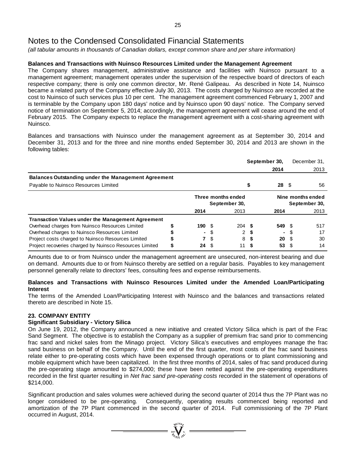*(all tabular amounts in thousands of Canadian dollars, except common share and per share information)*

# **Balances and Transactions with Nuinsco Resources Limited under the Management Agreement**

The Company shares management, administrative assistance and facilities with Nuinsco pursuant to a management agreement; management operates under the supervision of the respective board of directors of each respective company; there is only one common director, Mr. René Galipeau. As described in Note 14, Nuinsco became a related party of the Company effective July 30, 2013. The costs charged by Nuinsco are recorded at the cost to Nuinsco of such services plus 10 per cent. The management agreement commenced February 1, 2007 and is terminable by the Company upon 180 days' notice and by Nuinsco upon 90 days' notice. The Company served notice of termination on September 5, 2014; accordingly, the management agreement will cease around the end of February 2015. The Company expects to replace the management agreement with a cost-sharing agreement with Nuinsco.

Balances and transactions with Nuinsco under the management agreement as at September 30, 2014 and December 31, 2013 and for the three and nine months ended September 30, 2014 and 2013 are shown in the following tables:

|                                                            |   | September 30,                       |     |      | December 31.                       |        |      |      |
|------------------------------------------------------------|---|-------------------------------------|-----|------|------------------------------------|--------|------|------|
|                                                            |   |                                     |     |      |                                    | 2014   |      | 2013 |
| <b>Balances Outstanding under the Management Agreement</b> |   |                                     |     |      |                                    |        |      |      |
| Payable to Nuinsco Resources Limited                       |   |                                     |     |      |                                    | 28     | - \$ | 56   |
|                                                            |   | Three months ended<br>September 30, |     |      | Nine months ended<br>September 30, |        |      |      |
|                                                            |   | 2014                                |     | 2013 |                                    | 2014   |      | 2013 |
| <b>Transaction Values under the Management Agreement</b>   |   |                                     |     |      |                                    |        |      |      |
| Overhead charges from Nuinsco Resources Limited            |   | 190 S                               |     | 204S |                                    | 549 \$ |      | 517  |
| Overhead charges to Nuinsco Resources Limited              |   | ۰.                                  |     | 2    | S                                  |        |      | 17   |
| Project costs charged to Nuinsco Resources Limited         |   | 7                                   | \$. | 8    | - \$                               | 20     | - \$ | 30   |
| Project recoveries charged by Nuinsco Resources Limited    | S | 24                                  |     | 11   |                                    | 53     |      | 14   |

Amounts due to or from Nuinsco under the management agreement are unsecured, non-interest bearing and due on demand. Amounts due to or from Nuinsco thereby are settled on a regular basis. Payables to key management personnel generally relate to directors' fees, consulting fees and expense reimbursements.

### **Balances and Transactions with Nuinsco Resources Limited under the Amended Loan/Participating Interest**

The terms of the Amended Loan/Participating Interest with Nuinsco and the balances and transactions related thereto are described in Note 15.

### **23. COMPANY ENTITY**

### **Significant Subsidiary - Victory Silica**

On June 19, 2012, the Company announced a new initiative and created Victory Silica which is part of the Frac Sand Segment. The objective is to establish the Company as a supplier of premium frac sand prior to commencing frac sand and nickel sales from the Minago project. Victory Silica's executives and employees manage the frac sand business on behalf of the Company. Until the end of the first quarter, most costs of the frac sand business relate either to pre-operating costs which have been expensed through operations or to plant commissioning and mobile equipment which have been capitalized. In the first three months of 2014, sales of frac sand produced during the pre-operating stage amounted to \$274,000; these have been netted against the pre-operating expenditures recorded in the first quarter resulting in *Net frac sand pre-operating costs* recorded in the statement of operations of \$214,000.

Significant production and sales volumes were achieved during the second quarter of 2014 thus the 7P Plant was no longer considered to be pre-operating. Consequently, operating results commenced being reported and amortization of the 7P Plant commenced in the second quarter of 2014. Full commissioning of the 7P Plant occurred in August, 2014.

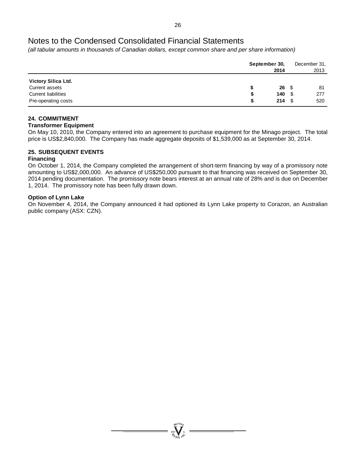*(all tabular amounts in thousands of Canadian dollars, except common share and per share information)*

|                            | September 30,<br>2014 | December 31,<br>2013 |     |  |
|----------------------------|-----------------------|----------------------|-----|--|
| Victory Silica Ltd.        |                       |                      |     |  |
| Current assets             | $26 \quad $$          |                      | 81  |  |
| <b>Current liabilities</b> | 140S<br>S             |                      | 277 |  |
| Pre-operating costs        | $214 \quad $$<br>S    |                      | 520 |  |

# **24. COMMITMENT**

## **Transformer Equipment**

On May 10, 2010, the Company entered into an agreement to purchase equipment for the Minago project. The total price is US\$2,840,000. The Company has made aggregate deposits of \$1,539,000 as at September 30, 2014.

# **25. SUBSEQUENT EVENTS**

# **Financing**

On October 1, 2014, the Company completed the arrangement of short-term financing by way of a promissory note amounting to US\$2,000,000. An advance of US\$250,000 pursuant to that financing was received on September 30, 2014 pending documentation. The promissory note bears interest at an annual rate of 28% and is due on December 1, 2014. The promissory note has been fully drawn down.

## **Option of Lynn Lake**

On November 4, 2014, the Company announced it had optioned its Lynn Lake property to Corazon, an Australian public company (ASX: CZN).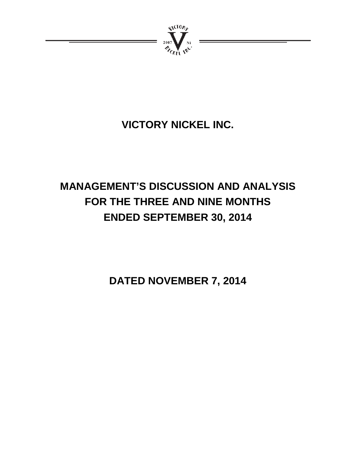

# **VICTORY NICKEL INC.**

# **MANAGEMENT'S DISCUSSION AND ANALYSIS FOR THE THREE AND NINE MONTHS ENDED SEPTEMBER 30, 2014**

**DATED NOVEMBER 7, 2014**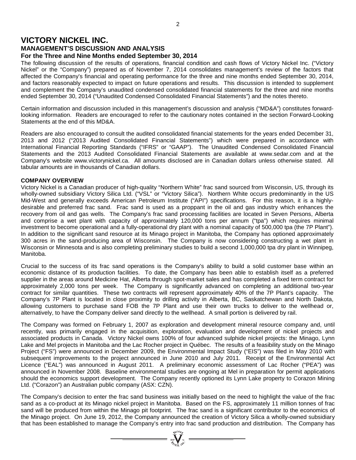# **VICTORY NICKEL INC.**

### **MANAGEMENT'S DISCUSSION AND ANALYSIS For the Three and Nine Months ended September 30, 2014**

The following discussion of the results of operations, financial condition and cash flows of Victory Nickel Inc. ("Victory Nickel" or the "Company") prepared as of November 7, 2014 consolidates management's review of the factors that affected the Company's financial and operating performance for the three and nine months ended September 30, 2014, and factors reasonably expected to impact on future operations and results. This discussion is intended to supplement and complement the Company's unaudited condensed consolidated financial statements for the three and nine months ended September 30, 2014 ("Unaudited Condensed Consolidated Financial Statements") and the notes thereto.

Certain information and discussion included in this management's discussion and analysis ("MD&A") constitutes forwardlooking information. Readers are encouraged to refer to the cautionary notes contained in the section Forward-Looking Statements at the end of this MD&A.

Readers are also encouraged to consult the audited consolidated financial statements for the years ended December 31, 2013 and 2012 ("2013 Audited Consolidated Financial Statements") which were prepared in accordance with International Financial Reporting Standards ("IFRS" or "GAAP"). The Unaudited Condensed Consolidated Financial Statements and the 2013 Audited Consolidated Financial Statements are available at www.sedar.com and at the Company's website www.victorynickel.ca. All amounts disclosed are in Canadian dollars unless otherwise stated. All tabular amounts are in thousands of Canadian dollars.

# **COMPANY OVERVIEW**

Victory Nickel is a Canadian producer of high-quality "Northern White" frac sand sourced from Wisconsin, US, through its wholly-owned subsidiary Victory Silica Ltd. ("VSL" or "Victory Silica"). Northern White occurs predominantly in the US Mid-West and generally exceeds American Petroleum Institute ("API") specifications. For this reason, it is a highlydesirable and preferred frac sand. Frac sand is used as a proppant in the oil and gas industry which enhances the recovery from oil and gas wells. The Company's frac sand processing facilities are located in Seven Persons, Alberta and comprise a wet plant with capacity of approximately 120,000 tons per annum ("tpa") which requires minimal investment to become operational and a fully-operational dry plant with a nominal capacity of 500,000 tpa (the 7P Plant"). In addition to the significant sand resource at its Minago project in Manitoba, the Company has optioned approximately 300 acres in the sand-producing area of Wisconsin. The Company is now considering constructing a wet plant in Wisconsin or Minnesota and is also completing preliminary studies to build a second 1,000,000 tpa dry plant in Winnipeg, Manitoba.

Crucial to the success of its frac sand operations is the Company's ability to build a solid customer base within an economic distance of its production facilities. To date, the Company has been able to establish itself as a preferred supplier in the areas around Medicine Hat, Alberta through spot-market sales and has completed a fixed term contract for approximately 2,000 tons per week. The Company is significantly advanced on completing an additional two-year contract for similar quantities. These two contracts will represent approximately 40% of the 7P Plant's capacity. The Company's 7P Plant is located in close proximity to drilling activity in Alberta, BC, Saskatchewan and North Dakota, allowing customers to purchase sand FOB the 7P Plant and use their own trucks to deliver to the wellhead or, alternatively, to have the Company deliver sand directly to the wellhead. A small portion is delivered by rail.

The Company was formed on February 1, 2007 as exploration and development mineral resource company and, until recently, was primarily engaged in the acquisition, exploration, evaluation and development of nickel projects and associated products in Canada. Victory Nickel owns 100% of four advanced sulphide nickel projects: the Minago, Lynn Lake and Mel projects in Manitoba and the Lac Rocher project in Québec. The results of a feasibility study on the Minago Project ("FS") were announced in December 2009, the Environmental Impact Study ("EIS") was filed in May 2010 with subsequent improvements to the project announced in June 2010 and July 2011. Receipt of the Environmental Act Licence ("EAL") was announced in August 2011. A preliminary economic assessment of Lac Rocher ("PEA") was announced in November 2008. Baseline environmental studies are ongoing at Mel in preparation for permit applications should the economics support development. The Company recently optioned its Lynn Lake property to Corazon Mining Ltd. ("Corazon") an Australian public company (ASX: CZN).

The Company's decision to enter the frac sand business was initially based on the need to highlight the value of the frac sand as a co-product at its Minago nickel project in Manitoba. Based on the FS, approximately 11 million tonnes of frac sand will be produced from within the Minago pit footprint. The frac sand is a significant contributor to the economics of the Minago project. On June 19, 2012, the Company announced the creation of Victory Silica a wholly-owned subsidiary that has been established to manage the Company's entry into frac sand production and distribution. The Company has

 $\sum_{\substack{100 \text{ VU} \\ \mathcal{D}_{\text{GUS YU}}} }^{N_{\text{U}(\text{LO})_{\mathcal{F}}} }$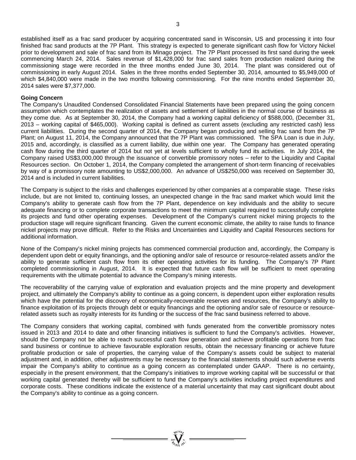established itself as a frac sand producer by acquiring concentrated sand in Wisconsin, US and processing it into four finished frac sand products at the 7P Plant. This strategy is expected to generate significant cash flow for Victory Nickel prior to development and sale of frac sand from its Minago project. The 7P Plant processed its first sand during the week commencing March 24, 2014. Sales revenue of \$1,428,000 for frac sand sales from production realized during the commissioning stage were recorded in the three months ended June 30, 2014. The plant was considered out of commissioning in early August 2014. Sales in the three months ended September 30, 2014, amounted to \$5,949,000 of which \$4,840,000 were made in the two months following commissioning. For the nine months ended September 30, 2014 sales were \$7,377,000.

#### **Going Concern**

The Company's Unaudited Condensed Consolidated Financial Statements have been prepared using the going concern assumption which contemplates the realization of assets and settlement of liabilities in the normal course of business as they come due. As at September 30, 2014, the Company had a working capital deficiency of \$588,000, (December 31, 2013 – working capital of \$465,000). Working capital is defined as current assets (excluding any restricted cash) less current liabilities. During the second quarter of 2014, the Company began producing and selling frac sand from the 7P Plant; on August 11, 2014, the Company announced that the 7P Plant was commissioned. The SPA Loan is due in July, 2015 and, accordingly, is classified as a current liability, due within one year. The Company has generated operating cash flow during the third quarter of 2014 but not yet at levels sufficient to wholly fund its activities. In July 2014, the Company raised US\$3,000,000 through the issuance of convertible promissory notes – refer to the Liquidity and Capital Resources section. On October 1, 2014, the Company completed the arrangement of short-term financing of receivables by way of a promissory note amounting to US\$2,000,000. An advance of US\$250,000 was received on September 30, 2014 and is included in current liabilities.

The Company is subject to the risks and challenges experienced by other companies at a comparable stage. These risks include, but are not limited to, continuing losses, an unexpected change in the frac sand market which would limit the Company's ability to generate cash flow from the 7P Plant, dependence on key individuals and the ability to secure adequate financing or to complete corporate transactions to meet the minimum capital required to successfully complete its projects and fund other operating expenses. Development of the Company's current nickel mining projects to the production stage will require significant financing. Given the current economic climate, the ability to raise funds to finance nickel projects may prove difficult. Refer to the Risks and Uncertainties and Liquidity and Capital Resources sections for additional information.

None of the Company's nickel mining projects has commenced commercial production and, accordingly, the Company is dependent upon debt or equity financings, and the optioning and/or sale of resource or resource-related assets and/or the ability to generate sufficient cash flow from its other operating activities for its funding. The Company's 7P Plant completed commissioning in August, 2014. It is expected that future cash flow will be sufficient to meet operating requirements with the ultimate potential to advance the Company's mining interests.

The recoverability of the carrying value of exploration and evaluation projects and the mine property and development project, and ultimately the Company's ability to continue as a going concern, is dependent upon either exploration results which have the potential for the discovery of economically-recoverable reserves and resources, the Company's ability to finance exploitation of its projects through debt or equity financings and the optioning and/or sale of resource or resourcerelated assets such as royalty interests for its funding or the success of the frac sand business referred to above.

The Company considers that working capital, combined with funds generated from the convertible promissory notes issued in 2013 and 2014 to date and other financing initiatives is sufficient to fund the Company's activities. However, should the Company not be able to reach successful cash flow generation and achieve profitable operations from frac sand business or continue to achieve favourable exploration results, obtain the necessary financing or achieve future profitable production or sale of properties, the carrying value of the Company's assets could be subject to material adjustment and, in addition, other adjustments may be necessary to the financial statements should such adverse events impair the Company's ability to continue as a going concern as contemplated under GAAP. There is no certainty, especially in the present environment, that the Company's initiatives to improve working capital will be successful or that working capital generated thereby will be sufficient to fund the Company's activities including project expenditures and corporate costs. These conditions indicate the existence of a material uncertainty that may cast significant doubt about the Company's ability to continue as a going concern.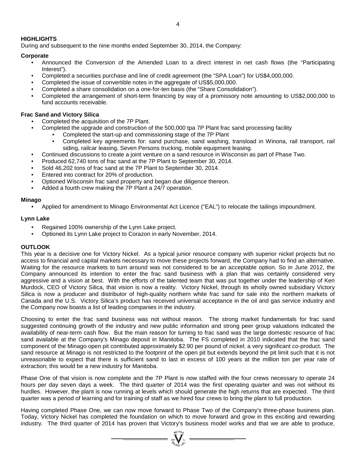## **HIGHLIGHTS**

During and subsequent to the nine months ended September 30, 2014, the Company:

# **Corporate**

- Announced the Conversion of the Amended Loan to a direct interest in net cash flows (the "Participating Interest").
- Completed a securities purchase and line of credit agreement (the "SPA Loan") for US\$4,000,000.
- Completed the issue of convertible notes in the aggregate of US\$5,000,000.
- Completed a share consolidation on a one-for-ten basis (the "Share Consolidation").
- Completed the arrangement of short-term financing by way of a promissory note amounting to US\$2,000,000 to fund accounts receivable.

## **Frac Sand and Victory Silica**

- Completed the acquisition of the 7P Plant.
- Completed the upgrade and construction of the 500,000 tpa 7P Plant frac sand processing facility
	- Completed the start-up and commissioning stage of the 7P Plant
	- Completed key agreements for: sand purchase, sand washing, transload in Winona, rail transport, rail siding, railcar leasing, Seven Persons trucking, mobile equipment leasing.
- Continued discussions to create a joint venture on a sand resource in Wisconsin as part of Phase Two.
- Produced 62,740 tons of frac sand at the 7P Plant to September 30, 2014.
- Sold 46,202 tons of frac sand at the 7P Plant to September 30, 2014.
- Entered into contract for 20% of production.
- Optioned Wisconsin frac sand property and began due diligence thereon.
- Added a fourth crew making the 7P Plant a 24/7 operation.

### **Minago**

• Applied for amendment to Minago Environmental Act Licence ("EAL") to relocate the tailings impoundment.

### **Lynn Lake**

- Regained 100% ownership of the Lynn Lake project.
- Optioned its Lynn Lake project to Corazon in early November, 2014.

### **OUTLOOK**

This year is a decisive one for Victory Nickel. As a typical junior resource company with superior nickel projects but no access to financial and capital markets necessary to move these projects forward, the Company had to find an alternative. Waiting for the resource markets to turn around was not considered to be an acceptable option. So in June 2012, the Company announced its intention to enter the frac sand business with a plan that was certainly considered very aggressive and a vision at best. With the efforts of the talented team that was put together under the leadership of Ken Murdock, CEO of Victory Silica, that vision is now a reality. Victory Nickel, through its wholly owned subsidiary Victory Silica is now a producer and distributor of high-quality northern white frac sand for sale into the northern markets of Canada and the U.S. Victory Silica's product has received universal acceptance in the oil and gas service industry and the Company now boasts a list of leading companies in the industry.

Choosing to enter the frac sand business was not without reason. The strong market fundamentals for frac sand suggested continuing growth of the industry and new public information and strong peer group valuations indicated the availability of near-term cash flow. But the main reason for turning to frac sand was the large domestic resource of frac sand available at the Company's Minago deposit in Manitoba. The FS completed in 2010 indicated that the frac sand component of the Minago open pit contributed approximately \$2.90 per pound of nickel; a very significant co-product. The sand resource at Minago is not restricted to the footprint of the open pit but extends beyond the pit limit such that it is not unreasonable to expect that there is sufficient sand to last in excess of 100 years at the million ton per year rate of extraction; this would be a new industry for Manitoba.

Phase One of that vision is now complete and the 7P Plant is now staffed with the four crews necessary to operate 24 hours per day seven days a week. The third quarter of 2014 was the first operating quarter and was not without its hurdles. However, the plant is now running at levels which should generate the high returns that are expected. The third quarter was a period of learning and for training of staff as we hired four crews to bring the plant to full production.

Having completed Phase One, we can now move forward to Phase Two of the Company's three-phase business plan. Today, Victory Nickel has completed the foundation on which to move forward and grow in this exciting and rewarding industry. The third quarter of 2014 has proven that Victory's business model works and that we are able to produce,

 $\sum_{\alpha}$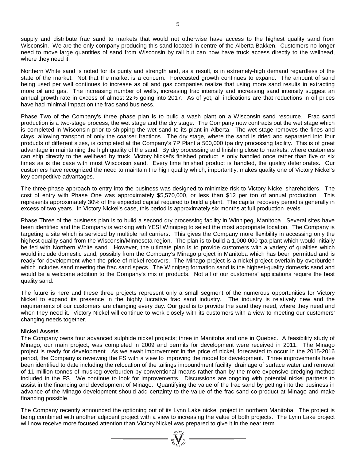supply and distribute frac sand to markets that would not otherwise have access to the highest quality sand from Wisconsin. We are the only company producing this sand located in centre of the Alberta Bakken. Customers no longer need to move large quantities of sand from Wisconsin by rail but can now have truck access directly to the wellhead, where they need it.

Northern White sand is noted for its purity and strength and, as a result, is in extremely-high demand regardless of the state of the market. Not that the market is a concern. Forecasted growth continues to expand. The amount of sand being used per well continues to increase as oil and gas companies realize that using more sand results in extracting more oil and gas. The increasing number of wells, increasing frac intensity and increasing sand intensity suggest an annual growth rate in excess of almost 22% going into 2017. As of yet, all indications are that reductions in oil prices have had minimal impact on the frac sand business.

Phase Two of the Company's three phase plan is to build a wash plant on a Wisconsin sand resource. Frac sand production is a two-stage process; the wet stage and the dry stage. The Company now contracts out the wet stage which is completed in Wisconsin prior to shipping the wet sand to its plant in Alberta. The wet stage removes the fines and clays, allowing transport of only the coarser fractions. The dry stage, where the sand is dried and separated into four products of different sizes, is completed at the Company's 7P Plant a 500,000 tpa dry processing facility. This is of great advantage in maintaining the high quality of the sand. By dry processing and finishing close to markets, where customers can ship directly to the wellhead by truck, Victory Nickel's finished product is only handled once rather than five or six times as is the case with most Wisconsin sand. Every time finished product is handled, the quality deteriorates. Our customers have recognized the need to maintain the high quality which, importantly, makes quality one of Victory Nickel's key competitive advantages.

The three-phase approach to entry into the business was designed to minimize risk to Victory Nickel shareholders. The cost of entry with Phase One was approximately \$5,570,000, or less than \$12 per ton of annual production. This represents approximately 30% of the expected capital required to build a plant. The capital recovery period is generally in excess of two years. In Victory Nickel's case, this period is approximately six months at full production levels.

Phase Three of the business plan is to build a second dry processing facility in Winnipeg, Manitoba. Several sites have been identified and the Company is working with YES! Winnipeg to select the most appropriate location. The Company is targeting a site which is serviced by multiple rail carriers. This gives the Company more flexibility in accessing only the highest quality sand from the Wisconsin/Minnesota region. The plan is to build a 1,000,000 tpa plant which would initially be fed with Northern White sand. However, the ultimate plan is to provide customers with a variety of qualities which would include domestic sand, possibly from the Company's Minago project in Manitoba which has been permitted and is ready for development when the price of nickel recovers. The Minago project is a nickel project overlain by overburden which includes sand meeting the frac sand specs. The Winnipeg formation sand is the highest-quality domestic sand and would be a welcome addition to the Company's mix of products. Not all of our customers' applications require the best quality sand.

The future is here and these three projects represent only a small segment of the numerous opportunities for Victory Nickel to expand its presence in the highly lucrative frac sand industry. The industry is relatively new and the requirements of our customers are changing every day. Our goal is to provide the sand they need, where they need and when they need it. Victory Nickel will continue to work closely with its customers with a view to meeting our customers' changing needs together.

### **Nickel Assets**

The Company owns four advanced sulphide nickel projects; three in Manitoba and one in Quebec. A feasibility study of Minago, our main project, was completed in 2009 and permits for development were received in 2011. The Minago project is ready for development. As we await improvement in the price of nickel, forecasted to occur in the 2015-2016 period, the Company is reviewing the FS with a view to improving the model for development. Three improvements have been identified to date including the relocation of the tailings impoundment facility, drainage of surface water and removal of 11 million tonnes of muskeg overburden by conventional means rather than by the more expensive dredging method included in the FS. We continue to look for improvements. Discussions are ongoing with potential nickel partners to assist in the financing and development of Minago. Quantifying the value of the frac sand by getting into the business in advance of the Minago development should add certainty to the value of the frac sand co-product at Minago and make financing possible.

The Company recently announced the optioning out of its Lynn Lake nickel project in northern Manitoba. The project is being combined with another adjacent project with a view to increasing the value of both projects. The Lynn Lake project will now receive more focused attention than Victory Nickel was prepared to give it in the near term.

 $\sum_{\alpha}$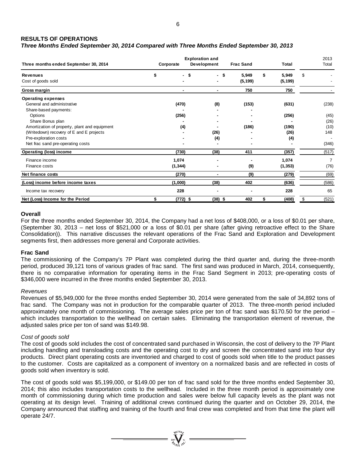# **RESULTS OF OPERATIONS**

# *Three Months Ended September 30, 2014 Compared with Three Months Ended September 30, 2013*

| Three months ended September 30, 2014                                                     | <b>Exploration and</b><br>Development<br>Corporate |                |                   | <b>Frac Sand</b> | <b>Total</b>      | 2013<br>Total |
|-------------------------------------------------------------------------------------------|----------------------------------------------------|----------------|-------------------|------------------|-------------------|---------------|
| <b>Revenues</b><br>Cost of goods sold                                                     | \$<br>- \$                                         | - \$           | 5,949<br>(5, 199) | \$               | 5,949<br>(5, 199) | \$            |
| Gross margin                                                                              | ۰                                                  | ٠.             | 750               |                  | 750               |               |
| <b>Operating expenses</b><br>General and administrative                                   | (470)                                              | (8)            | (153)             |                  | (631)             | (238)         |
| Share-based payments:<br>Options                                                          | (256)                                              |                |                   |                  | (256)             | (45)          |
| Share Bonus plan                                                                          |                                                    |                |                   |                  |                   | (26)          |
| Amortization of property, plant and equipment<br>(Writedown) recovery of E and E projects | (4)                                                | (26)           | (186)             |                  | (190)<br>(26)     | (10)<br>148   |
| Pre-exploration costs<br>Net frac sand pre-operating costs                                |                                                    | (4)            |                   |                  | (4)               | (346)         |
| Operating (loss) income                                                                   | (730)                                              | (38)           | 411               |                  | (357)             | (517)         |
| Finance income<br>Finance costs                                                           | 1,074<br>(1, 344)                                  |                | (9)               |                  | 1,074<br>(1, 353) | (76)          |
| Net finance costs                                                                         | (270)                                              | $\blacksquare$ | (9)               |                  | (279)             | (69)          |
| (Loss) income before income taxes                                                         | (1,000)                                            | (38)           | 402               |                  | (636)             | (586)         |
| Income tax recovery                                                                       | 228                                                |                | ۰                 |                  | 228               | 65            |
| Net (Loss) Income for the Period                                                          | \$<br>(772) \$                                     | $(38)$ \$      | 402               | \$               | (408)             | \$<br>(521)   |

### **Overall**

For the three months ended September 30, 2014, the Company had a net loss of \$408,000, or a loss of \$0.01 per share, (September 30, 2013 – net loss of \$521,000 or a loss of \$0.01 per share (after giving retroactive effect to the Share Consolidation)). This narrative discusses the relevant operations of the Frac Sand and Exploration and Development segments first, then addresses more general and Corporate activities.

#### **Frac Sand**

The commissioning of the Company's 7P Plant was completed during the third quarter and, during the three-month period, produced 39,121 tons of various grades of frac sand. The first sand was produced in March, 2014, consequently, there is no comparative information for operating items in the Frac Sand Segment in 2013; pre-operating costs of \$346,000 were incurred in the three months ended September 30, 2013.

#### *Revenues*

Revenues of \$5,949,000 for the three months ended September 30, 2014 were generated from the sale of 34,892 tons of frac sand. The Company was not in production for the comparable quarter of 2013. The three-month period included approximately one month of commissioning. The average sales price per ton of frac sand was \$170.50 for the period – which includes transportation to the wellhead on certain sales. Eliminating the transportation element of revenue, the adjusted sales price per ton of sand was \$149.98.

### *Cost of goods sold*

The cost of goods sold includes the cost of concentrated sand purchased in Wisconsin, the cost of delivery to the 7P Plant including handling and transloading costs and the operating cost to dry and screen the concentrated sand into four dry products. Direct plant operating costs are inventoried and charged to cost of goods sold when title to the product passes to the customer. Costs are capitalized as a component of inventory on a normalized basis and are reflected in costs of goods sold when inventory is sold.

The cost of goods sold was \$5,199,000, or \$149.00 per ton of frac sand sold for the three months ended September 30, 2014; this also includes transportation costs to the wellhead. Included in the three month period is approximately one month of commissioning during which time production and sales were below full capacity levels as the plant was not operating at its design level. Training of additional crews continued during the quarter and on October 29, 2014, the Company announced that staffing and training of the fourth and final crew was completed and from that time the plant will operate 24/7.

 $=\bigvee_{\stackrel{1}{\alpha}\in\mathcal{N}_{\alpha}}\bigvee_{\stackrel{1}{\alpha}\in\mathcal{N}_{\alpha}}=$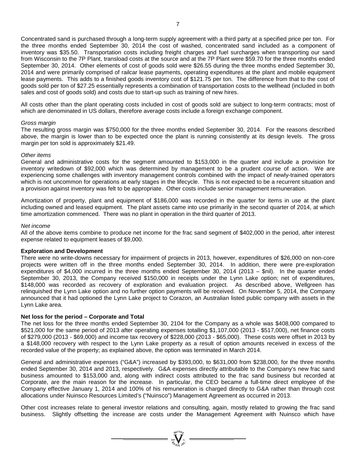Concentrated sand is purchased through a long-term supply agreement with a third party at a specified price per ton. For the three months ended September 30, 2014 the cost of washed, concentrated sand included as a component of inventory was \$35.50. Transportation costs including freight charges and fuel surcharges when transporting our sand from Wisconsin to the 7P Plant, transload costs at the source and at the 7P Plant were \$59.70 for the three months ended September 30, 2014. Other elements of cost of goods sold were \$26.55 during the three months ended September 30, 2014 and were primarily comprised of railcar lease payments, operating expenditures at the plant and mobile equipment lease payments. This adds to a finished goods inventory cost of \$121.75 per ton. The difference from that to the cost of goods sold per ton of \$27.25 essentially represents a combination of transportation costs to the wellhead (included in both sales and cost of goods sold) and costs due to start-up such as training of new hires.

All costs other than the plant operating costs included in cost of goods sold are subject to long-term contracts; most of which are denominated in US dollars, therefore average costs include a foreign exchange component.

#### *Gross margin*

The resulting gross margin was \$750,000 for the three months ended September 30, 2014. For the reasons described above, the margin is lower than to be expected once the plant is running consistently at its design levels. The gross margin per ton sold is approximately \$21.49.

#### *Other items*

General and administrative costs for the segment amounted to \$153,000 in the quarter and include a provision for inventory writedown of \$92,000 which was determined by management to be a prudent course of action. We are experiencing some challenges with inventory management controls combined with the impact of newly-trained operators which is not uncommon for operations at early stages in the lifecycle. This is not expected to be a recurrent situation and a provision against inventory was felt to be appropriate. Other costs include senior management remuneration.

Amortization of property, plant and equipment of \$186,000 was recorded in the quarter for items in use at the plant including owned and leased equipment. The plant assets came into use primarily in the second quarter of 2014, at which time amortization commenced. There was no plant in operation in the third quarter of 2013.

#### *Net income*

All of the above items combine to produce net income for the frac sand segment of \$402,000 in the period, after interest expense related to equipment leases of \$9,000.

### **Exploration and Development**

There were no write-downs necessary for impairment of projects in 2013, however, expenditures of \$26,000 on non-core projects were written off in the three months ended September 30, 2014. In addition, there were pre-exploration expenditures of \$4,000 incurred in the three months ended September 30, 2014 (2013 – \$nil). In the quarter ended September 30, 2013, the Company received \$150,000 in receipts under the Lynn Lake option; net of expenditures, \$148,000 was recorded as recovery of exploration and evaluation project. As described above, Wellgreen has relinquished the Lynn Lake option and no further option payments will be received. On November 5, 2014, the Company announced that it had optioned the Lynn Lake project to Corazon, an Australian listed public company with assets in the Lynn Lake area.

### **Net loss for the period – Corporate and Total**

The net loss for the three months ended September 30, 2104 for the Company as a whole was \$408,000 compared to \$521,000 for the same period of 2013 after operating expenses totalling \$1,107,000 (2013 - \$517,000), net finance costs of \$279,000 (2013 - \$69,000) and income tax recovery of \$228,000 (2013 - \$65,000). These costs were offset in 2013 by a \$148,000 recovery with respect to the Lynn Lake property as a result of option amounts received in excess of the recorded value of the property; as explained above, the option was terminated in March 2014.

General and administrative expenses ("G&A") increased by \$393,000, to \$631,000 from \$238,000, for the three months ended September 30, 2014 and 2013, respectively. G&A expenses directly attributable to the Company's new frac sand business amounted to \$153,000 and, along with indirect costs attributed to the frac sand business but recorded at Corporate, are the main reason for the increase. In particular, the CEO became a full-time direct employee of the Company effective January 1, 2014 and 100% of his remuneration is charged directly to G&A rather than through cost allocations under Nuinsco Resources Limited's ("Nuinsco") Management Agreement as occurred in 2013.

Other cost increases relate to general investor relations and consulting, again, mostly related to growing the frac sand business. Slightly offsetting the increase are costs under the Management Agreement with Nuinsco which have

 $= \prod_{\text{red}}^{\text{red}} \sum_{\text{red}}^{\text{red}}$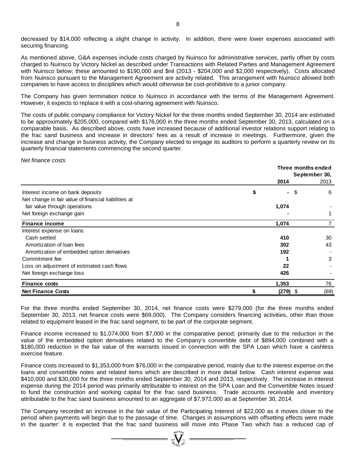decreased by \$14,000 reflecting a slight change in activity. In addition, there were lower expenses associated with securing financing.

As mentioned above, G&A expenses include costs charged by Nuinsco for administrative services, partly offset by costs charged to Nuinsco by Victory Nickel as described under Transactions with Related Parties and Management Agreement with Nuinsco below; these amounted to \$190,000 and \$nil (2013 - \$204,000 and \$2,000 respectively). Costs allocated from Nuinsco pursuant to the Management Agreement are activity related. This arrangement with Nuinsco allowed both companies to have access to disciplines which would otherwise be cost-prohibitive to a junior company.

The Company has given termination notice to Nuinsco in accordance with the terms of the Management Agreement. However, it expects to replace it with a cost-sharing agreement with Nuinsco.

The costs of public company compliance for Victory Nickel for the three months ended September 30, 2014 are estimated to be approximately \$205,000, compared with \$176,000 in the three months ended September 30, 2013, calculated on a comparable basis. As described above, costs have increased because of additional investor relations support relating to the frac sand business and increase in directors' fees as a result of increase in meetings. Furthermore, given the increase and change in business activity, the Company elected to engage its auditors to perform a quarterly review on its quarterly financial statements commencing the second quarter.

*Net finance costs*

|                                                      | Three months ended<br>September 30, |      |  |  |  |
|------------------------------------------------------|-------------------------------------|------|--|--|--|
|                                                      | 2014                                | 2013 |  |  |  |
| Interest income on bank deposits                     | \$<br>-\$<br>$\blacksquare$         | 6    |  |  |  |
| Net change in fair value of financial liabilities at |                                     |      |  |  |  |
| fair value through operations                        | 1,074                               |      |  |  |  |
| Net foreign exchange gain                            |                                     |      |  |  |  |
| <b>Finance income</b>                                | 1,074                               |      |  |  |  |
| Interest expense on loans                            |                                     |      |  |  |  |
| Cash settled                                         | 410                                 | 30   |  |  |  |
| Amortization of loan fees                            | 302                                 | 43   |  |  |  |
| Amortization of embedded option derivatives          | 192                                 |      |  |  |  |
| Commitment fee                                       |                                     | 3    |  |  |  |
| Loss on adjustment of estimated cash flows           | 22                                  |      |  |  |  |
| Net foreign exchange loss                            | 426                                 |      |  |  |  |
| <b>Finance costs</b>                                 | 1,353                               | 76   |  |  |  |
| <b>Net Finance Costs</b>                             | (279)<br>\$                         | (69) |  |  |  |

For the three months ended September 30, 2014, net finance costs were \$279,000 (for the three months ended September 30, 2013, net finance costs were \$69,000). The Company considers financing activities, other than those related to equipment leased in the frac sand segment, to be part of the corporate segment.

Finance income increased to \$1,074,000 from \$7,000 in the comparative period; primarily due to the reduction in the value of the embedded option derivatives related to the Company's convertible debt of \$894,000 combined with a \$180,000 reduction in the fair value of the warrants issued in connection with the SPA Loan which have a cashless exercise feature.

Finance costs increased to \$1,353,000 from \$76,000 in the comparative period, mainly due to the interest expense on the loans and convertible notes and related items which are described in more detail below. Cash interest expense was \$410,000 and \$30,000 for the three months ended September 30, 2014 and 2013, respectively. The increase in interest expense during the 2014 period was primarily attributable to interest on the SPA Loan and the Convertible Notes issued to fund the construction and working capital for the frac sand business. Trade accounts receivable and inventory attributable to the frac sand business amounted to an aggregate of \$7,972,000 as at September 30, 2014.

The Company recorded an increase in the fair value of the Participating Interest of \$22,000 as it moves closer to the period when payments will begin due to the passage of time. Changes in assumptions with offsetting effects were made in the quarter: it is expected that the frac sand business will move into Phase Two which has a reduced cap of

 $\sum_{\substack{n=1\\ \sigma_n\in\mathbb{N}}}$   $\sum_{n=1}^{\infty}$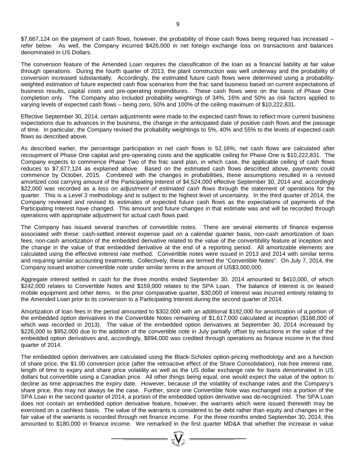\$7,667,124 on the payment of cash flows, however, the probability of those cash flows being required has increased – refer below. As well, the Company incurred \$426,000 in net foreign exchange loss on transactions and balances denominated in US Dollars.

The conversion feature of the Amended Loan requires the classification of the loan as a financial liability at fair value through operations. During the fourth quarter of 2013, the plant construction was well underway and the probability of conversion increased substantially. Accordingly, the estimated future cash flows were determined using a probabilityweighted estimation of future expected cash flow scenarios from the frac sand business based on current expectations of business results, capital costs and pre-operating expenditures. These cash flows were on the basis of Phase One completion only. The Company also included probability weightings of 34%, 16% and 50% as risk factors applied to varying levels of expected cash flows – being zero, 50% and 100% of the ceiling maximum of \$10,222,831.

Effective September 30, 2014, certain adjustments were made to the expected cash flows to reflect more current business expectations due to advances in the business, the change in the anticipated date of positive cash flows and the passage of time. In particular, the Company revised the probability weightings to 5%, 40% and 55% to the levels of expected cash flows as described above.

As described earlier, the percentage participation in net cash flows is 52.16%; net cash flows are calculated after recoupment of Phase One capital and pre-operating costs and the applicable ceiling for Phase One is \$10,222,831. The Company expects to commence Phase Two of the frac sand plan, in which case, the applicable ceiling of cash flows reduces to \$7,677,124 as explained above. Based on the estimated cash flows described above, payments could commence by October, 2015. Combined with the changes in probabilities, these assumptions resulted in a revised amortized cost carrying amount of the Participating Interest of \$4,524,000 effective September 30, 2014 and, accordingly \$22,000 was recorded as a *loss on adjustment of estimated cash flows* through the statement of operations for the quarter. This is a Level 3 methodology and is subject to the highest level of uncertainty. In the third quarter of 2014, the Company reviewed and revised its estimates of expected future cash flows as the expectations of payments of the Participating Interest have changed. This amount and future changes in that estimate was and will be recorded through operations with appropriate adjustment for actual cash flows paid.

The Company has issued several tranches of convertible notes. There are several elements of finance expense associated with these: cash-settled interest expense paid on a calendar quarter basis, non-cash amortization of loan fees, non-cash amortization of the embedded derivative related to the value of the convertibility feature at inception and the change in the value of that embedded derivative at the end of a reporting period. All amortizable elements are calculated using the effective interest rate method. Convertible notes were issued in 2013 and 2014 with similar terms and requiring similar accounting treatments. Collectively, these are termed the "Convertible Notes". On July 7, 2014, the Company issued another convertible note under similar terms in the amount of US\$3,000,000.

Aggregate interest settled in cash for the three months ended September 30, 2014 amounted to \$410,000, of which \$242,000 relates to Convertible Notes and \$159,000 relates to the SPA Loan. The balance of interest is on leased mobile equipment and other items. In the prior comparative quarter, \$30,000 of interest was incurred entirely relating to the Amended Loan prior to its conversion to a Participating Interest during the second quarter of 2014.

Amortization of loan fees in the period amounted to \$302,000 with an additional \$192,000 for amortization of a portion of the embedded option derivatives in the Convertible Notes remaining of \$1,617,000 calculated at inception (\$168,000 of which was recorded in 2013). The value of the embedded option derivatives at September 30, 2014 increased by \$226,000 to \$952,000 due to the addition of the convertible note in July partially offset by reductions in the value of the embedded option derivatives and, accordingly, \$894,000 was credited through operations as finance income in the third quarter of 2014.

The embedded option derivatives are calculated using the Black-Scholes option-pricing methodology and are a function of share price, the \$1.00 conversion price (after the retroactive effect of the Share Consolidation), risk-free interest rate, length of time to expiry and share price volatility as well as the US dollar exchange rate for loans denominated in US dollars but convertible using a Canadian price. All other things being equal, one would expect the value of the option to decline as time approaches the expiry date. However, because of the volatility of exchange rates and the Company's share price, this may not always be the case. Further, since one Convertible Note was exchanged into a portion of the SPA Loan in the second quarter of 2014, a portion of the embedded option derivative was de-recognized. The SPA Loan does not contain an embedded option derivative feature, however, the warrants which were issued therewith may be exercised on a cashless basis. The value of the warrants is considered to be debt rather than equity and changes in the fair value of the warrants is recorded through net finance income. For the three months ended September 30, 2014, this amounted to \$180,000 in finance income. We remarked in the first quarter MD&A that whether the increase in value

 $\sum_{\substack{n\in\mathcal{N}\\ \mathcal{H}_{GL}(n^{\mathcal{N}})}}^{\infty}$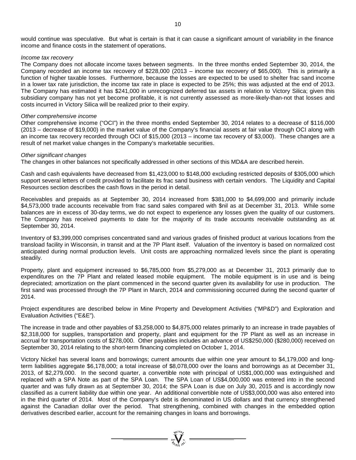#### *Income tax recovery*

The Company does not allocate income taxes between segments. In the three months ended September 30, 2014, the Company recorded an income tax recovery of \$228,000 (2013 – income tax recovery of \$65,000). This is primarily a function of higher taxable losses. Furthermore, because the losses are expected to be used to shelter frac sand income in a lower tax rate jurisdiction, the income tax rate in place is expected to be 25%; this was adjusted at the end of 2013. The Company has estimated it has \$241,000 in unrecognized deferred tax assets in relation to Victory Silica; given this subsidiary company has not yet become profitable, it is not currently assessed as more-likely-than-not that losses and costs incurred in Victory Silica will be realized prior to their expiry.

#### *Other comprehensive income*

Other comprehensive income ("OCI") in the three months ended September 30, 2014 relates to a decrease of \$116,000 (2013 – decrease of \$19,000) in the market value of the Company's financial assets at fair value through OCI along with an income tax recovery recorded through OCI of \$15,000 (2013 – income tax recovery of \$3,000). These changes are a result of net market value changes in the Company's marketable securities.

#### *Other significant changes*

The changes in other balances not specifically addressed in other sections of this MD&A are described herein.

Cash and cash equivalents have decreased from \$1,423,000 to \$148,000 excluding restricted deposits of \$305,000 which support several letters of credit provided to facilitate its frac sand business with certain vendors. The Liquidity and Capital Resources section describes the cash flows in the period in detail.

Receivables and prepaids as at September 30, 2014 increased from \$381,000 to \$4,699,000 and primarily include \$4,573,000 trade accounts receivable from frac sand sales compared with \$nil as at December 31, 2013. While some balances are in excess of 30-day terms, we do not expect to experience any losses given the quality of our customers. The Company has received payments to date for the majority of its trade accounts receivable outstanding as at September 30, 2014.

Inventory of \$3,399,000 comprises concentrated sand and various grades of finished product at various locations from the transload facility in Wisconsin, in transit and at the 7P Plant itself. Valuation of the inventory is based on normalized cost anticipated during normal production levels. Unit costs are approaching normalized levels since the plant is operating steadily.

Property, plant and equipment increased to \$6,785,000 from \$5,279,000 as at December 31, 2013 primarily due to expenditures on the 7P Plant and related leased mobile equipment. The mobile equipment is in use and is being depreciated; amortization on the plant commenced in the second quarter given its availability for use in production. The first sand was processed through the 7P Plant in March, 2014 and commissioning occurred during the second quarter of 2014.

Project expenditures are described below in Mine Property and Development Activities ("MP&D") and Exploration and Evaluation Activities ("E&E").

The increase in trade and other payables of \$3,258,000 to \$4,875,000 relates primarily to an increase in trade payables of \$2,318,000 for supplies, transportation and property, plant and equipment for the 7P Plant as well as an increase in accrual for transportation costs of \$278,000. Other payables includes an advance of US\$250,000 (\$280,000) received on September 30, 2014 relating to the short-term financing completed on October 1, 2014.

Victory Nickel has several loans and borrowings; current amounts due within one year amount to \$4,179,000 and longterm liabilities aggregate \$6,178,000; a total increase of \$8,078,000 over the loans and borrowings as at December 31, 2013, of \$2,279,000. In the second quarter, a convertible note with principal of US\$1,000,000 was extinguished and replaced with a SPA Note as part of the SPA Loan. The SPA Loan of US\$4,000,000 was entered into in the second quarter and was fully drawn as at September 30, 2014; the SPA Loan is due on July 30, 2015 and is accordingly now classified as a current liability due within one year. An additional convertible note of US\$3,000,000 was also entered into in the third quarter of 2014. Most of the Company's debt is denominated in US dollars and that currency strengthened against the Canadian dollar over the period. That strengthening, combined with changes in the embedded option derivatives described earlier, account for the remaining changes in loans and borrowings.

 $\sum_{n=1}^{\text{qtd}(D)}\sum_{n=1}^{\text{qtd}(D)}$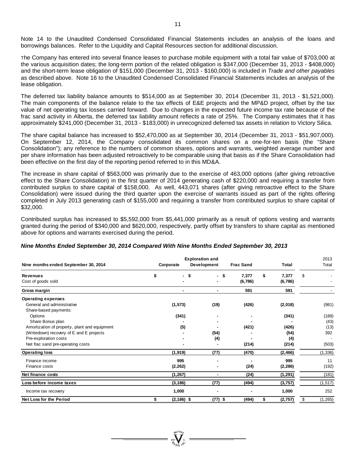Note 14 to the Unaudited Condensed Consolidated Financial Statements includes an analysis of the loans and borrowings balances. Refer to the Liquidity and Capital Resources section for additional discussion.

The Company has entered into several finance leases to purchase mobile equipment with a total fair value of \$703,000 at the various acquisition dates; the long-term portion of the related obligation is \$347,000 (December 31, 2013 - \$408,000) and the short-term lease obligation of \$151,000 (December 31, 2013 - \$160,000) is included in *Trade and other payables* as described above. Note 16 to the Unaudited Condensed Consolidated Financial Statements includes an analysis of the lease obligation.

The deferred tax liability balance amounts to \$514,000 as at September 30, 2014 (December 31, 2013 - \$1,521,000). The main components of the balance relate to the tax effects of E&E projects and the MP&D project, offset by the tax value of net operating tax losses carried forward. Due to changes in the expected future income tax rate because of the frac sand activity in Alberta, the deferred tax liability amount reflects a rate of 25%. The Company estimates that it has approximately \$241,000 (December 31, 2013 - \$183,000) in unrecognized deferred tax assets in relation to Victory Silica.

The share capital balance has increased to \$52,470,000 as at September 30, 2014 (December 31, 2013 - \$51,907,000). On September 12, 2014, the Company consolidated its common shares on a one-for-ten basis (the "Share Consolidation"); any reference to the numbers of common shares, options and warrants, weighted average number and per share information has been adjusted retroactively to be comparable using that basis as if the Share Consolidation had been effective on the first day of the reporting period referred to in this MD&A.

The increase in share capital of \$563,000 was primarily due to the exercise of 463,000 options (after giving retroactive effect to the Share Consolidation) in the first quarter of 2014 generating cash of \$220,000 and requiring a transfer from contributed surplus to share capital of \$158,000. As well, 443,071 shares (after giving retroactive effect to the Share Consolidation) were issued during the third quarter upon the exercise of warrants issued as part of the rights offering completed in July 2013 generating cash of \$155,000 and requiring a transfer from contributed surplus to share capital of \$32,000.

Contributed surplus has increased to \$5,592,000 from \$5,441,000 primarily as a result of options vesting and warrants granted during the period of \$340,000 and \$620,000, respectively, partly offset by transfers to share capital as mentioned above for options and warrants exercised during the period.

| Nine months ended September 30, 2014          | <b>Exploration and</b><br><b>Frac Sand</b><br>Development<br>Corporate |               |           |         | <b>Total</b>   | 2013<br>Total  |
|-----------------------------------------------|------------------------------------------------------------------------|---------------|-----------|---------|----------------|----------------|
| <b>Revenues</b>                               | \$                                                                     | - \$          | - \$      | 7,377   | \$<br>7,377    | \$             |
| Cost of goods sold                            |                                                                        |               |           | (6,786) | (6, 786)       |                |
| Gross margin                                  |                                                                        | ٠             | ۰         | 591     | 591            |                |
| <b>Operating expenses</b>                     |                                                                        |               |           |         |                |                |
| General and administrative                    |                                                                        | (1, 573)      | (19)      | (426)   | (2,018)        | (981)          |
| Share-based payments:                         |                                                                        |               |           |         |                |                |
| Options                                       |                                                                        | (341)         |           |         | (341)          | (188)          |
| Share Bonus plan                              |                                                                        |               |           |         |                | (43)           |
| Amortization of property, plant and equipment |                                                                        | (5)           |           | (421)   | (426)          | (13)           |
| (Writedown) recovery of E and E projects      |                                                                        |               | (54)      |         | (54)           | 392            |
| Pre-exploration costs                         |                                                                        |               | (4)       |         | (4)            |                |
| Net frac sand pre-operating costs             |                                                                        |               |           | (214)   | (214)          | (503)          |
| <b>Operating loss</b>                         |                                                                        | (1, 919)      | (77)      | (470)   | (2, 466)       | (1, 336)       |
| Finance income                                |                                                                        | 995           |           |         | 995            | 11             |
| Finance costs                                 |                                                                        | (2, 262)      |           | (24)    | (2, 286)       | (192)          |
| Net finance costs                             |                                                                        | (1, 267)      |           | (24)    | (1, 291)       | (181)          |
| Loss before income taxes                      |                                                                        | (3, 186)      | (77)      | (494)   | (3, 757)       | (1, 517)       |
| Income tax recovery                           |                                                                        | 1,000         |           |         | 1,000          | 252            |
| Net Loss for the Period                       | \$                                                                     | $(2, 186)$ \$ | $(77)$ \$ | (494)   | \$<br>(2, 757) | \$<br>(1, 265) |

#### *Nine Months Ended September 30, 2014 Compared With Nine Months Ended September 30, 2013*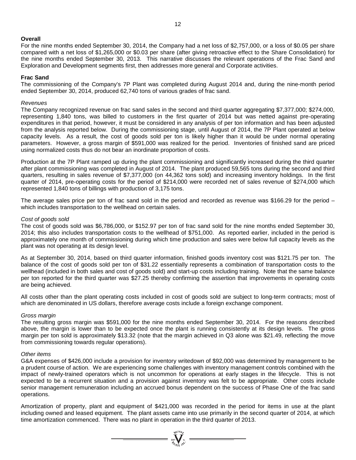### **Overall**

For the nine months ended September 30, 2014, the Company had a net loss of \$2,757,000, or a loss of \$0.05 per share compared with a net loss of \$1,265,000 or \$0.03 per share (after giving retroactive effect to the Share Consolidation) for the nine months ended September 30, 2013. This narrative discusses the relevant operations of the Frac Sand and Exploration and Development segments first, then addresses more general and Corporate activities.

#### **Frac Sand**

The commissioning of the Company's 7P Plant was completed during August 2014 and, during the nine-month period ended September 30, 2014, produced 62,740 tons of various grades of frac sand.

#### *Revenues*

The Company recognized revenue on frac sand sales in the second and third quarter aggregating \$7,377,000; \$274,000, representing 1,840 tons, was billed to customers in the first quarter of 2014 but was netted against pre-operating expenditures in that period, however, it must be considered in any analysis of per ton information and has been adjusted from the analysis reported below. During the commissioning stage, until August of 2014, the 7P Plant operated at below capacity levels. As a result, the cost of goods sold per ton is likely higher than it would be under normal operating parameters. However, a gross margin of \$591,000 was realized for the period. Inventories of finished sand are priced using normalized costs thus do not bear an inordinate proportion of costs.

Production at the 7P Plant ramped up during the plant commissioning and significantly increased during the third quarter after plant commissioning was completed in August of 2014. The plant produced 59,565 tons during the second and third quarters, resulting in sales revenue of \$7,377,000 (on 44,362 tons sold) and increasing inventory holdings. In the first quarter of 2014, pre-operating costs for the period of \$214,000 were recorded net of sales revenue of \$274,000 which represented 1,840 tons of billings with production of 3,175 tons.

The average sales price per ton of frac sand sold in the period and recorded as revenue was \$166.29 for the period  $$ which includes transportation to the wellhead on certain sales.

#### *Cost of goods sold*

The cost of goods sold was \$6,786,000, or \$152.97 per ton of frac sand sold for the nine months ended September 30, 2014; this also includes transportation costs to the wellhead of \$751,000. As reported earlier, included in the period is approximately one month of commissioning during which time production and sales were below full capacity levels as the plant was not operating at its design level.

As at September 30, 2014, based on third quarter information, finished goods inventory cost was \$121.75 per ton. The balance of the cost of goods sold per ton of \$31.22 essentially represents a combination of transportation costs to the wellhead (included in both sales and cost of goods sold) and start-up costs including training. Note that the same balance per ton reported for the third quarter was \$27.25 thereby confirming the assertion that improvements in operating costs are being achieved.

All costs other than the plant operating costs included in cost of goods sold are subject to long-term contracts; most of which are denominated in US dollars, therefore average costs include a foreign exchange component.

#### *Gross margin*

The resulting gross margin was \$591,000 for the nine months ended September 30, 2014. For the reasons described above, the margin is lower than to be expected once the plant is running consistently at its design levels. The gross margin per ton sold is approximately \$13.32 (note that the margin achieved in Q3 alone was \$21.49, reflecting the move from commissioning towards regular operations).

#### *Other items*

G&A expenses of \$426,000 include a provision for inventory writedown of \$92,000 was determined by management to be a prudent course of action. We are experiencing some challenges with inventory management controls combined with the impact of newly-trained operators which is not uncommon for operations at early stages in the lifecycle. This is not expected to be a recurrent situation and a provision against inventory was felt to be appropriate. Other costs include senior management remuneration including an accrued bonus dependent on the success of Phase One of the frac sand operations.

Amortization of property, plant and equipment of \$421,000 was recorded in the period for items in use at the plant including owned and leased equipment. The plant assets came into use primarily in the second quarter of 2014, at which time amortization commenced. There was no plant in operation in the third quarter of 2013.

=  $\sum_{i=1}^{N} \sum_{j=1}^{N}$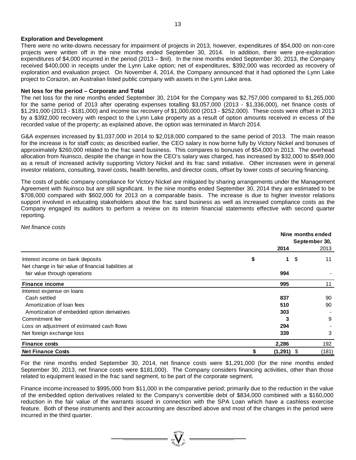#### **Exploration and Development**

There were no write-downs necessary for impairment of projects in 2013, however, expenditures of \$54,000 on non-core projects were written off in the nine months ended September 30, 2014. In addition, there were pre-exploration expenditures of \$4,000 incurred in the period (2013 – \$nil). In the nine months ended September 30, 2013, the Company received \$400,000 in receipts under the Lynn Lake option; net of expenditures, \$392,000 was recorded as recovery of exploration and evaluation project. On November 4, 2014, the Company announced that it had optioned the Lynn Lake project to Corazon, an Australian listed public company with assets in the Lynn Lake area.

#### **Net loss for the period – Corporate and Total**

The net loss for the nine months ended September 30, 2104 for the Company was \$2,757,000 compared to \$1,265,000 for the same period of 2013 after operating expenses totalling \$3,057,000 (2013 - \$1,336,000), net finance costs of \$1,291,000 (2013 - \$181,000) and income tax recovery of \$1,000,000 (2013 - \$252,000). These costs were offset in 2013 by a \$392,000 recovery with respect to the Lynn Lake property as a result of option amounts received in excess of the recorded value of the property; as explained above, the option was terminated in March 2014.

G&A expenses increased by \$1,037,000 in 2014 to \$2,018,000 compared to the same period of 2013. The main reason for the increase is for staff costs; as described earlier, the CEO salary is now borne fully by Victory Nickel and bonuses of approximately \$260,000 related to the frac sand business. This compares to bonuses of \$54,000 in 2013. The overhead allocation from Nuinsco, despite the change in how the CEO's salary was charged, has increased by \$32,000 to \$549,000 as a result of increased activity supporting Victory Nickel and its frac sand initiative. Other increases were in general investor relations, consulting, travel costs, health benefits, and director costs, offset by lower costs of securing financing.

The costs of public company compliance for Victory Nickel are mitigated by sharing arrangements under the Management Agreement with Nuinsco but are still significant. In the nine months ended September 30, 2014 they are estimated to be \$708,000 compared with \$602,000 for 2013 on a comparable basis. The increase is due to higher investor relations support involved in educating stakeholders about the frac sand business as well as increased compliance costs as the Company engaged its auditors to perform a review on its interim financial statements effective with second quarter reporting.

*Net finance costs*

|                                                      |          | Nine months ended |      |       |  |  |
|------------------------------------------------------|----------|-------------------|------|-------|--|--|
|                                                      |          | September 30,     |      |       |  |  |
|                                                      | 2014     |                   |      | 2013  |  |  |
| Interest income on bank deposits                     | \$       | 1                 | \$   | 11    |  |  |
| Net change in fair value of financial liabilities at |          |                   |      |       |  |  |
| fair value through operations                        |          | 994               |      |       |  |  |
| <b>Finance income</b>                                |          | 995               |      | 11    |  |  |
| Interest expense on loans                            |          |                   |      |       |  |  |
| Cash settled                                         |          | 837               |      | 90    |  |  |
| Amortization of loan fees                            |          | 510               |      | 90    |  |  |
| Amortization of embedded option derivatives          |          | 303               |      |       |  |  |
| Commitment fee                                       |          |                   |      | 9     |  |  |
| Loss on adjustment of estimated cash flows           |          | 294               |      |       |  |  |
| Net foreign exchange loss                            |          | 339               |      | 3     |  |  |
| <b>Finance costs</b>                                 | 2,286    |                   |      | 192   |  |  |
| <b>Net Finance Costs</b>                             | (1, 291) |                   | - \$ | (181) |  |  |

For the nine months ended September 30, 2014, net finance costs were \$1,291,000 (for the nine months ended September 30, 2013, net finance costs were \$181,000). The Company considers financing activities, other than those related to equipment leased in the frac sand segment, to be part of the corporate segment.

Finance income increased to \$995,000 from \$11,000 in the comparative period; primarily due to the reduction in the value of the embedded option derivatives related to the Company's convertible debt of \$834,000 combined with a \$160,000 reduction in the fair value of the warrants issued in connection with the SPA Loan which have a cashless exercise feature. Both of these instruments and their accounting are described above and most of the changes in the period were incurred in the third quarter.

 $\sum_{\substack{i=1\\ \text{for } i\neq j}}^{\text{qtd},\text{rbd},\text{rbd}} =$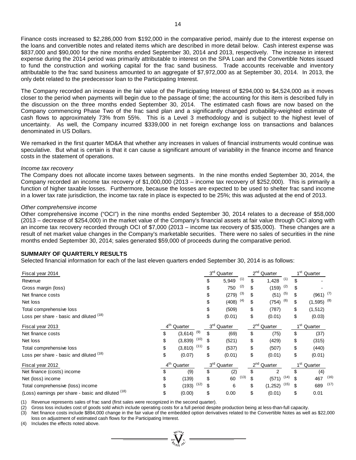Finance costs increased to \$2,286,000 from \$192,000 in the comparative period, mainly due to the interest expense on the loans and convertible notes and related items which are described in more detail below. Cash interest expense was \$837,000 and \$90,000 for the nine months ended September 30, 2014 and 2013, respectively. The increase in interest expense during the 2014 period was primarily attributable to interest on the SPA Loan and the Convertible Notes issued to fund the construction and working capital for the frac sand business. Trade accounts receivable and inventory attributable to the frac sand business amounted to an aggregate of \$7,972,000 as at September 30, 2014. In 2013, the only debt related to the predecessor loan to the Participating Interest.

The Company recorded an increase in the fair value of the Participating Interest of \$294,000 to \$4,524,000 as it moves closer to the period when payments will begin due to the passage of time; the accounting for this item is described fully in the discussion on the three months ended September 30, 2014. The estimated cash flows are now based on the Company commencing Phase Two of the frac sand plan and a significantly changed probability-weighted estimate of cash flows to approximately 73% from 55%. This is a Level 3 methodology and is subject to the highest level of uncertainty. As well, the Company incurred \$339,000 in net foreign exchange loss on transactions and balances denominated in US Dollars.

We remarked in the first quarter MD&A that whether any increases in values of financial instruments would continue was speculative. But what is certain is that it can cause a significant amount of variability in the finance income and finance costs in the statement of operations.

#### *Income tax recovery*

The Company does not allocate income taxes between segments. In the nine months ended September 30, 2014, the Company recorded an income tax recovery of \$1,000,000 (2013 – income tax recovery of \$252,000). This is primarily a function of higher taxable losses. Furthermore, because the losses are expected to be used to shelter frac sand income in a lower tax rate jurisdiction, the income tax rate in place is expected to be 25%; this was adjusted at the end of 2013.

#### *Other comprehensive income*

Other comprehensive income ("OCI") in the nine months ended September 30, 2014 relates to a decrease of \$58,000 (2013 – decrease of \$254,000) in the market value of the Company's financial assets at fair value through OCI along with an income tax recovery recorded through OCI of \$7,000 (2013 – income tax recovery of \$35,000). These changes are a result of net market value changes in the Company's marketable securities. There were no sales of securities in the nine months ended September 30, 2014; sales generated \$59,000 of proceeds during the comparative period.

#### **SUMMARY OF QUARTERLY RESULTS**

Selected financial information for each of the last eleven quarters ended September 30, 2014 is as follows:

| Fiscal year 2014                                   |                         |      |     | 3 <sup>rd</sup> Quarter |      |          | $2nd$ Quarter |      |                 | 1 <sup>st</sup> Quarter  |      |
|----------------------------------------------------|-------------------------|------|-----|-------------------------|------|----------|---------------|------|-----------------|--------------------------|------|
| Revenue                                            |                         |      |     | 5,949                   | (1)  | \$       | 1,428         | (1)  | \$              |                          |      |
| Gross margin (loss)                                |                         |      |     | 750                     | (2)  |          | (159)         | (2)  | \$              |                          |      |
| Net finance costs                                  |                         |      |     | (279)                   | (3)  |          | (51)          | (5)  | \$              | $(961)$ $(7)$            |      |
| Net loss                                           |                         |      |     | (408)                   | (4)  | \$       | (754)         | (6)  | \$              | $(1,595)$ <sup>(8)</sup> |      |
| Total comprehensive loss                           |                         |      |     | (509)                   |      | \$       | (787)         |      | \$              | (1, 512)                 |      |
| Loss per share - basic and diluted (18)            |                         |      | \$  | (0.01)                  |      | \$       | (0.01)        |      | \$              | (0.03)                   |      |
| Fiscal year 2013                                   | 4 <sup>th</sup> Quarter |      |     | 3 <sup>rd</sup> Quarter |      |          | $2nd$ Quarter |      | 1 <sup>st</sup> | Quarter                  |      |
| Net finance costs                                  | \$<br>(3,614)           | (9)  |     | (69)                    |      | \$       | (75)          |      | \$              | (37)                     |      |
| Net loss                                           | \$<br>(3,839)           | (10) | \$. | (521)                   |      | \$       | (429)         |      | \$              | (315)                    |      |
| Total comprehensive loss                           | \$<br>$(3,810)$ $(11)$  |      | \$  | (537)                   |      | \$       | (507)         |      | \$              | (440)                    |      |
| Loss per share - basic and diluted (18)            | \$<br>(0.07)            |      | \$  | (0.01)                  |      | \$       | (0.01)        |      | \$              | (0.01)                   |      |
| Fiscal year 2012                                   | 4 <sup>th</sup> Quarter |      |     | 3 <sup>rd</sup> Quarter |      | $2^{nd}$ | Quarter       |      | 1 <sup>st</sup> | Quarter                  |      |
| Net finance (costs) income                         | \$<br>(9)               |      | \$  | (2)                     |      | \$       | 2             |      | \$              | (4)                      |      |
| Net (loss) income                                  | \$<br>(139)             |      | \$  | 60                      | (13) | \$       | (571)         | (14) | \$              | 467                      | (16) |
| Total comprehensive (loss) income                  | \$<br>(193)             | (12) | \$  | 6                       |      | \$       | (1, 252)      | (15) | \$              | 689                      | (17) |
| (Loss) earnings per share - basic and diluted (18) | \$<br>(0.00)            |      | \$  | 0.00                    |      | \$       | (0.01)        |      | \$              | 0.01                     |      |

(1) Revenue represents sales of frac sand (first sales were recognized in the second quarter).

(2) Gross loss includes cost of goods sold which include operating costs for a full period despite production being at less-than-full capacity.

(3) Net finance costs include \$894,000 change in the fair value of the embedded option derivatives related to the Convertible Notes as well as \$22,000 loss on adjustment of estimated cash flows for the Participating Interest.

(4) Includes the effects noted above.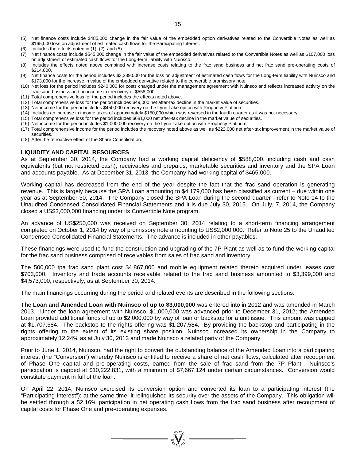- (5) Net finance costs include \$485,000 change in the fair value of the embedded option derivatives related to the Convertible Notes as well as \$165,000 loss on adjustment of estimated cash flows for the Participating Interest.
- Includes the effects noted in  $(1)$ ,  $(2)$ , and  $(5)$ .
- $(7)$  Net finance costs include \$545,000 change in the fair value of the embedded derivatives related to the Convertible Notes as well as \$107,000 loss on adjustment of estimated cash flows for the Long-term liability with Nuinsco.
- (8) Includes the effects noted above combined with increase costs relating to the frac sand business and net frac sand pre-operating costs of \$214,000.
- (9) Net finance costs for the period includes \$3,289,000 for the loss on adjustment of estimated cash flows for the Long-term liability with Nuinsco and \$173,000 for the increase in value of the embedded derivative related to the convertible promissory note.
- (10) Net loss for the period includes \$240,000 for costs charged under the management agreement with Nuinsco and reflects increased activity on the frac sand business and an income tax recovery of \$558,000.
- (11) Total comprehensive loss for the period includes the effects noted above.
- (12) Total comprehensive loss for the period includes \$49,000 net after-tax decline in the market value of securities.
- (13) Net income for the period includes \$450,000 recovery on the Lynn Lake option with Prophecy Platinum.
- (14) Includes an increase in income taxes of approximately \$150,000 which was reversed in the fourth quarter as it was not necessary.
- (15) Total comprehensive loss for the period includes \$681,000 net after-tax decline in the market value of securities.
- (16) Net income for the period includes \$1,000,000 recovery on the Lynn Lake option with Prophecy Platinum.
- (17) Total comprehensive income for the period includes the recovery noted above as well as \$222,000 net after-tax improvement in the market value of securities.
- (18) After the retroactive effect of the Share Consolidation.

#### **LIQUIDITY AND CAPITAL RESOURCES**

As at September 30, 2014, the Company had a working capital deficiency of \$588,000, including cash and cash equivalents (but not restricted cash), receivables and prepaids, marketable securities and inventory and the SPA Loan and accounts payable. As at December 31, 2013, the Company had working capital of \$465,000.

Working capital has decreased from the end of the year despite the fact that the frac sand operation is generating revenue. This is largely because the SPA Loan amounting to \$4,179,000 has been classified as current – due within one year as at September 30, 2014. The Company closed the SPA Loan during the second quarter - refer to Note 14 to the Unaudited Condensed Consolidated Financial Statements and it is due July 30, 2015. On July, 7, 2014, the Company closed a US\$3,000,000 financing under its Convertible Note program.

An advance of US\$250,000 was received on September 30, 2014 relating to a short-term financing arrangement completed on October 1, 2014 by way of promissory note amounting to US\$2,000,000. Refer to Note 25 to the Unaudited Condensed Consolidated Financial Statements. The advance is included in other payables.

These financings were used to fund the construction and upgrading of the 7P Plant as well as to fund the working capital for the frac sand business comprised of receivables from sales of frac sand and inventory.

The 500,000 tpa frac sand plant cost \$4,867,000 and mobile equipment related thereto acquired under leases cost \$703,000. Inventory and trade accounts receivable related to the frac sand business amounted to \$3,399,000 and \$4,573,000, respectively, as at September 30, 2014.

The main financings occurring during the period and related events are described in the following sections.

**The Loan and Amended Loan with Nuinsco of up to \$3,000,000** was entered into in 2012 and was amended in March 2013. Under the loan agreement with Nuinsco, \$1,000,000 was advanced prior to December 31, 2012; the Amended Loan provided additional funds of up to \$2,000,000 by way of loan or backstop for a unit issue. This amount was capped at \$1,707,584. The backstop to the rights offering was \$1,207,584. By providing the backstop and participating in the rights offering to the extent of its existing share position, Nuinsco increased its ownership in the Company to approximately 12.24% as at July 30, 2013 and made Nuinsco a related party of the Company.

Prior to June 1, 2014, Nuinsco, had the right to convert the outstanding balance of the Amended Loan into a participating interest (the "Conversion") whereby Nuinsco is entitled to receive a share of net cash flows, calculated after recoupment of Phase One capital and pre-operating costs, earned from the sale of frac sand from the 7P Plant. Nuinsco's participation is capped at \$10,222,831, with a minimum of \$7,667,124 under certain circumstances. Conversion would constitute payment in full of the loan.

On April 22, 2014, Nuinsco exercised its conversion option and converted its loan to a participating interest (the "Participating Interest"); at the same time, it relinquished its security over the assets of the Company. This obligation will be settled through a 52.16% participation in net operating cash flows from the frac sand business after recoupment of capital costs for Phase One and pre-operating expenses.

=  $\sum_{i=1}^{N^{(10)}}$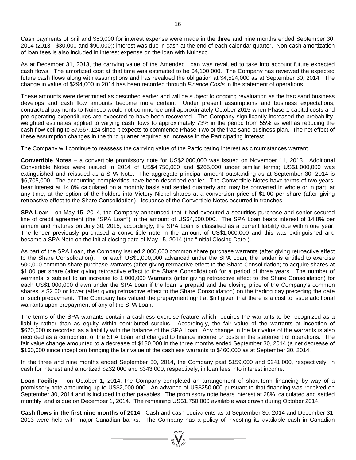Cash payments of \$nil and \$50,000 for interest expense were made in the three and nine months ended September 30, 2014 (2013 - \$30,000 and \$90,000); interest was due in cash at the end of each calendar quarter. Non-cash amortization of loan fees is also included in interest expense on the loan with Nuinsco.

As at December 31, 2013, the carrying value of the Amended Loan was revalued to take into account future expected cash flows. The amortized cost at that time was estimated to be \$4,100,000. The Company has reviewed the expected future cash flows along with assumptions and has revalued the obligation at \$4,524,000 as at September 30, 2014. The change in value of \$294,000 in 2014 has been recorded through *Finance Costs* in the statement of operations.

These amounts were determined as described earlier and will be subject to ongoing revaluation as the frac sand business develops and cash flow amounts become more certain. Under present assumptions and business expectations, contractual payments to Nuinsco would not commence until approximately October 2015 when Phase 1 capital costs and pre-operating expenditures are expected to have been recovered. The Company significantly increased the probabilityweighted estimates applied to varying cash flows to approximately 73% in the period from 55% as well as reducing the cash flow ceiling to \$7,667,124 since it expects to commence Phase Two of the frac sand business plan. The net effect of these assumption changes in the third quarter required an increase in the Participating Interest.

The Company will continue to reassess the carrying value of the Participating Interest as circumstances warrant.

**Convertible Notes** – a convertible promissory note for US\$2,000,000 was issued on November 11, 2013. Additional Convertible Notes were issued in 2014 of US\$4,750,000 and \$265,000 under similar terms; US\$1,000,000 was extinguished and reissued as a SPA Note. The aggregate principal amount outstanding as at September 30, 2014 is \$6,705,000. The accounting complexities have been described earlier. The Convertible Notes have terms of two years, bear interest at 14.8% calculated on a monthly basis and settled quarterly and may be converted in whole or in part, at any time, at the option of the holders into Victory Nickel shares at a conversion price of \$1.00 per share (after giving retroactive effect to the Share Consolidation). Issuance of the Convertible Notes occurred in tranches.

**SPA Loan** - on May 15, 2014, the Company announced that it had executed a securities purchase and senior secured line of credit agreement (the "SPA Loan") in the amount of US\$4,000,000. The SPA Loan bears interest of 14.8% per annum and matures on July 30, 2015; accordingly, the SPA Loan is classified as a current liability due within one year. The lender previously purchased a convertible note in the amount of US\$1,000,000 and this was extinguished and became a SPA Note on the initial closing date of May 15, 2014 (the "Initial Closing Date").

As part of the SPA Loan, the Company issued 2,000,000 common share purchase warrants (after giving retroactive effect to the Share Consolidation). For each US\$1,000,000 advanced under the SPA Loan, the lender is entitled to exercise 500,000 common share purchase warrants (after giving retroactive effect to the Share Consolidation) to acquire shares at \$1.00 per share (after giving retroactive effect to the Share Consolidation) for a period of three years. The number of warrants is subject to an increase to 1,000,000 Warrants (after giving retroactive effect to the Share Consolidation) for each US\$1,000,000 drawn under the SPA Loan if the loan is prepaid and the closing price of the Company's common shares is \$2.00 or lower (after giving retroactive effect to the Share Consolidation) on the trading day preceding the date of such prepayment. The Company has valued the prepayment right at \$nil given that there is a cost to issue additional warrants upon prepayment of any of the SPA Loan.

The terms of the SPA warrants contain a cashless exercise feature which requires the warrants to be recognized as a liability rather than as equity within contributed surplus. Accordingly, the fair value of the warrants at inception of \$620,000 is recorded as a liability with the balance of the SPA Loan. Any change in the fair value of the warrants is also recorded as a component of the SPA Loan and charged to finance income or costs in the statement of operations. The fair value change amounted to a decrease of \$180,000 in the three months ended September 30, 2014 (a net decrease of \$160,000 since inception) bringing the fair value of the cashless warrants to \$460,000 as at September 30, 2014.

In the three and nine months ended September 30, 2014, the Company paid \$159,000 and \$241,000, respectively, in cash for interest and amortized \$232,000 and \$343,000, respectively, in loan fees into interest income.

**Loan Facility** – on October 1, 2014, the Company completed an arrangement of short-term financing by way of a promissory note amounting up to US\$2,000,000. An advance of US\$250,000 pursuant to that financing was received on September 30, 2014 and is included in other payables. The promissory note bears interest at 28%, calculated and settled monthly, and is due on December 1, 2014. The remaining US\$1,750,000 available was drawn during October 2014.

**Cash flows in the first nine months of 2014** - Cash and cash equivalents as at September 30, 2014 and December 31, 2013 were held with major Canadian banks. The Company has a policy of investing its available cash in Canadian

=  $\sum_{y \in V} \sum_{y \in V} x^y$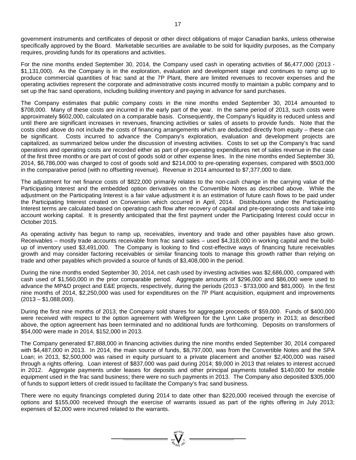government instruments and certificates of deposit or other direct obligations of major Canadian banks, unless otherwise specifically approved by the Board. Marketable securities are available to be sold for liquidity purposes, as the Company requires, providing funds for its operations and activities.

For the nine months ended September 30, 2014, the Company used cash in operating activities of \$6,477,000 (2013 - \$1,131,000). As the Company is in the exploration, evaluation and development stage and continues to ramp up to produce commercial quantities of frac sand at the 7P Plant, there are limited revenues to recover expenses and the operating activities represent the corporate and administrative costs incurred mostly to maintain a public company and to set up the frac sand operations, including building inventory and paying in advance for sand purchases.

The Company estimates that public company costs in the nine months ended September 30, 2014 amounted to \$708,000. Many of these costs are incurred in the early part of the year. In the same period of 2013, such costs were approximately \$602,000, calculated on a comparable basis. Consequently, the Company's liquidity is reduced unless and until there are significant increases in revenues, financing activities or sales of assets to provide funds. Note that the costs cited above do not include the costs of financing arrangements which are deducted directly from equity – these can be significant. Costs incurred to advance the Company's exploration, evaluation and development projects are capitalized, as summarized below under the discussion of investing activities. Costs to set up the Company's frac sand operations and operating costs are recorded either as part of pre-operating expenditures net of sales revenue in the case of the first three months or are part of cost of goods sold or other expense lines. In the nine months ended September 30, 2014, \$6,786,000 was charged to cost of goods sold and \$214,000 to pre-operating expenses, compared with \$503,000 in the comparative period (with no offsetting revenue). Revenue in 2014 amounted to \$7,377,000 to date.

The adjustment for net finance costs of \$822,000 primarily relates to the non-cash change in the carrying value of the Participating Interest and the embedded option derivatives on the Convertible Notes as described above. While the adjustment on the Participating Interest is a fair value adjustment it is an estimation of future cash flows to be paid under the Participating Interest created on Conversion which occurred in April, 2014. Distributions under the Participating Interest terms are calculated based on operating cash flow after recovery of capital and pre-operating costs and take into account working capital. It is presently anticipated that the first payment under the Participating Interest could occur in October 2015.

As operating activity has begun to ramp up, receivables, inventory and trade and other payables have also grown. Receivables – mostly trade accounts receivable from frac sand sales – used \$4,318,000 in working capital and the buildup of inventory used \$3,491,000. The Company is looking to find cost-effective ways of financing future receivables growth and may consider factoring receivables or similar financing tools to manage this growth rather than relying on trade and other payables which provided a source of funds of \$3,408,000 in the period.

During the nine months ended September 30, 2014, net cash used by investing activities was \$2,686,000, compared with cash used of \$1,560,000 in the prior comparable period. Aggregate amounts of \$296,000 and \$86,000 were used to advance the MP&D project and E&E projects, respectively, during the periods (2013 - \$733,000 and \$81,000). In the first nine months of 2014, \$2,250,000 was used for expenditures on the 7P Plant acquisition, equipment and improvements  $(2013 - $1,088,000)$ .

During the first nine months of 2013, the Company sold shares for aggregate proceeds of \$59,000. Funds of \$400,000 were received with respect to the option agreement with Wellgreen for the Lynn Lake property in 2013; as described above, the option agreement has been terminated and no additional funds are forthcoming. Deposits on transformers of \$54,000 were made in 2014, \$152,000 in 2013.

The Company generated \$7,888,000 in financing activities during the nine months ended September 30, 2014 compared with \$4,487,000 in 2013. In 2014, the main source of funds, \$8,797,000, was from the Convertible Notes and the SPA Loan; in 2013, \$2,500,000 was raised in equity pursuant to a private placement and another \$2,400,000 was raised through a rights offering. Loan interest of \$837,000 was paid during 2014; \$9,000 in 2013 that relates to interest accrued in 2012. Aggregate payments under leases for deposits and other principal payments totalled \$140,000 for mobile equipment used in the frac sand business; there were no such payments in 2013. The Company also deposited \$305,000 of funds to support letters of credit issued to facilitate the Company's frac sand business.

There were no equity financings completed during 2014 to date other than \$220,000 received through the exercise of options and \$155,000 received through the exercise of warrants issued as part of the rights offering in July 2013; expenses of \$2,000 were incurred related to the warrants.

=  $\sum_{n=1}^{\infty} \frac{1}{n!}$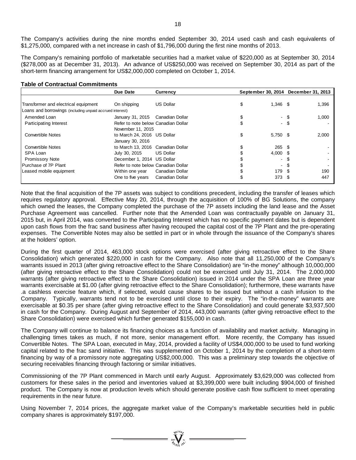The Company's activities during the nine months ended September 30, 2014 used cash and cash equivalents of \$1,275,000, compared with a net increase in cash of \$1,796,000 during the first nine months of 2013.

The Company's remaining portfolio of marketable securities had a market value of \$220,000 as at September 30, 2014 (\$278,000 as at December 31, 2013). An advance of US\$250,000 was received on September 30, 2014 as part of the short-term financing arrangement for US\$2,000,000 completed on October 1, 2014.

#### **Table of Contractual Commitments**

|                                                          | Due Date                            | <b>Currency</b>  |    |                  | September 30, 2014 December 31, 2013 |
|----------------------------------------------------------|-------------------------------------|------------------|----|------------------|--------------------------------------|
|                                                          |                                     |                  |    |                  |                                      |
| Transformer and electrical equipment                     | On shipping                         | <b>US Dollar</b> | \$ | $1,346$ \$       | 1,396                                |
| Loans and borrowings (including unpaid accrued interest) |                                     |                  |    |                  |                                      |
| Amended Loan                                             | January 31, 2015                    | Canadian Dollar  |    | - \$             | 1,000                                |
| Participating Interest                                   | Refer to note below Canadian Dollar |                  |    | - \$             |                                      |
|                                                          | November 11, 2015                   |                  |    |                  |                                      |
| <b>Convertible Notes</b>                                 | to March 24, 2016 US Dollar         |                  |    | $5,750$ \$       | 2,000                                |
|                                                          | January 30, 2016                    |                  |    |                  |                                      |
| <b>Convertible Notes</b>                                 | to March 13, 2016 Canadian Dollar   |                  |    | $265 \quad $$    |                                      |
| SPA Loan                                                 | July 30, 2015                       | <b>US Dollar</b> |    | $4,000$ \$       |                                      |
| <b>Promissory Note</b>                                   | December 1, 2014 US Dollar          |                  |    | - \$             |                                      |
| Purchase of 7P Plant                                     | Refer to note below Canadian Dollar |                  |    | - \$             |                                      |
| Leased mobile equipment                                  | Within one year                     | Canadian Dollar  |    | 179 \$           | 190                                  |
|                                                          | One to five years                   | Canadian Dollar  |    | 373 <sup>5</sup> | 447                                  |
|                                                          |                                     |                  |    |                  |                                      |

Note that the final acquisition of the 7P assets was subject to conditions precedent, including the transfer of leases which requires regulatory approval. Effective May 20, 2014, through the acquisition of 100% of BG Solutions, the company which owned the leases, the Company completed the purchase of the 7P assets including the land lease and the Asset Purchase Agreement was cancelled. Further note that the Amended Loan was contractually payable on January 31, 2015 but, in April 2014, was converted to the Participating Interest which has no specific payment dates but is dependent upon cash flows from the frac sand business after having recouped the capital cost of the 7P Plant and the pre-operating expenses. The Convertible Notes may also be settled in part or in whole through the issuance of the Company's shares at the holders' option.

During the first quarter of 2014, 463,000 stock options were exercised (after giving retroactive effect to the Share Consolidation) which generated \$220,000 in cash for the Company. Also note that all 11,250,000 of the Company's warrants issued in 2013 (after giving retroactive effect to the Share Consolidation) are "in-the money" although 10,000,000 (after giving retroactive effect to the Share Consolidation) could not be exercised until July 31, 2014. The 2,000,000 warrants (after giving retroactive effect to the Share Consolidation) issued in 2014 under the SPA Loan are three year warrants exercisable at \$1.00 (after giving retroactive effect to the Share Consolidation); furthermore, these warrants have .a cashless exercise feature which, if selected, would cause shares to be issued but without a cash infusion to the Company. Typically, warrants tend not to be exercised until close to their expiry. The "in-the-money" warrants are exercisable at \$0.35 per share (after giving retroactive effect to the Share Consolidation) and could generate \$3,937,500 in cash for the Company. During August and September of 2014, 443,000 warrants (after giving retroactive effect to the Share Consolidation) were exercised which further generated \$155,000 in cash.

The Company will continue to balance its financing choices as a function of availability and market activity. Managing in challenging times takes as much, if not more, senior management effort. More recently, the Company has issued Convertible Notes. The SPA Loan, executed in May, 2014, provided a facility of US\$4,000,000 to be used to fund working capital related to the frac sand initiative. This was supplemented on October 1, 2014 by the completion of a short-term financing by way of a promissory note aggregating US\$2,000,000. This was a preliminary step towards the objective of securing receivables financing through factoring or similar initiatives.

Commissioning of the 7P Plant commenced in March until early August. Approximately \$3,629,000 was collected from customers for these sales in the period and inventories valued at \$3,399,000 were built including \$904,000 of finished product. The Company is now at production levels which should generate positive cash flow sufficient to meet operating requirements in the near future.

Using November 7, 2014 prices, the aggregate market value of the Company's marketable securities held in public company shares is approximately \$197,000.

 $\sum_{\substack{1007 \text{ VU10}}{q_1 q_2 q_3 q_4 q_5}}^{q_1 q_2 q_3 q_4 q_5} =$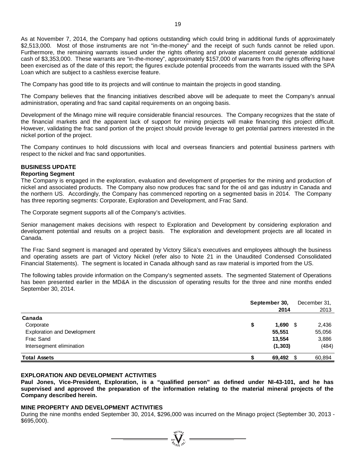As at November 7, 2014, the Company had options outstanding which could bring in additional funds of approximately \$2,513,000. Most of those instruments are not "in-the-money" and the receipt of such funds cannot be relied upon. Furthermore, the remaining warrants issued under the rights offering and private placement could generate additional cash of \$3,353,000. These warrants are "in-the-money", approximately \$157,000 of warrants from the rights offering have been exercised as of the date of this report; the figures exclude potential proceeds from the warrants issued with the SPA Loan which are subject to a cashless exercise feature.

The Company has good title to its projects and will continue to maintain the projects in good standing.

The Company believes that the financing initiatives described above will be adequate to meet the Company's annual administration, operating and frac sand capital requirements on an ongoing basis.

Development of the Minago mine will require considerable financial resources. The Company recognizes that the state of the financial markets and the apparent lack of support for mining projects will make financing this project difficult. However, validating the frac sand portion of the project should provide leverage to get potential partners interested in the nickel portion of the project.

The Company continues to hold discussions with local and overseas financiers and potential business partners with respect to the nickel and frac sand opportunities.

## **BUSINESS UPDATE**

### **Reporting Segment**

The Company is engaged in the exploration, evaluation and development of properties for the mining and production of nickel and associated products. The Company also now produces frac sand for the oil and gas industry in Canada and the northern US. Accordingly, the Company has commenced reporting on a segmented basis in 2014. The Company has three reporting segments: Corporate, Exploration and Development, and Frac Sand.

The Corporate segment supports all of the Company's activities.

Senior management makes decisions with respect to Exploration and Development by considering exploration and development potential and results on a project basis. The exploration and development projects are all located in Canada.

The Frac Sand segment is managed and operated by Victory Silica's executives and employees although the business and operating assets are part of Victory Nickel (refer also to Note 21 in the Unaudited Condensed Consolidated Financial Statements). The segment is located in Canada although sand as raw material is imported from the US.

The following tables provide information on the Company's segmented assets. The segmented Statement of Operations has been presented earlier in the MD&A in the discussion of operating results for the three and nine months ended September 30, 2014.

|                                    | September 30,<br>2014 |     | December 31,<br>2013 |
|------------------------------------|-----------------------|-----|----------------------|
| Canada                             |                       |     |                      |
| Corporate                          | 1,690<br>\$           | S.  | 2,436                |
| <b>Exploration and Development</b> | 55,551                |     | 55,056               |
| Frac Sand                          | 13,554                |     | 3,886                |
| Intersegment elimination           | (1, 303)              |     | (484)                |
| <b>Total Assets</b>                | 69,492                | \$. | 60,894               |

### **EXPLORATION AND DEVELOPMENT ACTIVITIES**

**Paul Jones, Vice-President, Exploration, is a "qualified person" as defined under NI-43-101, and he has supervised and approved the preparation of the information relating to the material mineral projects of the Company described herein.**

### **MINE PROPERTY AND DEVELOPMENT ACTIVITIES**

During the nine months ended September 30, 2014, \$296,000 was incurred on the Minago project (September 30, 2013 - \$695,000).

 $\sum_{\substack{i=1\\ \text{with } i\in I}}^{\text{st}(i)}$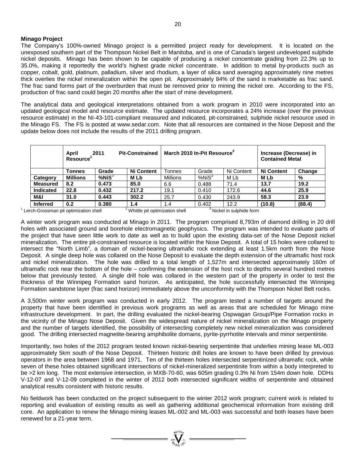### **Minago Project**

The Company's 100%-owned Minago project is a permitted project ready for development. It is located on the unexposed southern part of the Thompson Nickel Belt in Manitoba, and is one of Canada's largest undeveloped sulphide nickel deposits. Minago has been shown to be capable of producing a nickel concentrate grading from 22.3% up to 35.0%, making it reportedly the world's highest grade nickel concentrate. In addition to metal by-products such as copper, cobalt, gold, platinum, palladium, silver and rhodium, a layer of silica sand averaging approximately nine metres thick overlies the nickel mineralization within the open pit. Approximately 84% of the sand is marketable as frac sand. The frac sand forms part of the overburden that must be removed prior to mining the nickel ore. According to the FS, production of frac sand could begin 20 months after the start of mine development.

The analytical data and geological interpretations obtained from a work program in 2010 were incorporated into an updated geological model and resource estimate. The updated resource incorporates a 24% increase (over the previous resource estimate) in the NI-43-101-compliant measured and indicated, pit-constrained, sulphide nickel resource used in the Minago FS. The FS is posted at [www.sedar.com.](http://www.sedar.com/) Note that all resources are contained in the Nose Deposit and the update below does not include the results of the 2011 drilling program.

|                  | April<br><b>Resource</b> | 2011         | <b>Pit-Constrained</b> | March 2010 In-Pit Resource <sup>2</sup> |                   |            | Increase (Decrease) in<br><b>Contained Metal</b> |        |
|------------------|--------------------------|--------------|------------------------|-----------------------------------------|-------------------|------------|--------------------------------------------------|--------|
|                  | Tonnes                   | Grade        | <b>Ni Content</b>      | Tonnes                                  | Grade             | Ni Content | <b>Ni Content</b>                                | Change |
| Category         | Millions                 | $%$ Ni $S^3$ | M Lb                   | <b>Millions</b>                         | %NiS <sup>3</sup> | M Lb       | M Lb                                             | %      |
| <b>Measured</b>  | 8.2                      | 0.473        | 85.0                   | 6.6                                     | 0.488             | 71.4       | 13.7                                             | 19.2   |
| <b>Indicated</b> | 22.8                     | 0.432        | 217.2                  | 19.1                                    | 0.410             | 172.6      | 44.6                                             | 25.9   |
| M&I              | 31.0                     | 0.443        | 302.2                  | 25.7                                    | 0.430             | 243.9      | 58.3                                             | 23.9   |
| <b>Inferred</b>  | 0.2                      | 0.380        | 1.4                    | 1.4                                     | 0.402             | 12.2       | (10.8)                                           | (88.4) |

 $1$  Lerch-Grossman pit optimization shell  $2^2$  Whittle pit optimization shell  $3$  Nickel in sulphide form

A winter work program was conducted at Minago in 2011. The program comprised 8,793m of diamond drilling in 20 drill holes with associated ground and borehole electromagnetic geophysics. The program was intended to evaluate parts of the project that have seen little work to date as well as to build upon the existing data-set of the Nose Deposit nickel mineralization. The entire pit-constrained resource is located within the Nose Deposit. A total of 15 holes were collared to intersect the "North Limb", a domain of nickel-bearing ultramafic rock extending at least 1.5km north from the Nose Deposit. A single deep hole was collared on the Nose Deposit to evaluate the depth extension of the ultramafic host rock and nickel mineralization. The hole was drilled to a total length of 1,527m and intersected approximately 160m of ultramafic rock near the bottom of the hole – confirming the extension of the host rock to depths several hundred metres below that previously tested. A single drill hole was collared in the western part of the property in order to test the thickness of the Winnipeg Formation sand horizon. As anticipated, the hole successfully intersected the Winnipeg Formation sandstone layer (frac sand horizon) immediately above the unconformity with the Thompson Nickel Belt rocks.

A 3,500m winter work program was conducted in early 2012. The program tested a number of targets around the property that have been identified in previous work programs as well as areas that are scheduled for Minago mine infrastructure development. In part, the drilling evaluated the nickel-bearing Ospwagan Group/Pipe Formation rocks in the vicinity of the Minago Nose Deposit. Given the widespread nature of nickel mineralization on the Minago property and the number of targets identified, the possibility of intersecting completely new nickel mineralization was considered good. The drilling intersected magnetite-bearing amphibolite domains, pyrite-pyrrhotite intervals and minor serpentinite.

Importantly, two holes of the 2012 program tested known nickel-bearing serpentinite that underlies mining lease ML-003 approximately 5km south of the Nose Deposit. Thirteen historic drill holes are known to have been drilled by previous operators in the area between 1968 and 1971. Ten of the thirteen holes intersected serpentinized ultramafic rock, while seven of these holes obtained significant intersections of nickel-mineralized serpentinite from within a body interpreted to be >2 km long. The most extensive intersection, in MXB-70-60, was 605m grading 0.3% Ni from 154m down hole. DDHs V-12-07 and V-12-09 completed in the winter of 2012 both intersected significant widths of serpentinite and obtained analytical results consistent with historic results.

No fieldwork has been conducted on the project subsequent to the winter 2012 work program; current work is related to reporting and evaluation of existing results as well as gathering additional geochemical information from existing drill core. An application to renew the Minago mining leases ML-002 and ML-003 was successful and both leases have been renewed for a 21-year term.

 $\sum_{n=1}^{N^{(10)}_{N}}\sum_{n=1}^{N^{(1)}}$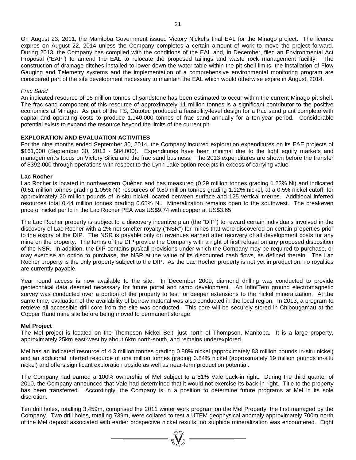On August 23, 2011, the Manitoba Government issued Victory Nickel's final EAL for the Minago project. The licence expires on August 22, 2014 unless the Company completes a certain amount of work to move the project forward. During 2013, the Company has complied with the conditions of the EAL and, in December, filed an Environmental Act Proposal ("EAP") to amend the EAL to relocate the proposed tailings and waste rock management facility. The construction of drainage ditches installed to lower down the water table within the pit shell limits, the installation of Flow Gauging and Telemetry systems and the implementation of a comprehensive environmental monitoring program are considered part of the site development necessary to maintain the EAL which would otherwise expire in August, 2014.

#### *Frac Sand*

An indicated resource of 15 million tonnes of sandstone has been estimated to occur within the current Minago pit shell. The frac sand component of this resource of approximately 11 million tonnes is a significant contributor to the positive economics at Minago. As part of the FS, Outotec produced a feasibility-level design for a frac sand plant complete with capital and operating costs to produce 1,140,000 tonnes of frac sand annually for a ten-year period. Considerable potential exists to expand the resource beyond the limits of the current pit.

#### **EXPLORATION AND EVALUATION ACTIVITIES**

For the nine months ended September 30, 2014, the Company incurred exploration expenditures on its E&E projects of \$161,000 (September 30, 2013 - \$84,000). Expenditures have been minimal due to the tight equity markets and management's focus on Victory Silica and the frac sand business. The 2013 expenditures are shown before the transfer of \$392,000 through operations with respect to the Lynn Lake option receipts in excess of carrying value.

#### **Lac Rocher**

Lac Rocher is located in northwestern Québec and has measured (0.29 million tonnes grading 1.23% Ni) and indicated (0.51 million tonnes grading 1.05% Ni) resources of 0.80 million tonnes grading 1.12% nickel, at a 0.5% nickel cutoff, for approximately 20 million pounds of in-situ nickel located between surface and 125 vertical metres. Additional inferred resources total 0.44 million tonnes grading 0.65% Ni. Mineralization remains open to the southwest. The breakeven price of nickel per lb in the Lac Rocher PEA was US\$9.74 with copper at US\$3.65.

The Lac Rocher property is subject to a discovery incentive plan (the "DIP") to reward certain individuals involved in the discovery of Lac Rocher with a 2% net smelter royalty ("NSR") for mines that were discovered on certain properties prior to the expiry of the DIP. The NSR is payable only on revenues earned after recovery of all development costs for any mine on the property. The terms of the DIP provide the Company with a right of first refusal on any proposed disposition of the NSR. In addition, the DIP contains put/call provisions under which the Company may be required to purchase, or may exercise an option to purchase, the NSR at the value of its discounted cash flows, as defined therein. The Lac Rocher property is the only property subject to the DIP. As the Lac Rocher property is not yet in production, no royalties are currently payable.

Year round access is now available to the site. In December 2009, diamond drilling was conducted to provide geotechnical data deemed necessary for future portal and ramp development. An InfiniTem ground electromagnetic survey was conducted over a portion of the property to test for deeper extensions to the nickel mineralization. At the same time, evaluation of the availability of borrow material was also conducted in the local region. In 2013, a program to retrieve all accessible drill core from the site was conducted. This core will be securely stored in Chibougamau at the Copper Rand mine site before being moved to permanent storage.

#### **Mel Project**

The Mel project is located on the Thompson Nickel Belt, just north of Thompson, Manitoba. It is a large property, approximately 25km east-west by about 6km north-south, and remains underexplored.

Mel has an indicated resource of 4.3 million tonnes grading 0.88% nickel (approximately 83 million pounds in-situ nickel) and an additional inferred resource of one million tonnes grading 0.84% nickel (approximately 19 million pounds in-situ nickel) and offers significant exploration upside as well as near-term production potential.

The Company had earned a 100% ownership of Mel subject to a 51% Vale back-in right. During the third quarter of 2010, the Company announced that Vale had determined that it would not exercise its back-in right. Title to the property has been transferred. Accordingly, the Company is in a position to determine future programs at Mel in its sole discretion.

Ten drill holes, totalling 3,459m, comprised the 2011 winter work program on the Mel Property, the first managed by the Company. Two drill holes, totalling 739m, were collared to test a UTEM geophysical anomaly approximately 700m north of the Mel deposit associated with earlier prospective nickel results; no sulphide mineralization was encountered. Eight

=  $\sum_{i=1}^{n} \sum_{j=1}^{n} \sum_{j=1}^{n}$  =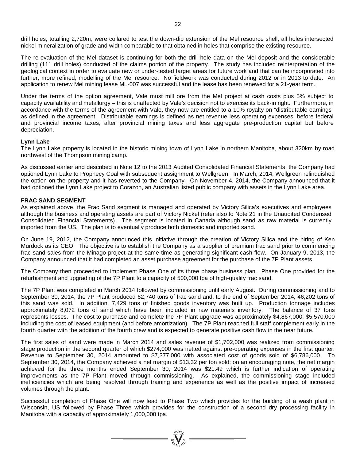The re-evaluation of the Mel dataset is continuing for both the drill hole data on the Mel deposit and the considerable drilling (111 drill holes) conducted of the claims portion of the property. The study has included reinterpretation of the geological context in order to evaluate new or under-tested target areas for future work and that can be incorporated into further, more refined, modelling of the Mel resource. No fieldwork was conducted during 2012 or in 2013 to date. An application to renew Mel mining lease ML-007 was successful and the lease has been renewed for a 21-year term.

Under the terms of the option agreement, Vale must mill ore from the Mel project at cash costs plus 5% subject to capacity availability and metallurgy – this is unaffected by Vale's decision not to exercise its back-in right. Furthermore, in accordance with the terms of the agreement with Vale, they now are entitled to a 10% royalty on "distributable earnings" as defined in the agreement. Distributable earnings is defined as net revenue less operating expenses, before federal and provincial income taxes, after provincial mining taxes and less aggregate pre-production capital but before depreciation.

### **Lynn Lake**

The Lynn Lake property is located in the historic mining town of Lynn Lake in northern Manitoba, about 320km by road northwest of the Thompson mining camp.

As discussed earlier and described in Note 12 to the 2013 Audited Consolidated Financial Statements, the Company had optioned Lynn Lake to Prophecy Coal with subsequent assignment to Wellgreen. In March, 2014, Wellgreen relinquished the option on the property and it has reverted to the Company. On November 4, 2014, the Company announced that it had optioned the Lynn Lake project to Corazon, an Australian listed public company with assets in the Lynn Lake area.

## **FRAC SAND SEGMENT**

As explained above, the Frac Sand segment is managed and operated by Victory Silica's executives and employees although the business and operating assets are part of Victory Nickel (refer also to Note 21 in the Unaudited Condensed Consolidated Financial Statements). The segment is located in Canada although sand as raw material is currently imported from the US. The plan is to eventually produce both domestic and imported sand.

On June 19, 2012, the Company announced this initiative through the creation of Victory Silica and the hiring of Ken Murdock as its CEO. The objective is to establish the Company as a supplier of premium frac sand prior to commencing frac sand sales from the Minago project at the same time as generating significant cash flow. On January 9, 2013, the Company announced that it had completed an asset purchase agreement for the purchase of the 7P Plant assets.

The Company then proceeded to implement Phase One of its three phase business plan. Phase One provided for the refurbishment and upgrading of the 7P Plant to a capacity of 500,000 tpa of high-quality frac sand.

The 7P Plant was completed in March 2014 followed by commissioning until early August. During commissioning and to September 30, 2014, the 7P Plant produced 62,740 tons of frac sand and, to the end of September 2014, 46,202 tons of this sand was sold. In addition, 7,429 tons of finished goods inventory was built up. Production tonnage includes approximately 8,072 tons of sand which have been included in raw materials inventory. The balance of 37 tons represents losses. The cost to purchase and complete the 7P Plant upgrade was approximately \$4,867,000; \$5,570,000 including the cost of leased equipment (and before amortization). The 7P Plant reached full staff complement early in the fourth quarter with the addition of the fourth crew and is expected to generate positive cash flow in the near future.

The first sales of sand were made in March 2014 and sales revenue of \$1,702,000 was realized from commissioning stage production in the second quarter of which \$274,000 was netted against pre-operating expenses in the first quarter. Revenue to September 30, 2014 amounted to \$7,377,000 with associated cost of goods sold of \$6,786,000. To September 30, 2014, the Company achieved a net margin of \$13.32 per ton sold; on an encouraging note, the net margin achieved for the three months ended September 30, 2014 was \$21.49 which is further indication of operating improvements as the 7P Plant moved through commissioning. As explained, the commissioning stage included inefficiencies which are being resolved through training and experience as well as the positive impact of increased volumes through the plant.

Successful completion of Phase One will now lead to Phase Two which provides for the building of a wash plant in Wisconsin, US followed by Phase Three which provides for the construction of a second dry processing facility in Manitoba with a capacity of approximately 1,000,000 tpa.

=  $\sum_{y=0}^{y} \sum_{y=0}^{y}$  =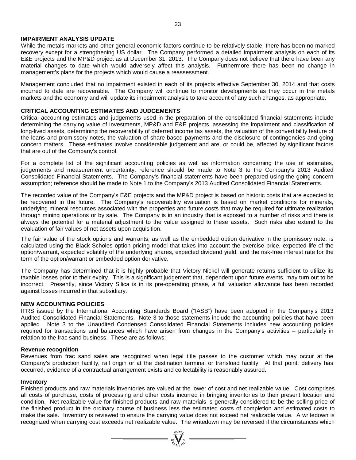### **IMPAIRMENT ANALYSIS UPDATE**

While the metals markets and other general economic factors continue to be relatively stable, there has been no marked recovery except for a strengthening US dollar. The Company performed a detailed impairment analysis on each of its E&E projects and the MP&D project as at December 31, 2013. The Company does not believe that there have been any material changes to date which would adversely affect this analysis. Furthermore there has been no change in management's plans for the projects which would cause a reassessment.

Management concluded that no impairment existed in each of its projects effective September 30, 2014 and that costs incurred to date are recoverable. The Company will continue to monitor developments as they occur in the metals markets and the economy and will update its impairment analysis to take account of any such changes, as appropriate.

#### **CRITICAL ACCOUNTING ESTIMATES AND JUDGEMENTS**

Critical accounting estimates and judgements used in the preparation of the consolidated financial statements include determining the carrying value of investments, MP&D and E&E projects, assessing the impairment and classification of long-lived assets, determining the recoverability of deferred income tax assets, the valuation of the convertibility feature of the loans and promissory notes, the valuation of share-based payments and the disclosure of contingencies and going concern matters. These estimates involve considerable judgement and are, or could be, affected by significant factors that are out of the Company's control.

For a complete list of the significant accounting policies as well as information concerning the use of estimates, judgements and measurement uncertainty, reference should be made to Note 3 to the Company's 2013 Audited Consolidated Financial Statements. The Company's financial statements have been prepared using the going concern assumption; reference should be made to Note 1 to the Company's 2013 Audited Consolidated Financial Statements.

The recorded value of the Company's E&E projects and the MP&D project is based on historic costs that are expected to be recovered in the future. The Company's recoverability evaluation is based on market conditions for minerals, underlying mineral resources associated with the properties and future costs that may be required for ultimate realization through mining operations or by sale. The Company is in an industry that is exposed to a number of risks and there is always the potential for a material adjustment to the value assigned to these assets. Such risks also extend to the evaluation of fair values of net assets upon acquisition.

The fair value of the stock options and warrants, as well as the embedded option derivative in the promissory note, is calculated using the Black-Scholes option-pricing model that takes into account the exercise price, expected life of the option/warrant, expected volatility of the underlying shares, expected dividend yield, and the risk-free interest rate for the term of the option/warrant or embedded option derivative.

The Company has determined that it is highly probable that Victory Nickel will generate returns sufficient to utilize its taxable losses prior to their expiry. This is a significant judgement that, dependent upon future events, may turn out to be incorrect. Presently, since Victory Silica is in its pre-operating phase, a full valuation allowance has been recorded against losses incurred in that subsidiary.

### **NEW ACCOUNTING POLICIES**

IFRS issued by the International Accounting Standards Board ("IASB") have been adopted in the Company's 2013 Audited Consolidated Financial Statements. Note 3 to those statements include the accounting policies that have been applied. Note 3 to the Unaudited Condensed Consolidated Financial Statements includes new accounting policies required for transactions and balances which have arisen from changes in the Company's activities – particularly in relation to the frac sand business. These are as follows:

#### **Revenue recognition**

Revenues from frac sand sales are recognized when legal title passes to the customer which may occur at the Company's production facility, rail origin or at the destination terminal or transload facility. At that point, delivery has occurred, evidence of a contractual arrangement exists and collectability is reasonably assured.

#### **Inventory**

Finished products and raw materials inventories are valued at the lower of cost and net realizable value. Cost comprises all costs of purchase, costs of processing and other costs incurred in bringing inventories to their present location and condition. Net realizable value for finished products and raw materials is generally considered to be the selling price of the finished product in the ordinary course of business less the estimated costs of completion and estimated costs to make the sale. Inventory is reviewed to ensure the carrying value does not exceed net realizable value. A writedown is recognized when carrying cost exceeds net realizable value. The writedown may be reversed if the circumstances which

 $= \sum_{\substack{i=1\\ i\neq j}}^{\infty} \sum_{\substack{i=1\\ i\neq j}}^{\infty}$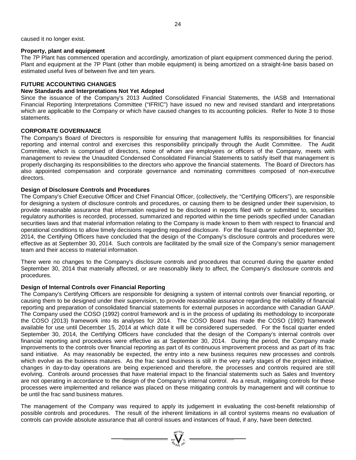caused it no longer exist.

### **Property, plant and equipment**

The 7P Plant has commenced operation and accordingly, amortization of plant equipment commenced during the period. Plant and equipment at the 7P Plant (other than mobile equipment) is being amortized on a straight-line basis based on estimated useful lives of between five and ten years.

# **FUTURE ACCOUNTING CHANGES**

### **New Standards and Interpretations Not Yet Adopted**

Since the issuance of the Company's 2013 Audited Consolidated Financial Statements, the IASB and International Financial Reporting Interpretations Committee ("IFRIC") have issued no new and revised standard and interpretations which are applicable to the Company or which have caused changes to its accounting policies. Refer to Note 3 to those statements.

## **CORPORATE GOVERNANCE**

The Company's Board of Directors is responsible for ensuring that management fulfils its responsibilities for financial reporting and internal control and exercises this responsibility principally through the Audit Committee. The Audit Committee, which is comprised of directors, none of whom are employees or officers of the Company, meets with management to review the Unaudited Condensed Consolidated Financial Statements to satisfy itself that management is properly discharging its responsibilities to the directors who approve the financial statements. The Board of Directors has also appointed compensation and corporate governance and nominating committees composed of non-executive directors.

### **Design of Disclosure Controls and Procedures**

The Company's Chief Executive Officer and Chief Financial Officer, (collectively, the "Certifying Officers"), are responsible for designing a system of disclosure controls and procedures, or causing them to be designed under their supervision, to provide reasonable assurance that information required to be disclosed in reports filed with or submitted to, securities regulatory authorities is recorded, processed, summarized and reported within the time periods specified under Canadian securities laws and that material information relating to the Company is made known to them with respect to financial and operational conditions to allow timely decisions regarding required disclosure. For the fiscal quarter ended September 30, 2014, the Certifying Officers have concluded that the design of the Company's disclosure controls and procedures were effective as at September 30, 2014. Such controls are facilitated by the small size of the Company's senior management team and their access to material information.

There were no changes to the Company's disclosure controls and procedures that occurred during the quarter ended September 30, 2014 that materially affected, or are reasonably likely to affect, the Company's disclosure controls and procedures.

### **Design of Internal Controls over Financial Reporting**

The Company's Certifying Officers are responsible for designing a system of internal controls over financial reporting, or causing them to be designed under their supervision, to provide reasonable assurance regarding the reliability of financial reporting and preparation of consolidated financial statements for external purposes in accordance with Canadian GAAP. The Company used the COSO (1992) control framework and is in the process of updating its methodology to incorporate the COSO (2013) framework into its analyses for 2014. The COSO Board has made the COSO (1992) framework available for use until December 15, 2014 at which date it will be considered superseded. For the fiscal quarter ended September 30, 2014, the Certifying Officers have concluded that the design of the Company's internal controls over financial reporting and procedures were effective as at September 30, 2014. During the period, the Company made improvements to the controls over financial reporting as part of its continuous improvement process and as part of its frac sand initiative. As may reasonably be expected, the entry into a new business requires new processes and controls which evolve as the business matures. As the frac sand business is still in the very early stages of the project initiative, changes in day-to-day operations are being experienced and therefore, the processes and controls required are still evolving. Controls around processes that have material impact to the financial statements such as Sales and Inventory are not operating in accordance to the design of the Company's internal control. As a result, mitigating controls for these processes were implemented and reliance was placed on these mitigating controls by management and will continue to be until the frac sand business matures.

The management of the Company was required to apply its judgement in evaluating the cost-benefit relationship of possible controls and procedures. The result of the inherent limitations in all control systems means no evaluation of controls can provide absolute assurance that all control issues and instances of fraud, if any, have been detected.

=  $\sum_{\substack{300 \text{ N} \text{ odd}}}^{\substack{300 \text{ N} \text{ odd}}}$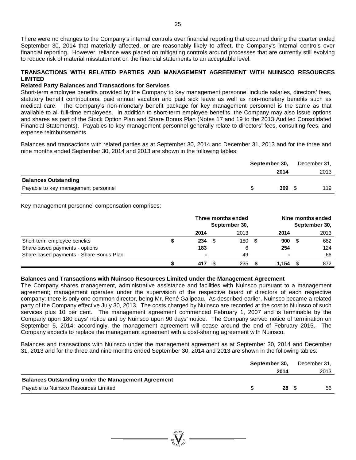## **TRANSACTIONS WITH RELATED PARTIES AND MANAGEMENT AGREEMENT WITH NUINSCO RESOURCES LIMITED**

### **Related Party Balances and Transactions for Services**

Short-term employee benefits provided by the Company to key management personnel include salaries, directors' fees, statutory benefit contributions, paid annual vacation and paid sick leave as well as non-monetary benefits such as medical care. The Company's non-monetary benefit package for key management personnel is the same as that available to all full-time employees. In addition to short-term employee benefits, the Company may also issue options and shares as part of the Stock Option Plan and Share Bonus Plan (Notes 17 and 19 to the 2013 Audited Consolidated Financial Statements). Payables to key management personnel generally relate to directors' fees, consulting fees, and expense reimbursements.

Balances and transactions with related parties as at September 30, 2014 and December 31, 2013 and for the three and nine months ended September 30, 2014 and 2013 are shown in the following tables:

|                                     | September 30, |  |      |
|-------------------------------------|---------------|--|------|
|                                     | 2014          |  | 2013 |
| <b>Balances Outstanding</b>         |               |  |      |
| Payable to key management personnel | 309           |  | 119  |

Key management personnel compensation comprises:

|                                         | Three months ended<br>September 30, |  |      | Nine months ended<br>September 30, |       |  |      |
|-----------------------------------------|-------------------------------------|--|------|------------------------------------|-------|--|------|
|                                         | 2014                                |  | 2013 |                                    | 2014  |  | 2013 |
| Short-term employee benefits            | 234                                 |  | 180  |                                    | 900   |  | 682  |
| Share-based payments - options          | 183                                 |  | 6    |                                    | 254   |  | 124  |
| Share-based payments - Share Bonus Plan | $\blacksquare$                      |  | 49   |                                    | ۰     |  | 66   |
|                                         | 417                                 |  | 235  |                                    | 1.154 |  | 872  |

### **Balances and Transactions with Nuinsco Resources Limited under the Management Agreement**

The Company shares management, administrative assistance and facilities with Nuinsco pursuant to a management agreement; management operates under the supervision of the respective board of directors of each respective company; there is only one common director, being Mr. René Galipeau. As described earlier, Nuinsco became a related party of the Company effective July 30, 2013. The costs charged by Nuinsco are recorded at the cost to Nuinsco of such services plus 10 per cent. The management agreement commenced February 1, 2007 and is terminable by the Company upon 180 days' notice and by Nuinsco upon 90 days' notice. The Company served notice of termination on September 5, 2014; accordingly, the management agreement will cease around the end of February 2015. The Company expects to replace the management agreement with a cost-sharing agreement with Nuinsco.

Balances and transactions with Nuinsco under the management agreement as at September 30, 2014 and December 31, 2013 and for the three and nine months ended September 30, 2014 and 2013 are shown in the following tables:

|                                                            | September 30, |                          | December 31, |
|------------------------------------------------------------|---------------|--------------------------|--------------|
|                                                            |               | 2014                     | 2013         |
| <b>Balances Outstanding under the Management Agreement</b> |               |                          |              |
| Payable to Nuinsco Resources Limited                       |               | $28 \quad$ $\frac{6}{3}$ | 56           |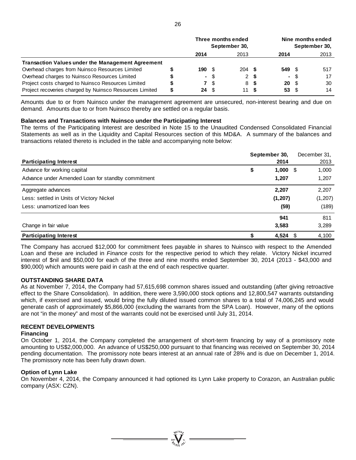|                                                          | Three months ended<br>September 30, |      |      | Nine months ended<br>September 30, |                 |      |      |
|----------------------------------------------------------|-------------------------------------|------|------|------------------------------------|-----------------|------|------|
|                                                          | 2014                                |      | 2013 |                                    | 2014            |      | 2013 |
| <b>Transaction Values under the Management Agreement</b> |                                     |      |      |                                    |                 |      |      |
| Overhead charges from Nuinsco Resources Limited          | 190S                                |      | 204S |                                    | 549 \$          |      | 517  |
| Overhead charges to Nuinsco Resources Limited            |                                     | - \$ |      | 2 S                                |                 | - \$ | 17   |
| Project costs charged to Nuinsco Resources Limited       |                                     | 7 S  |      | 8 S                                | 20 <sup>5</sup> |      | 30   |
| Project recoveries charged by Nuinsco Resources Limited  | 24 S                                |      | 11 S |                                    | 53 S            |      | 14   |

Amounts due to or from Nuinsco under the management agreement are unsecured, non-interest bearing and due on demand. Amounts due to or from Nuinsco thereby are settled on a regular basis.

#### **Balances and Transactions with Nuinsco under the Participating Interest**

The terms of the Participating Interest are described in Note 15 to the Unaudited Condensed Consolidated Financial Statements as well as in the Liquidity and Capital Resources section of this MD&A. A summary of the balances and transactions related thereto is included in the table and accompanying note below:

|                                                   | September 30, | December 31,  |
|---------------------------------------------------|---------------|---------------|
| <b>Participating Interest</b>                     | 2014          | 2013          |
| Advance for working capital                       | \$<br>1,000   | 1,000<br>- \$ |
| Advance under Amended Loan for standby commitment | 1,207         | 1,207         |
| Aggregate advances                                | 2,207         | 2,207         |
| Less: settled in Units of Victory Nickel          | (1, 207)      | (1, 207)      |
| Less: unamortized loan fees                       | (59)          | (189)         |
|                                                   | 941           | 811           |
| Change in fair value                              | 3,583         | 3,289         |
| <b>Participating Interest</b>                     | 4,524         | 4,100<br>-S   |

The Company has accrued \$12,000 for commitment fees payable in shares to Nuinsco with respect to the Amended Loan and these are included in *Finance costs* for the respective period to which they relate. Victory Nickel incurred interest of \$nil and \$50,000 for each of the three and nine months ended September 30, 2014 (2013 - \$43,000 and \$90,000) which amounts were paid in cash at the end of each respective quarter.

### **OUTSTANDING SHARE DATA**

As at November 7, 2014, the Company had 57,615,698 common shares issued and outstanding (after giving retroactive effect to the Share Consolidation). In addition, there were 3,590,000 stock options and 12,800,547 warrants outstanding which, if exercised and issued, would bring the fully diluted issued common shares to a total of 74,006,245 and would generate cash of approximately \$5,866,000 (excluding the warrants from the SPA Loan). However, many of the options are not "in the money" and most of the warrants could not be exercised until July 31, 2014.

### **RECENT DEVELOPMENTS**

### **Financing**

On October 1, 2014, the Company completed the arrangement of short-term financing by way of a promissory note amounting to US\$2,000,000. An advance of US\$250,000 pursuant to that financing was received on September 30, 2014 pending documentation. The promissory note bears interest at an annual rate of 28% and is due on December 1, 2014. The promissory note has been fully drawn down.

### **Option of Lynn Lake**

On November 4, 2014, the Company announced it had optioned its Lynn Lake property to Corazon, an Australian public company (ASX: CZN).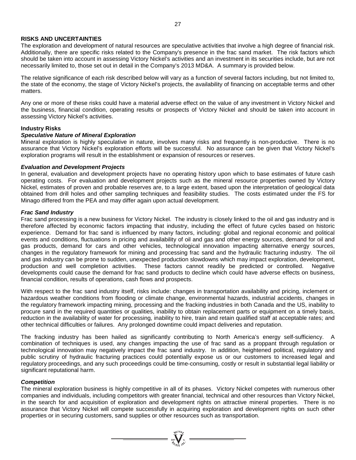### **RISKS AND UNCERTAINTIES**

The exploration and development of natural resources are speculative activities that involve a high degree of financial risk. Additionally, there are specific risks related to the Company's presence in the frac sand market. The risk factors which should be taken into account in assessing Victory Nickel's activities and an investment in its securities include, but are not necessarily limited to, those set out in detail in the Company's 2013 MD&A. A summary is provided below.

The relative significance of each risk described below will vary as a function of several factors including, but not limited to, the state of the economy, the stage of Victory Nickel's projects, the availability of financing on acceptable terms and other matters.

Any one or more of these risks could have a material adverse effect on the value of any investment in Victory Nickel and the business, financial condition, operating results or prospects of Victory Nickel and should be taken into account in assessing Victory Nickel's activities.

### **Industry Risks**

#### *Speculative Nature of Mineral Exploration*

Mineral exploration is highly speculative in nature, involves many risks and frequently is non-productive. There is no assurance that Victory Nickel's exploration efforts will be successful. No assurance can be given that Victory Nickel's exploration programs will result in the establishment or expansion of resources or reserves.

#### *Evaluation and Development Projects*

In general, evaluation and development projects have no operating history upon which to base estimates of future cash operating costs. For evaluation and development projects such as the mineral resource properties owned by Victory Nickel, estimates of proven and probable reserves are, to a large extent, based upon the interpretation of geological data obtained from drill holes and other sampling techniques and feasibility studies. The costs estimated under the FS for Minago differed from the PEA and may differ again upon actual development.

#### *Frac Sand Industry*

Frac sand processing is a new business for Victory Nickel. The industry is closely linked to the oil and gas industry and is therefore affected by economic factors impacting that industry, including the effect of future cycles based on historic experience. Demand for frac sand is influenced by many factors, including: global and regional economic and political events and conditions, fluctuations in pricing and availability of oil and gas and other energy sources, demand for oil and gas products, demand for cars and other vehicles, technological innovation impacting alternative energy sources, changes in the regulatory framework for mining and processing frac sand and the hydraulic fracturing industry. The oil and gas industry can be prone to sudden, unexpected production slowdowns which may impact exploration, development, production and well completion activities. These factors cannot readily be predicted or controlled. Negative developments could cause the demand for frac sand products to decline which could have adverse effects on business, financial condition, results of operations, cash flows and prospects.

With respect to the frac sand industry itself, risks include: changes in transportation availability and pricing, inclement or hazardous weather conditions from flooding or climate change, environmental hazards, industrial accidents, changes in the regulatory framework impacting mining, processing and the fracking industries in both Canada and the US, inability to procure sand in the required quantities or qualities, inability to obtain replacement parts or equipment on a timely basis, reduction in the availability of water for processing, inability to hire, train and retain qualified staff at acceptable rates; and other technical difficulties or failures. Any prolonged downtime could impact deliveries and reputation.

The fracking industry has been hailed as significantly contributing to North America's energy self-sufficiency. A combination of techniques is used, any changes impacting the use of frac sand as a proppant through regulation or technological innovation may negatively impact the frac sand industry. In addition, heightened political, regulatory and public scrutiny of hydraulic fracturing practices could potentially expose us or our customers to increased legal and regulatory proceedings, and any such proceedings could be time-consuming, costly or result in substantial legal liability or significant reputational harm.

### *Competition*

The mineral exploration business is highly competitive in all of its phases. Victory Nickel competes with numerous other companies and individuals, including competitors with greater financial, technical and other resources than Victory Nickel, in the search for and acquisition of exploration and development rights on attractive mineral properties. There is no assurance that Victory Nickel will compete successfully in acquiring exploration and development rights on such other properties or in securing customers, sand supplies or other resources such as transportation.

=  $\sum_{y \in V}$   $\sum_{y \in V}$   $\sum_{y \in V}$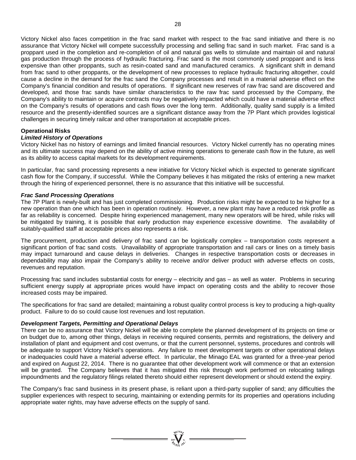Victory Nickel also faces competition in the frac sand market with respect to the frac sand initiative and there is no assurance that Victory Nickel will compete successfully processing and selling frac sand in such market. Frac sand is a proppant used in the completion and re-completion of oil and natural gas wells to stimulate and maintain oil and natural gas production through the process of hydraulic fracturing. Frac sand is the most commonly used proppant and is less expensive than other proppants, such as resin-coated sand and manufactured ceramics. A significant shift in demand from frac sand to other proppants, or the development of new processes to replace hydraulic fracturing altogether, could cause a decline in the demand for the frac sand the Company processes and result in a material adverse effect on the Company's financial condition and results of operations. If significant new reserves of raw frac sand are discovered and developed, and those frac sands have similar characteristics to the raw frac sand processed by the Company, the Company's ability to maintain or acquire contracts may be negatively impacted which could have a material adverse effect on the Company's results of operations and cash flows over the long term. Additionally, quality sand supply is a limited resource and the presently-identified sources are a significant distance away from the 7P Plant which provides logistical challenges in securing timely railcar and other transportation at acceptable prices.

### **Operational Risks**

#### *Limited History of Operations*

Victory Nickel has no history of earnings and limited financial resources. Victory Nickel currently has no operating mines and its ultimate success may depend on the ability of active mining operations to generate cash flow in the future, as well as its ability to access capital markets for its development requirements.

In particular, frac sand processing represents a new initiative for Victory Nickel which is expected to generate significant cash flow for the Company, if successful. While the Company believes it has mitigated the risks of entering a new market through the hiring of experienced personnel, there is no assurance that this initiative will be successful.

#### *Frac Sand Processing Operations*

The 7P Plant is newly-built and has just completed commissioning. Production risks might be expected to be higher for a new operation than one which has been in operation routinely. However, a new plant may have a reduced risk profile as far as reliability is concerned. Despite hiring experienced management, many new operators will be hired, while risks will be mitigated by training, it is possible that early production may experience excessive downtime. The availability of suitably-qualified staff at acceptable prices also represents a risk.

The procurement, production and delivery of frac sand can be logistically complex – transportation costs represent a significant portion of frac sand costs. Unavailability of appropriate transportation and rail cars or lines on a timely basis may impact turnaround and cause delays in deliveries. Changes in respective transportation costs or decreases in dependability may also impair the Company's ability to receive and/or deliver product with adverse effects on costs, revenues and reputation.

Processing frac sand includes substantial costs for energy – electricity and gas – as well as water. Problems in securing sufficient energy supply at appropriate prices would have impact on operating costs and the ability to recover those increased costs may be impaired.

The specifications for frac sand are detailed; maintaining a robust quality control process is key to producing a high-quality product. Failure to do so could cause lost revenues and lost reputation.

### *Development Targets, Permitting and Operational Delays*

There can be no assurance that Victory Nickel will be able to complete the planned development of its projects on time or on budget due to, among other things, delays in receiving required consents, permits and registrations, the delivery and installation of plant and equipment and cost overruns, or that the current personnel, systems, procedures and controls will be adequate to support Victory Nickel's operations. Any failure to meet development targets or other operational delays or inadequacies could have a material adverse effect. In particular, the Minago EAL was granted for a three-year period and expired on August 22, 2014. There is no guarantee that other development work will commence or that an extension will be granted. The Company believes that it has mitigated this risk through work performed on relocating tailings impoundments and the regulatory filings related thereto should either represent development or should extend the expiry.

The Company's frac sand business in its present phase, is reliant upon a third-party supplier of sand; any difficulties the supplier experiences with respect to securing, maintaining or extending permits for its properties and operations including appropriate water rights, may have adverse effects on the supply of sand.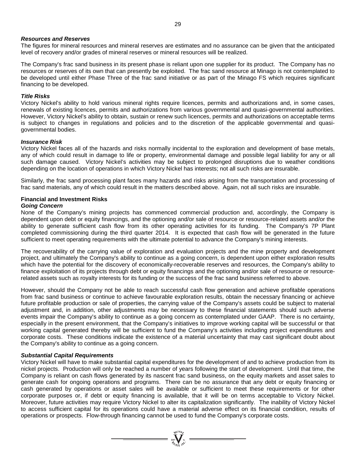#### *Resources and Reserves*

The figures for mineral resources and mineral reserves are estimates and no assurance can be given that the anticipated level of recovery and/or grades of mineral reserves or mineral resources will be realized.

The Company's frac sand business in its present phase is reliant upon one supplier for its product. The Company has no resources or reserves of its own that can presently be exploited. The frac sand resource at Minago is not contemplated to be developed until either Phase Three of the frac sand initiative or as part of the Minago FS which requires significant financing to be developed.

#### *Title Risks*

Victory Nickel's ability to hold various mineral rights require licences, permits and authorizations and, in some cases, renewals of existing licences, permits and authorizations from various governmental and quasi-governmental authorities. However, Victory Nickel's ability to obtain, sustain or renew such licences, permits and authorizations on acceptable terms is subject to changes in regulations and policies and to the discretion of the applicable governmental and quasigovernmental bodies.

#### *Insurance Risk*

Victory Nickel faces all of the hazards and risks normally incidental to the exploration and development of base metals, any of which could result in damage to life or property, environmental damage and possible legal liability for any or all such damage caused. Victory Nickel's activities may be subject to prolonged disruptions due to weather conditions depending on the location of operations in which Victory Nickel has interests; not all such risks are insurable.

Similarly, the frac sand processing plant faces many hazards and risks arising from the transportation and processing of frac sand materials, any of which could result in the matters described above. Again, not all such risks are insurable.

#### **Financial and Investment Risks** *Going Concern*

None of the Company's mining projects has commenced commercial production and, accordingly, the Company is dependent upon debt or equity financings, and the optioning and/or sale of resource or resource-related assets and/or the ability to generate sufficient cash flow from its other operating activities for its funding. The Company's 7P Plant completed commissioning during the third quarter 2014. It is expected that cash flow will be generated in the future sufficient to meet operating requirements with the ultimate potential to advance the Company's mining interests.

The recoverability of the carrying value of exploration and evaluation projects and the mine property and development project, and ultimately the Company's ability to continue as a going concern, is dependent upon either exploration results which have the potential for the discovery of economically-recoverable reserves and resources, the Company's ability to finance exploitation of its projects through debt or equity financings and the optioning and/or sale of resource or resourcerelated assets such as royalty interests for its funding or the success of the frac sand business referred to above.

However, should the Company not be able to reach successful cash flow generation and achieve profitable operations from frac sand business or continue to achieve favourable exploration results, obtain the necessary financing or achieve future profitable production or sale of properties, the carrying value of the Company's assets could be subject to material adjustment and, in addition, other adjustments may be necessary to these financial statements should such adverse events impair the Company's ability to continue as a going concern as contemplated under GAAP. There is no certainty, especially in the present environment, that the Company's initiatives to improve working capital will be successful or that working capital generated thereby will be sufficient to fund the Company's activities including project expenditures and corporate costs. These conditions indicate the existence of a material uncertainty that may cast significant doubt about the Company's ability to continue as a going concern.

#### *Substantial Capital Requirements*

Victory Nickel will have to make substantial capital expenditures for the development of and to achieve production from its nickel projects. Production will only be reached a number of years following the start of development. Until that time, the Company is reliant on cash flows generated by its nascent frac sand business, on the equity markets and asset sales to generate cash for ongoing operations and programs. There can be no assurance that any debt or equity financing or cash generated by operations or asset sales will be available or sufficient to meet these requirements or for other corporate purposes or, if debt or equity financing is available, that it will be on terms acceptable to Victory Nickel. Moreover, future activities may require Victory Nickel to alter its capitalization significantly. The inability of Victory Nickel to access sufficient capital for its operations could have a material adverse effect on its financial condition, results of operations or prospects. Flow-through financing cannot be used to fund the Company's corporate costs.

 $\sum_{\substack{\text{2007}}{\text{N}\text{UCDB}_2}}^{\text{NLOB}_2}$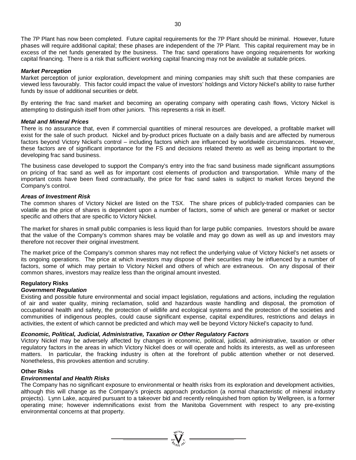The 7P Plant has now been completed. Future capital requirements for the 7P Plant should be minimal. However, future phases will require additional capital; these phases are independent of the 7P Plant. This capital requirement may be in excess of the net funds generated by the business. The frac sand operations have ongoing requirements for working capital financing. There is a risk that sufficient working capital financing may not be available at suitable prices.

#### *Market Perception*

Market perception of junior exploration, development and mining companies may shift such that these companies are viewed less favourably. This factor could impact the value of investors' holdings and Victory Nickel's ability to raise further funds by issue of additional securities or debt.

By entering the frac sand market and becoming an operating company with operating cash flows, Victory Nickel is attempting to distinguish itself from other juniors. This represents a risk in itself.

#### *Metal and Mineral Prices*

There is no assurance that, even if commercial quantities of mineral resources are developed, a profitable market will exist for the sale of such product. Nickel and by-product prices fluctuate on a daily basis and are affected by numerous factors beyond Victory Nickel's control – including factors which are influenced by worldwide circumstances. However, these factors are of significant importance for the FS and decisions related thereto as well as being important to the developing frac sand business.

The business case developed to support the Company's entry into the frac sand business made significant assumptions on pricing of frac sand as well as for important cost elements of production and transportation. While many of the important costs have been fixed contractually, the price for frac sand sales is subject to market forces beyond the Company's control.

#### *Areas of Investment Risk*

The common shares of Victory Nickel are listed on the TSX. The share prices of publicly-traded companies can be volatile as the price of shares is dependent upon a number of factors, some of which are general or market or sector specific and others that are specific to Victory Nickel.

The market for shares in small public companies is less liquid than for large public companies. Investors should be aware that the value of the Company's common shares may be volatile and may go down as well as up and investors may therefore not recover their original investment.

The market price of the Company's common shares may not reflect the underlying value of Victory Nickel's net assets or its ongoing operations. The price at which investors may dispose of their securities may be influenced by a number of factors, some of which may pertain to Victory Nickel and others of which are extraneous. On any disposal of their common shares, investors may realize less than the original amount invested.

### **Regulatory Risks**

#### *Government Regulation*

Existing and possible future environmental and social impact legislation, regulations and actions, including the regulation of air and water quality, mining reclamation, solid and hazardous waste handling and disposal, the promotion of occupational health and safety, the protection of wildlife and ecological systems and the protection of the societies and communities of indigenous peoples, could cause significant expense, capital expenditures, restrictions and delays in activities, the extent of which cannot be predicted and which may well be beyond Victory Nickel's capacity to fund.

### *Economic, Political, Judicial, Administrative, Taxation or Other Regulatory Factors*

Victory Nickel may be adversely affected by changes in economic, political, judicial, administrative, taxation or other regulatory factors in the areas in which Victory Nickel does or will operate and holds its interests, as well as unforeseen matters. In particular, the fracking industry is often at the forefront of public attention whether or not deserved. Nonetheless, this provokes attention and scrutiny.

#### **Other Risks**

## *Environmental and Health Risks*

The Company has no significant exposure to environmental or health risks from its exploration and development activities, although this will change as the Company's projects approach production (a normal characteristic of mineral industry projects). Lynn Lake, acquired pursuant to a takeover bid and recently relinquished from option by Wellgreen, is a former operating mine; however indemnifications exist from the Manitoba Government with respect to any pre-existing environmental concerns at that property.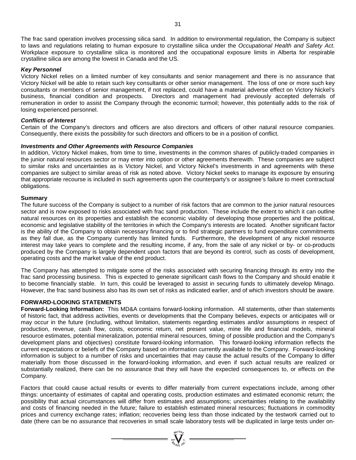The frac sand operation involves processing silica sand. In addition to environmental regulation, the Company is subject to laws and regulations relating to human exposure to crystalline silica under the *Occupational Health and Safety Act*. Workplace exposure to crystalline silica is monitored and the occupational exposure limits in Alberta for respirable crystalline silica are among the lowest in Canada and the US.

#### *Key Personnel*

Victory Nickel relies on a limited number of key consultants and senior management and there is no assurance that Victory Nickel will be able to retain such key consultants or other senior management. The loss of one or more such key consultants or members of senior management, if not replaced, could have a material adverse effect on Victory Nickel's business, financial condition and prospects. Directors and management had previously accepted deferrals of remuneration in order to assist the Company through the economic turmoil; however, this potentially adds to the risk of losing experienced personnel.

#### *Conflicts of Interest*

Certain of the Company's directors and officers are also directors and officers of other natural resource companies. Consequently, there exists the possibility for such directors and officers to be in a position of conflict.

#### *Investments and Other Agreements with Resource Companies*

In addition, Victory Nickel makes, from time to time, investments in the common shares of publicly-traded companies in the junior natural resources sector or may enter into option or other agreements therewith. These companies are subject to similar risks and uncertainties as is Victory Nickel, and Victory Nickel's investments in and agreements with these companies are subject to similar areas of risk as noted above. Victory Nickel seeks to manage its exposure by ensuring that appropriate recourse is included in such agreements upon the counterparty's or assignee's failure to meet contractual obligations.

#### **Summary**

The future success of the Company is subject to a number of risk factors that are common to the junior natural resources sector and is now exposed to risks associated with frac sand production. These include the extent to which it can outline natural resources on its properties and establish the economic viability of developing those properties and the political, economic and legislative stability of the territories in which the Company's interests are located. Another significant factor is the ability of the Company to obtain necessary financing or to find strategic partners to fund expenditure commitments as they fall due, as the Company currently has limited funds. Furthermore, the development of any nickel resource interest may take years to complete and the resulting income, if any, from the sale of any nickel or by- or co-products produced by the Company is largely dependent upon factors that are beyond its control, such as costs of development, operating costs and the market value of the end product.

The Company has attempted to mitigate some of the risks associated with securing financing through its entry into the frac sand processing business. This is expected to generate significant cash flows to the Company and should enable it to become financially stable. In turn, this could be leveraged to assist in securing funds to ultimately develop Minago. However, the frac sand business also has its own set of risks as indicated earlier, and of which investors should be aware.

# **FORWARD-LOOKING STATEMENTS**

**Forward-Looking Information:** This MD&A contains forward-looking information. All statements, other than statements of historic fact, that address activities, events or developments that the Company believes, expects or anticipates will or may occur in the future (including, without limitation, statements regarding estimates and/or assumptions in respect of production, revenue, cash flow, costs, economic return, net present value, mine life and financial models, mineral resource estimates, potential mineralization, potential mineral resources, timing of possible production and the Company's development plans and objectives) constitute forward-looking information. This forward-looking information reflects the current expectations or beliefs of the Company based on information currently available to the Company. Forward-looking information is subject to a number of risks and uncertainties that may cause the actual results of the Company to differ materially from those discussed in the forward-looking information, and even if such actual results are realized or substantially realized, there can be no assurance that they will have the expected consequences to, or effects on the Company.

Factors that could cause actual results or events to differ materially from current expectations include, among other things: uncertainty of estimates of capital and operating costs, production estimates and estimated economic return; the possibility that actual circumstances will differ from estimates and assumptions; uncertainties relating to the availability and costs of financing needed in the future; failure to establish estimated mineral resources; fluctuations in commodity prices and currency exchange rates; inflation; recoveries being less than those indicated by the testwork carried out to date (there can be no assurance that recoveries in small scale laboratory tests will be duplicated in large tests under on-

 $\sum_{n=1}^{N^{(10)}_{N}}$